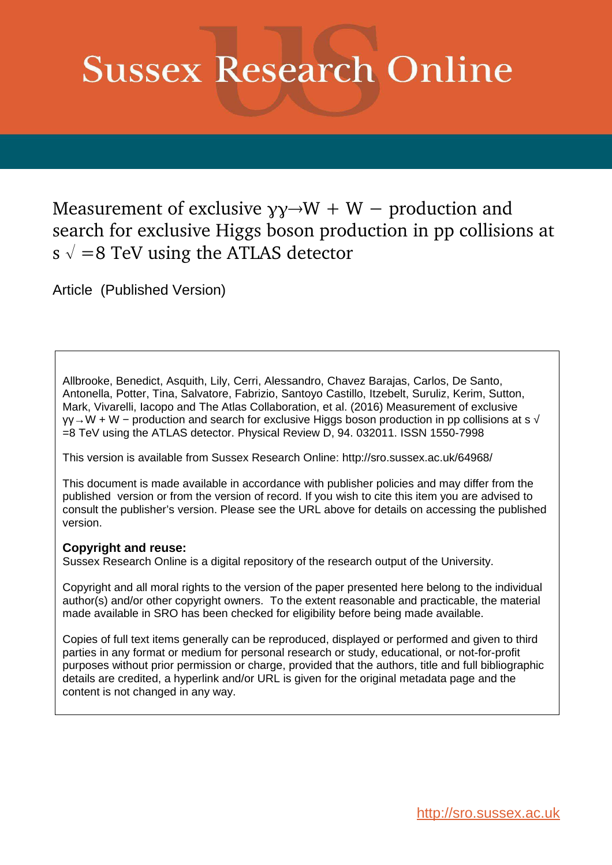# **Sussex Research Online**

Measurement of exclusive  $\gamma y \rightarrow W + W -$  production and search for exclusive Higgs boson production in pp collisions at s  $\sqrt{8}$  =8 TeV using the ATLAS detector

Article (Published Version)

Allbrooke, Benedict, Asquith, Lily, Cerri, Alessandro, Chavez Barajas, Carlos, De Santo, Antonella, Potter, Tina, Salvatore, Fabrizio, Santoyo Castillo, Itzebelt, Suruliz, Kerim, Sutton, Mark, Vivarelli, Iacopo and The Atlas Collaboration, et al. (2016) Measurement of exclusive γγ→W + W − production and search for exclusive Higgs boson production in pp collisions at s √ =8 TeV using the ATLAS detector. Physical Review D, 94. 032011. ISSN 1550-7998

This version is available from Sussex Research Online: http://sro.sussex.ac.uk/64968/

This document is made available in accordance with publisher policies and may differ from the published version or from the version of record. If you wish to cite this item you are advised to consult the publisher's version. Please see the URL above for details on accessing the published version.

# **Copyright and reuse:**

Sussex Research Online is a digital repository of the research output of the University.

Copyright and all moral rights to the version of the paper presented here belong to the individual author(s) and/or other copyright owners. To the extent reasonable and practicable, the material made available in SRO has been checked for eligibility before being made available.

<span id="page-0-0"></span>Copies of full text items generally can be reproduced, displayed or performed and given to third parties in any format or medium for personal research or study, educational, or not-for-profit purposes without prior permission or charge, provided that the authors, title and full bibliographic details are credited, a hyperlink and/or URL is given for the original metadata page and the content is not changed in any way.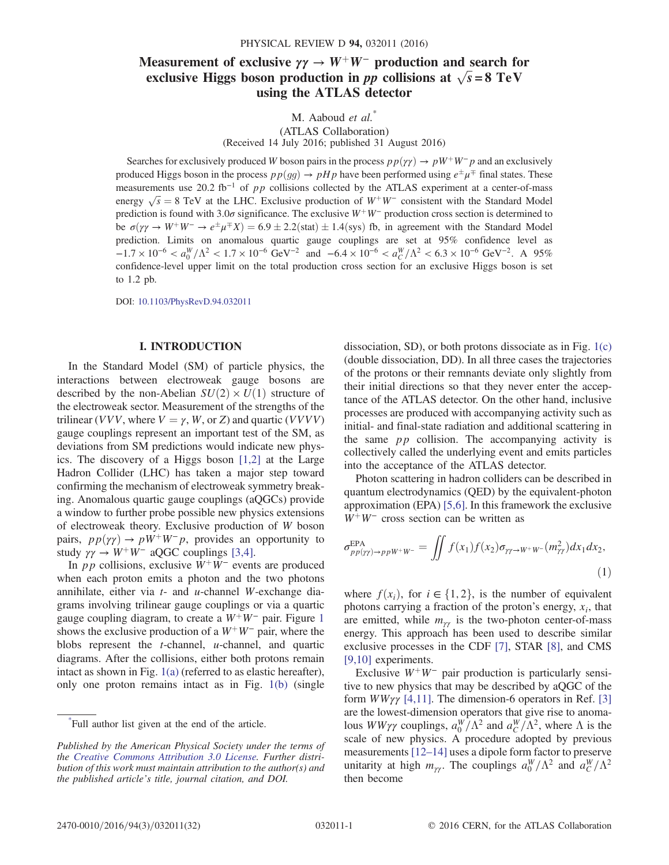# <span id="page-1-0"></span>Measurement of exclusive  $\gamma\gamma \rightarrow W^+W^-$  production and search for exclusive Higgs boson production in pp collisions at  $\sqrt{s} = 8 \text{ TeV}$ using the ATLAS detector

M. Aaboud et al.<sup>\*</sup> (ATLAS Collaboration) (Received 14 July 2016; published 31 August 2016)

Searches for exclusively produced W boson pairs in the process  $p p(\gamma \gamma) \rightarrow pW^+W^-p$  and an exclusively produced Higgs boson in the process  $pp(gg) \to pHp$  have been performed using  $e^{\pm}\mu^{\mp}$  final states. These measurements use 20.2 fb<sup>-1</sup> of pp collisions collected by the ATLAS experiment at a center-of-mass energy  $\sqrt{s} = 8$  TeV at the LHC. Exclusive production of  $W^+W^-$  consistent with the Standard Model prediction is found with 3.0 $\sigma$  significance. The exclusive W<sup>+</sup>W<sup>−</sup> production cross section is determined to be  $\sigma(\gamma \gamma \to W^+W^- \to e^{\pm} \mu^{\mp} X) = 6.9 \pm 2.2$ (stat)  $\pm 1.4$ (sys) fb, in agreement with the Standard Model prediction. Limits on anomalous quartic gauge couplings are set at 95% confidence level as  $-1.7 \times 10^{-6} < a_0^W/\Lambda^2 < 1.7 \times 10^{-6}$  GeV<sup>-2</sup> and  $-6.4 \times 10^{-6} < a_C^W/\Lambda^2 < 6.3 \times 10^{-6}$  GeV<sup>-2</sup>. A 95% confidence-level upper limit on the total production cross section for an exclusive Higgs boson is set to 1.2 pb.

DOI: [10.1103/PhysRevD.94.032011](http://dx.doi.org/10.1103/PhysRevD.94.032011)

#### I. INTRODUCTION

<span id="page-1-2"></span>In the Standard Model (SM) of particle physics, the interactions between electroweak gauge bosons are described by the non-Abelian  $SU(2) \times U(1)$  structure of the electroweak sector. Measurement of the strengths of the trilinear (VVV, where  $V = \gamma$ , W, or Z) and quartic (VVVV) gauge couplings represent an important test of the SM, as deviations from SM predictions would indicate new physics. The discovery of a Higgs boson [\[1,2\]](#page-16-0) at the Large Hadron Collider (LHC) has taken a major step toward confirming the mechanism of electroweak symmetry breaking. Anomalous quartic gauge couplings (aQGCs) provide a window to further probe possible new physics extensions of electroweak theory. Exclusive production of W boson pairs,  $pp(\gamma\gamma) \rightarrow pW^+W^-p$ , provides an opportunity to study  $\gamma \gamma \rightarrow W^+ W^-$  aQGC couplings [\[3,4\].](#page-16-1)

In *pp* collisions, exclusive  $W^+W^-$  events are produced when each proton emits a photon and the two photons annihilate, either via  $t$ - and  $u$ -channel W-exchange diagrams involving trilinear gauge couplings or via a quartic gauge coupling diagram, to create a  $W^+W^-$  pair. Figure [1](#page-1-0) shows the exclusive production of a  $W^+W^-$  pair, where the blobs represent the t-channel, u-channel, and quartic diagrams. After the collisions, either both protons remain intact as shown in Fig. [1\(a\)](#page-1-0) (referred to as elastic hereafter), only one proton remains intact as in Fig. [1\(b\)](#page-1-0) (single

\* Full author list given at the end of the article.

dissociation, SD), or both protons dissociate as in Fig. [1\(c\)](#page-1-0) (double dissociation, DD). In all three cases the trajectories of the protons or their remnants deviate only slightly from their initial directions so that they never enter the acceptance of the ATLAS detector. On the other hand, inclusive processes are produced with accompanying activity such as initial- and final-state radiation and additional scattering in the same  $pp$  collision. The accompanying activity is collectively called the underlying event and emits particles into the acceptance of the ATLAS detector.

Photon scattering in hadron colliders can be described in quantum electrodynamics (QED) by the equivalent-photon approximation (EPA) [\[5,6\].](#page-16-2) In this framework the exclusive  $W^+W^-$  cross section can be written as

$$
\sigma_{pp(\gamma\gamma)\to ppW^+W^-}^{\text{EPA}} = \iint f(x_1)f(x_2)\sigma_{\gamma\gamma\to W^+W^-}(m_{\gamma\gamma}^2)dx_1dx_2,
$$
\n(1)

<span id="page-1-1"></span>where  $f(x_i)$ , for  $i \in \{1, 2\}$ , is the number of equivalent photons carrying a fraction of the proton's energy,  $x_i$ , that are emitted, while  $m_{\gamma\gamma}$  is the two-photon center-of-mass energy. This approach has been used to describe similar exclusive processes in the CDF [\[7\]](#page-16-3), STAR [\[8\],](#page-16-4) and CMS [\[9,10\]](#page-16-5) experiments.

Exclusive  $W^+W^-$  pair production is particularly sensitive to new physics that may be described by aQGC of the form  $WW\gamma\gamma$  [\[4,11\].](#page-16-6) The dimension-6 operators in Ref. [\[3\]](#page-16-1) are the lowest-dimension operators that give rise to anomalous  $WW\gamma\gamma$  couplings,  $a_0^W/\Lambda^2$  and  $a_C^W/\Lambda^2$ , where  $\Lambda$  is the scale of new physics. A procedure adopted by previous measurements [\[12](#page-16-7)–14] uses a dipole form factor to preserve unitarity at high  $m_{\gamma\gamma}$ . The couplings  $a_0^W/\Lambda^2$  and  $a_C^W/\Lambda^2$ then become

Published by the American Physical Society under the terms of the [Creative Commons Attribution 3.0 License.](http://creativecommons.org/licenses/by/3.0/) Further distribution of this work must maintain attribution to the author(s) and the published article's title, journal citation, and DOI.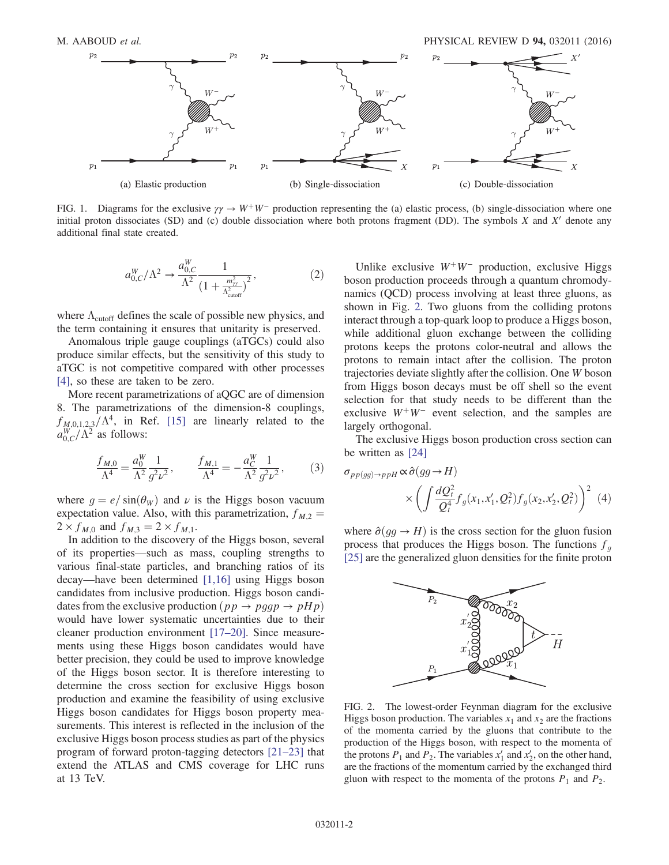

FIG. 1. Diagrams for the exclusive  $\gamma \gamma \rightarrow W^+W^-$  production representing the (a) elastic process, (b) single-dissociation where one initial proton dissociates (SD) and (c) double dissociation where both protons fragment (DD). The symbols  $X$  and  $X'$  denote any additional final state created.

$$
a_{0,C}^W/\Lambda^2 \to \frac{a_{0,C}^W}{\Lambda^2} \frac{1}{\left(1 + \frac{m_{\gamma\gamma}^2}{\Lambda_{\text{cutoff}}^2}\right)^2},\tag{2}
$$

where  $\Lambda_{\text{cutoff}}$  defines the scale of possible new physics, and the term containing it ensures that unitarity is preserved.

Anomalous triple gauge couplings (aTGCs) could also produce similar effects, but the sensitivity of this study to aTGC is not competitive compared with other processes [\[4\]](#page-16-6), so these are taken to be zero.

More recent parametrizations of aQGC are of dimension 8. The parametrizations of the dimension-8 couplings,  $f_{M,0,1,2,3}/\Lambda^4$ , in Ref. [\[15\]](#page-16-8) are linearly related to the  $a_{0,C}^W/\Lambda^2$  as follows:

$$
\frac{f_{M,0}}{\Lambda^4} = \frac{a_0^W}{\Lambda^2} \frac{1}{g^2 \nu^2}, \qquad \frac{f_{M,1}}{\Lambda^4} = -\frac{a_C^W}{\Lambda^2} \frac{1}{g^2 \nu^2}, \tag{3}
$$

where  $g = e / \sin(\theta_w)$  and  $\nu$  is the Higgs boson vacuum expectation value. Also, with this parametrization,  $f_{M,2}$  =  $2 \times f_{M,0}$  and  $f_{M,3} = 2 \times f_{M,1}$ .

<span id="page-2-0"></span>In addition to the discovery of the Higgs boson, several of its properties—such as mass, coupling strengths to various final-state particles, and branching ratios of its decay—have been determined [\[1,16\]](#page-16-0) using Higgs boson candidates from inclusive production. Higgs boson candidates from the exclusive production  $(pp \rightarrow pggp \rightarrow pHp)$ would have lower systematic uncertainties due to their cleaner production environment [17–[20\].](#page-16-9) Since measurements using these Higgs boson candidates would have better precision, they could be used to improve knowledge of the Higgs boson sector. It is therefore interesting to determine the cross section for exclusive Higgs boson production and examine the feasibility of using exclusive Higgs boson candidates for Higgs boson property measurements. This interest is reflected in the inclusion of the exclusive Higgs boson process studies as part of the physics program of forward proton-tagging detectors [\[21](#page-16-10)–23] that extend the ATLAS and CMS coverage for LHC runs at 13 TeV.

Unlike exclusive  $W^+W^-$  production, exclusive Higgs boson production proceeds through a quantum chromodynamics (QCD) process involving at least three gluons, as shown in Fig. [2.](#page-1-1) Two gluons from the colliding protons interact through a top-quark loop to produce a Higgs boson, while additional gluon exchange between the colliding protons keeps the protons color-neutral and allows the protons to remain intact after the collision. The proton trajectories deviate slightly after the collision. One W boson from Higgs boson decays must be off shell so the event selection for that study needs to be different than the exclusive  $W^+W^-$  event selection, and the samples are largely orthogonal.

<span id="page-2-1"></span>The exclusive Higgs boson production cross section can be written as [\[24\]](#page-17-0)

$$
\sigma_{pp(gg)\to ppH} \propto \hat{\sigma}(gg \to H)
$$
  
 
$$
\times \left( \int \frac{dQ_t^2}{Q_t^4} f_g(x_1, x_1', Q_t^2) f_g(x_2, x_2', Q_t^2) \right)^2
$$
 (4)

where  $\hat{\sigma}(gg \to H)$  is the cross section for the gluon fusion process that produces the Higgs boson. The functions  $f<sub>q</sub>$ [\[25\]](#page-17-1) are the generalized gluon densities for the finite proton



FIG. 2. The lowest-order Feynman diagram for the exclusive Higgs boson production. The variables  $x_1$  and  $x_2$  are the fractions of the momenta carried by the gluons that contribute to the production of the Higgs boson, with respect to the momenta of the protons  $P_1$  and  $P_2$ . The variables  $x'_1$  and  $x'_2$ , on the other hand, are the fractions of the momentum carried by the exchanged third gluon with respect to the momenta of the protons  $P_1$  and  $P_2$ .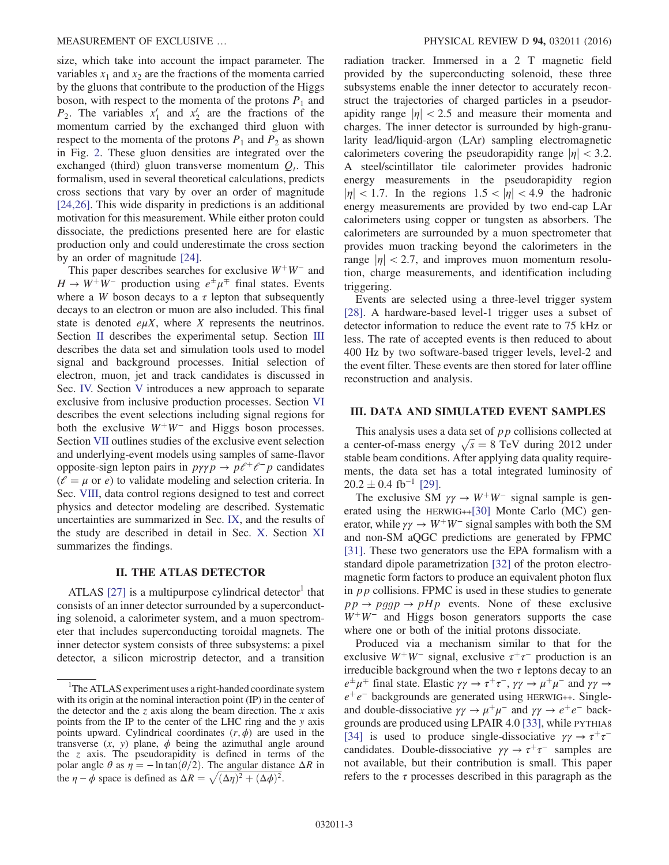<span id="page-3-0"></span>size, which take into account the impact parameter. The variables  $x_1$  and  $x_2$  are the fractions of the momenta carried by the gluons that contribute to the production of the Higgs boson, with respect to the momenta of the protons  $P_1$  and  $P_2$ . The variables  $x'_1$  and  $x'_2$  are the fractions of the momentum carried by the exchanged third gluon with respect to the momenta of the protons  $P_1$  and  $P_2$  as shown in Fig. [2](#page-1-1). These gluon densities are integrated over the exchanged (third) gluon transverse momentum  $Q_t$ . This formalism, used in several theoretical calculations, predicts cross sections that vary by over an order of magnitude [\[24,26\]](#page-17-0). This wide disparity in predictions is an additional motivation for this measurement. While either proton could dissociate, the predictions presented here are for elastic production only and could underestimate the cross section by an order of magnitude [\[24\]](#page-17-0).

This paper describes searches for exclusive  $W^+W^-$  and  $H \to W^+ W^-$  production using  $e^{\pm} \mu^{\mp}$  final states. Events where a W boson decays to a  $\tau$  lepton that subsequently decays to an electron or muon are also included. This final state is denoted  $e\mu X$ , where X represents the neutrinos. Section [II](#page-2-0) describes the experimental setup. Section [III](#page-2-1) describes the data set and simulation tools used to model signal and background processes. Initial selection of electron, muon, jet and track candidates is discussed in Sec. [IV.](#page-4-0) Section [V](#page-4-1) introduces a new approach to separate exclusive from inclusive production processes. Section [VI](#page-5-0) describes the event selections including signal regions for both the exclusive  $W^+W^-$  and Higgs boson processes. Section [VII](#page-6-0) outlines studies of the exclusive event selection and underlying-event models using samples of same-flavor opposite-sign lepton pairs in  $p\gamma p \to p\ell^+\ell^- p$  candidates  $(\ell = \mu \text{ or } \epsilon)$  to validate modeling and selection criteria. In Sec. [VIII](#page-7-0), data control regions designed to test and correct physics and detector modeling are described. Systematic uncertainties are summarized in Sec. [IX](#page-11-0), and the results of the study are described in detail in Sec. [X.](#page-12-0) Section [XI](#page-15-0) summarizes the findings.

#### II. THE ATLAS DETECTOR

ATLAS [\[27\]](#page-17-2) is a multipurpose cylindrical detector<sup>1</sup> that consists of an inner detector surrounded by a superconducting solenoid, a calorimeter system, and a muon spectrometer that includes superconducting toroidal magnets. The inner detector system consists of three subsystems: a pixel detector, a silicon microstrip detector, and a transition radiation tracker. Immersed in a 2 T magnetic field provided by the superconducting solenoid, these three subsystems enable the inner detector to accurately reconstruct the trajectories of charged particles in a pseudorapidity range  $|\eta| < 2.5$  and measure their momenta and charges. The inner detector is surrounded by high-granularity lead/liquid-argon (LAr) sampling electromagnetic calorimeters covering the pseudorapidity range  $|\eta| < 3.2$ . A steel/scintillator tile calorimeter provides hadronic energy measurements in the pseudorapidity region  $|\eta|$  < 1.7. In the regions 1.5 <  $|\eta|$  < 4.9 the hadronic energy measurements are provided by two end-cap LAr calorimeters using copper or tungsten as absorbers. The calorimeters are surrounded by a muon spectrometer that provides muon tracking beyond the calorimeters in the range  $|\eta|$  < 2.7, and improves muon momentum resolution, charge measurements, and identification including triggering.

Events are selected using a three-level trigger system [\[28\]](#page-17-3). A hardware-based level-1 trigger uses a subset of detector information to reduce the event rate to 75 kHz or less. The rate of accepted events is then reduced to about 400 Hz by two software-based trigger levels, level-2 and the event filter. These events are then stored for later offline reconstruction and analysis.

#### III. DATA AND SIMULATED EVENT SAMPLES

This analysis uses a data set of pp collisions collected at a center-of-mass energy  $\sqrt{s} = 8$  TeV during 2012 under stable beam conditions. After applying data quality requirements, the data set has a total integrated luminosity of  $20.2 \pm 0.4$  fb<sup>-1</sup> [\[29\]](#page-17-4).

The exclusive SM  $\gamma \gamma \rightarrow W^+W^-$  signal sample is generated using the HERWIG++[\[30\]](#page-17-5) Monte Carlo (MC) generator, while  $\gamma \gamma \rightarrow W^+W^-$  signal samples with both the SM and non-SM aQGC predictions are generated by FPMC [\[31\]](#page-17-6). These two generators use the EPA formalism with a standard dipole parametrization [\[32\]](#page-17-7) of the proton electromagnetic form factors to produce an equivalent photon flux in  $pp$  collisions. FPMC is used in these studies to generate  $pp \rightarrow pggp \rightarrow pHp$  events. None of these exclusive  $W^+W^-$  and Higgs boson generators supports the case where one or both of the initial protons dissociate.

Produced via a mechanism similar to that for the exclusive  $W^+W^-$  signal, exclusive  $\tau^+\tau^-$  production is an irreducible background when the two  $\tau$  leptons decay to an  $e^{\pm}\mu^{\mp}$  final state. Elastic  $\gamma\gamma \rightarrow \tau^+\tau^-$ ,  $\gamma\gamma \rightarrow \mu^+\mu^-$  and  $\gamma\gamma \rightarrow$  $e^+e^-$  backgrounds are generated using HERWIG++. Singleand double-dissociative  $\gamma \gamma \to \mu^+ \mu^-$  and  $\gamma \gamma \to e^+ e^-$  backgrounds are produced using LPAIR 4.0 [\[33\]](#page-17-8), while PYTHIA8 [\[34\]](#page-17-9) is used to produce single-dissociative  $\gamma \gamma \rightarrow \tau^+ \tau^$ candidates. Double-dissociative  $\gamma \gamma \rightarrow \tau^+ \tau^-$  samples are not available, but their contribution is small. This paper refers to the  $\tau$  processes described in this paragraph as the

<sup>&</sup>lt;sup>1</sup>The ATLAS experiment uses a right-handed coordinate system with its origin at the nominal interaction point (IP) in the center of the detector and the z axis along the beam direction. The x axis points from the IP to the center of the LHC ring and the y axis points upward. Cylindrical coordinates  $(r, \phi)$  are used in the transverse  $(x, y)$  plane,  $\phi$  being the azimuthal angle around the z axis. The pseudorapidity is defined in terms of the polar angle  $\theta$  as  $\eta = -\ln \tan(\theta/2)$ . The angular distance  $\Delta R$  in the  $\eta - \phi$  space is defined as  $\Delta R = \sqrt{(\Delta \eta)^2 + (\Delta \phi)^2}$ .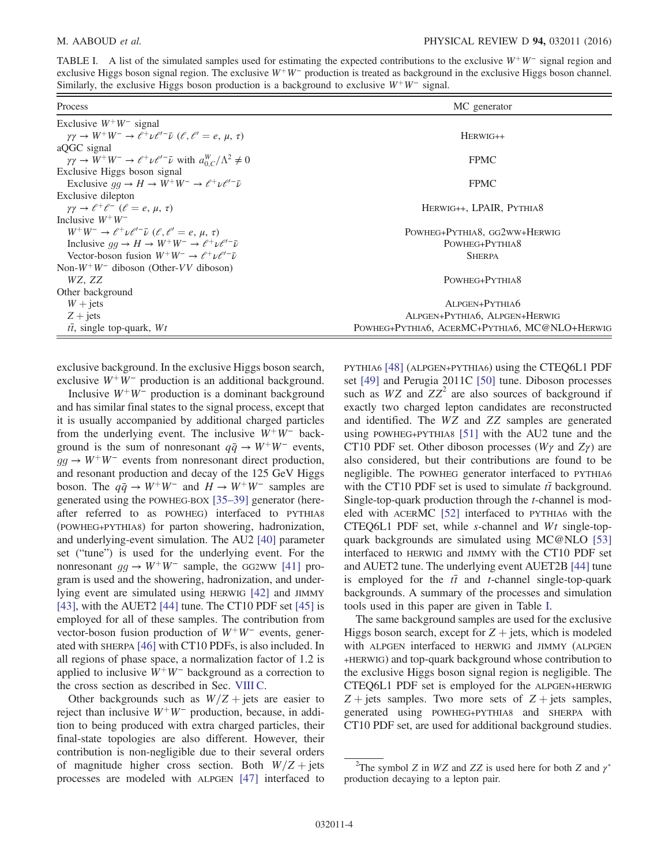TABLE I. A list of the simulated samples used for estimating the expected contributions to the exclusive W<sup>+</sup>W<sup>−</sup> signal region and exclusive Higgs boson signal region. The exclusive  $W^+W^-$  production is treated as background in the exclusive Higgs boson channel. Similarly, the exclusive Higgs boson production is a background to exclusive  $W^+W^-$  signal.

<span id="page-4-0"></span>

| Process<br>MC generator                                                                                          |                                               |  |  |
|------------------------------------------------------------------------------------------------------------------|-----------------------------------------------|--|--|
| Exclusive $W^+W^-$ signal                                                                                        |                                               |  |  |
| $\gamma\gamma \rightarrow W^+W^- \rightarrow \ell^+\nu \ell'^- \bar{\nu}$ ( $\ell, \ell' = e, \mu, \tau$ )       | $HERWIG++$                                    |  |  |
| aQGC signal                                                                                                      |                                               |  |  |
| $\gamma \gamma \rightarrow W^+ W^- \rightarrow e^+ \nu e^{\prime -} \bar{\nu}$ with $a_{0}^W / \Lambda^2 \neq 0$ | <b>FPMC</b>                                   |  |  |
| Exclusive Higgs boson signal                                                                                     |                                               |  |  |
| Exclusive $qq \to H \to W^+W^- \to \ell^+\nu\ell'^- \bar{\nu}$                                                   | <b>FPMC</b>                                   |  |  |
| Exclusive dilepton                                                                                               |                                               |  |  |
| $\gamma\gamma \rightarrow \ell^+ \ell^-$ ( $\ell = e, \mu, \tau$ )                                               | HERWIG++, LPAIR, PYTHIA8                      |  |  |
| Inclusive $W^+W^-$                                                                                               |                                               |  |  |
| $W^+W^- \rightarrow \ell^+\nu\ell'^- \bar{\nu}$ ( $\ell, \ell' = e, \mu, \tau$ )                                 | POWHEG+PYTHIA8, GG2WW+HERWIG                  |  |  |
| Inclusive $qq \to H \to W^+W^- \to \ell^+\nu\ell'^- \bar{\nu}$                                                   | POWHEG+PYTHIA8                                |  |  |
| Vector-boson fusion $W^+W^- \rightarrow \ell^+\nu\ell'^- \bar{\nu}$                                              | <b>SHERPA</b>                                 |  |  |
| Non- $W^+W^-$ diboson (Other-VV diboson)                                                                         |                                               |  |  |
| WZ, ZZ                                                                                                           | POWHEG+PYTHIA8                                |  |  |
| Other background                                                                                                 |                                               |  |  |
| $W + \text{jets}$                                                                                                | ALPGEN+PYTHIA6                                |  |  |
| $Z + \text{jets}$                                                                                                | ALPGEN+PYTHIA6, ALPGEN+HERWIG                 |  |  |
| $t\bar{t}$ , single top-quark, $Wt$                                                                              | POWHEG+PYTHIA6, ACERMC+PYTHIA6, MC@NLO+HERWIG |  |  |

exclusive background. In the exclusive Higgs boson search, exclusive  $W^+W^-$  production is an additional background.

Inclusive  $W^+W^-$  production is a dominant background and has similar final states to the signal process, except that it is usually accompanied by additional charged particles from the underlying event. The inclusive  $W^+W^-$  background is the sum of nonresonant  $q\bar{q} \rightarrow W^+W^-$  events,  $gg \to W^+W^-$  events from nonresonant direct production, and resonant production and decay of the 125 GeV Higgs boson. The  $q\bar{q} \rightarrow W^+W^-$  and  $H \rightarrow W^+W^-$  samples are generated using the POWHEG-BOX [35–[39\]](#page-17-10) generator (hereafter referred to as POWHEG) interfaced to PYTHIA8 (POWHEG+PYTHIA8) for parton showering, hadronization, and underlying-event simulation. The AU2 [\[40\]](#page-17-11) parameter set ("tune") is used for the underlying event. For the nonresonant  $gg \to W^+W^-$  sample, the GG2WW [\[41\]](#page-17-12) program is used and the showering, hadronization, and underlying event are simulated using HERWIG [\[42\]](#page-17-13) and JIMMY [\[43\]](#page-17-14), with the AUET2 [\[44\]](#page-17-15) tune. The CT10 PDF set [\[45\]](#page-17-16) is employed for all of these samples. The contribution from vector-boson fusion production of  $W^+W^-$  events, generated with SHERPA [\[46\]](#page-17-17) with CT10 PDFs, is also included. In all regions of phase space, a normalization factor of 1.2 is applied to inclusive  $W^+W^-$  background as a correction to the cross section as described in Sec. [VIII C.](#page-9-0)

<span id="page-4-1"></span>Other backgrounds such as  $W/Z$  + jets are easier to reject than inclusive  $W^+W^-$  production, because, in addition to being produced with extra charged particles, their final-state topologies are also different. However, their contribution is non-negligible due to their several orders of magnitude higher cross section. Both  $W/Z$  + jets processes are modeled with ALPGEN [\[47\]](#page-17-18) interfaced to PYTHIA6 [\[48\]](#page-17-19) (ALPGEN+PYTHIA6) using the CTEQ6L1 PDF set [\[49\]](#page-17-20) and Perugia 2011C [\[50\]](#page-17-21) tune. Diboson processes such as  $WZ$  and  $ZZ^2$  are also sources of background if exactly two charged lepton candidates are reconstructed and identified. The WZ and ZZ samples are generated using POWHEG+PYTHIA8 [\[51\]](#page-17-22) with the AU2 tune and the CT10 PDF set. Other diboson processes (W<sub> $\gamma$ </sub> and Z<sub> $\gamma$ </sub>) are also considered, but their contributions are found to be negligible. The POWHEG generator interfaced to PYTHIA6 with the CT10 PDF set is used to simulate  $t\bar{t}$  background. Single-top-quark production through the t-channel is modeled with ACERMC [\[52\]](#page-17-23) interfaced to PYTHIA6 with the CTEQ6L1 PDF set, while s-channel and  $Wt$  single-topquark backgrounds are simulated using MC@NLO [\[53\]](#page-17-24) interfaced to HERWIG and JIMMY with the CT10 PDF set and AUET2 tune. The underlying event AUET2B [\[44\]](#page-17-15) tune is employed for the  $t\bar{t}$  and t-channel single-top-quark backgrounds. A summary of the processes and simulation tools used in this paper are given in Table [I.](#page-3-0)

<span id="page-4-2"></span>The same background samples are used for the exclusive Higgs boson search, except for  $Z +$  jets, which is modeled with ALPGEN interfaced to HERWIG and JIMMY (ALPGEN +HERWIG) and top-quark background whose contribution to the exclusive Higgs boson signal region is negligible. The CTEQ6L1 PDF set is employed for the ALPGEN+HERWIG  $Z + \text{jets}$  samples. Two more sets of  $Z + \text{jets}$  samples, generated using POWHEG+PYTHIA8 and SHERPA with CT10 PDF set, are used for additional background studies.

<sup>&</sup>lt;sup>2</sup>The symbol Z in WZ and ZZ is used here for both Z and  $\gamma^*$ production decaying to a lepton pair.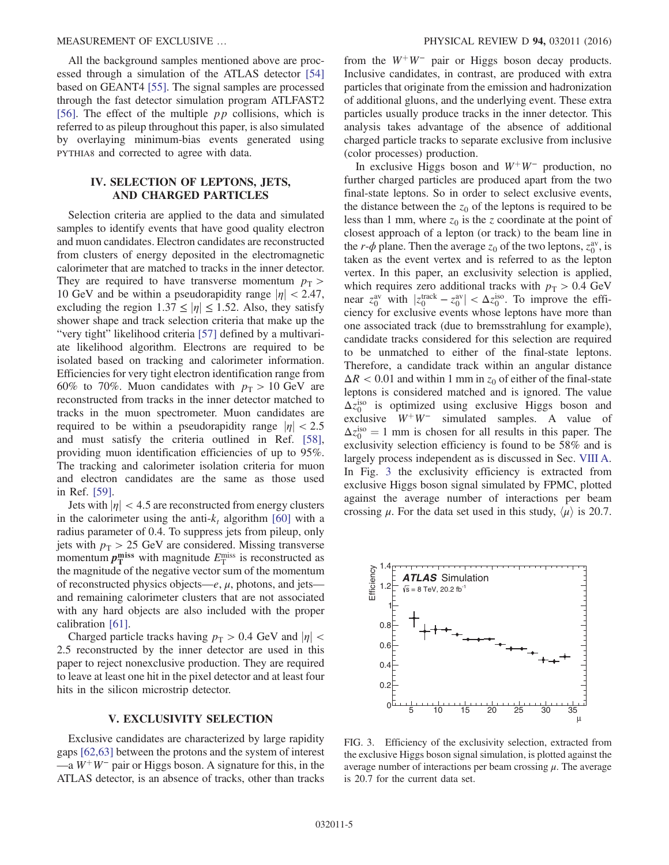<span id="page-5-1"></span>All the background samples mentioned above are processed through a simulation of the ATLAS detector [\[54\]](#page-17-25) based on GEANT4 [\[55\]](#page-17-26). The signal samples are processed through the fast detector simulation program ATLFAST2 [\[56\]](#page-17-27). The effect of the multiple  $pp$  collisions, which is referred to as pileup throughout this paper, is also simulated by overlaying minimum-bias events generated using PYTHIA8 and corrected to agree with data.

#### IV. SELECTION OF LEPTONS, JETS, AND CHARGED PARTICLES

<span id="page-5-0"></span>Selection criteria are applied to the data and simulated samples to identify events that have good quality electron and muon candidates. Electron candidates are reconstructed from clusters of energy deposited in the electromagnetic calorimeter that are matched to tracks in the inner detector. They are required to have transverse momentum  $p_T$  > 10 GeV and be within a pseudorapidity range  $|\eta| < 2.47$ , excluding the region  $1.37 \le |\eta| \le 1.52$ . Also, they satisfy shower shape and track selection criteria that make up the "very tight" likelihood criteria [\[57\]](#page-17-28) defined by a multivariate likelihood algorithm. Electrons are required to be isolated based on tracking and calorimeter information. Efficiencies for very tight electron identification range from 60% to 70%. Muon candidates with  $p_T > 10$  GeV are reconstructed from tracks in the inner detector matched to tracks in the muon spectrometer. Muon candidates are required to be within a pseudorapidity range  $|\eta| < 2.5$ and must satisfy the criteria outlined in Ref. [\[58\]](#page-17-29), providing muon identification efficiencies of up to 95%. The tracking and calorimeter isolation criteria for muon and electron candidates are the same as those used in Ref. [\[59\]](#page-17-30).

Jets with  $|\eta| < 4.5$  are reconstructed from energy clusters in the calorimeter using the anti- $k_t$  algorithm [\[60\]](#page-17-31) with a radius parameter of 0.4. To suppress jets from pileup, only jets with  $p_T > 25$  GeV are considered. Missing transverse momentum  $p_T^{\text{miss}}$  with magnitude  $E_T^{\text{miss}}$  is reconstructed as the magnitude of the negative vector sum of the momentum of reconstructed physics objects—e,  $\mu$ , photons, and jets and remaining calorimeter clusters that are not associated with any hard objects are also included with the proper calibration [\[61\]](#page-17-32).

<span id="page-5-2"></span>Charged particle tracks having  $p_T > 0.4$  GeV and  $|\eta|$  < 2.5 reconstructed by the inner detector are used in this paper to reject nonexclusive production. They are required to leave at least one hit in the pixel detector and at least four hits in the silicon microstrip detector.

#### V. EXCLUSIVITY SELECTION

Exclusive candidates are characterized by large rapidity gaps [\[62,63\]](#page-17-33) between the protons and the system of interest —a  $W^+W^-$  pair or Higgs boson. A signature for this, in the ATLAS detector, is an absence of tracks, other than tracks from the  $W^+W^-$  pair or Higgs boson decay products. Inclusive candidates, in contrast, are produced with extra particles that originate from the emission and hadronization of additional gluons, and the underlying event. These extra particles usually produce tracks in the inner detector. This analysis takes advantage of the absence of additional charged particle tracks to separate exclusive from inclusive (color processes) production.

In exclusive Higgs boson and  $W^+W^-$  production, no further charged particles are produced apart from the two final-state leptons. So in order to select exclusive events, the distance between the  $z_0$  of the leptons is required to be less than 1 mm, where  $z_0$  is the z coordinate at the point of closest approach of a lepton (or track) to the beam line in the r- $\phi$  plane. Then the average  $z_0$  of the two leptons,  $z_0^{\text{av}}$ , is taken as the event vertex and is referred to as the lepton vertex. In this paper, an exclusivity selection is applied, which requires zero additional tracks with  $p_T > 0.4$  GeV near  $z_0^{\text{av}}$  with  $|z_0^{\text{track}} - z_0^{\text{av}}| < \Delta z_0^{\text{iso}}$ . To improve the efficiency for exclusive events whose leptons have more than one associated track (due to bremsstrahlung for example), candidate tracks considered for this selection are required to be unmatched to either of the final-state leptons. Therefore, a candidate track within an angular distance  $\Delta R$  < 0.01 and within 1 mm in  $z_0$  of either of the final-state leptons is considered matched and is ignored. The value  $\Delta z_0^{\text{iso}}$  is optimized using exclusive Higgs boson and exclusive  $W^+W^-$  simulated samples. A value of  $\Delta z_0^{\text{iso}} = 1$  mm is chosen for all results in this paper. The exclusivity selection efficiency is found to be 58% and is largely process independent as is discussed in Sec. [VIII A](#page-7-1). In Fig. [3](#page-4-2) the exclusivity efficiency is extracted from exclusive Higgs boson signal simulated by FPMC, plotted against the average number of interactions per beam crossing  $\mu$ . For the data set used in this study,  $\langle \mu \rangle$  is 20.7.



FIG. 3. Efficiency of the exclusivity selection, extracted from the exclusive Higgs boson signal simulation, is plotted against the average number of interactions per beam crossing  $\mu$ . The average is 20.7 for the current data set.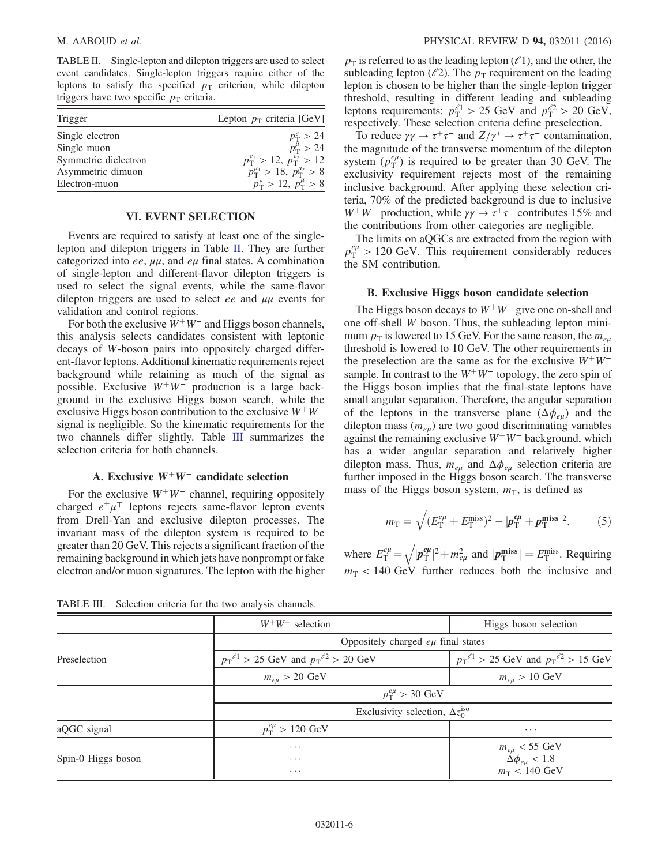TABLE II. Single-lepton and dilepton triggers are used to select event candidates. Single-lepton triggers require either of the leptons to satisfy the specified  $p<sub>T</sub>$  criterion, while dilepton triggers have two specific  $p<sub>T</sub>$  criteria.

<span id="page-6-0"></span>

| Trigger              | Lepton $p_T$ criteria [GeV]                     |
|----------------------|-------------------------------------------------|
| Single electron      | $p_{\rm T}^e > 24$                              |
| Single muon          | $p_{\rm T}^{\mu} > 24$                          |
| Symmetric dielectron | $p_T^{e_1} > 12, p_T^{e_2} > 12$                |
| Asymmetric dimuon    | $p_{\rm T}^{\mu_1} > 18, p_{\rm T}^{\mu_2} > 8$ |
| Electron-muon        | $p_T^e > 12, p_T^{\mu} > 8$                     |

#### VI. EVENT SELECTION

Events are required to satisfy at least one of the singlelepton and dilepton triggers in Table [II](#page-5-1). They are further categorized into ee,  $\mu\mu$ , and  $e\mu$  final states. A combination of single-lepton and different-flavor dilepton triggers is used to select the signal events, while the same-flavor dilepton triggers are used to select ee and  $\mu\mu$  events for validation and control regions.

For both the exclusive  $W^+W^-$  and Higgs boson channels, this analysis selects candidates consistent with leptonic decays of W-boson pairs into oppositely charged different-flavor leptons. Additional kinematic requirements reject background while retaining as much of the signal as possible. Exclusive  $W^+W^-$  production is a large background in the exclusive Higgs boson search, while the exclusive Higgs boson contribution to the exclusive  $W^+W^$ signal is negligible. So the kinematic requirements for the two channels differ slightly. Table [III](#page-5-2) summarizes the selection criteria for both channels.

#### A. Exclusive  $W^+W^-$  candidate selection

For the exclusive  $W^+W^-$  channel, requiring oppositely charged  $e^{\pm} \mu^{\mp}$  leptons rejects same-flavor lepton events from Drell-Yan and exclusive dilepton processes. The invariant mass of the dilepton system is required to be greater than 20 GeV. This rejects a significant fraction of the remaining background in which jets have nonprompt or fake electron and/or muon signatures. The lepton with the higher <span id="page-6-1"></span> $p<sub>T</sub>$  is referred to as the leading lepton ( $\ell$ 1), and the other, the subleading lepton ( $l^2$ ). The  $p_T$  requirement on the leading lepton is chosen to be higher than the single-lepton trigger threshold, resulting in different leading and subleading leptons requirements:  $p_T^{\ell_1} > 25$  GeV and  $p_T^{\ell_2} > 20$  GeV, respectively. These selection criteria define preselection.

To reduce  $\gamma \gamma \to \tau^+ \tau^-$  and  $Z/\gamma^* \to \tau^+ \tau^-$  contamination, the magnitude of the transverse momentum of the dilepton system  $(\rho_T^{e\mu})$  is required to be greater than 30 GeV. The exclusivity requirement rejects most of the remaining inclusive background. After applying these selection criteria, 70% of the predicted background is due to inclusive W<sup>+</sup>W<sup>−</sup> production, while  $\gamma\gamma \to \tau^+\tau^-$  contributes 15% and the contributions from other categories are negligible.

The limits on aQGCs are extracted from the region with  $p_{\rm T}^{e\mu} > 120$  GeV. This requirement considerably reduces the SM contribution.

#### B. Exclusive Higgs boson candidate selection

The Higgs boson decays to  $W^+W^-$  give one on-shell and one off-shell W boson. Thus, the subleading lepton minimum  $p_T$  is lowered to 15 GeV. For the same reason, the  $m_{eu}$ threshold is lowered to 10 GeV. The other requirements in the preselection are the same as for the exclusive  $W^+W^$ sample. In contrast to the  $W^+W^-$  topology, the zero spin of the Higgs boson implies that the final-state leptons have small angular separation. Therefore, the angular separation of the leptons in the transverse plane  $(\Delta \phi_{e\mu})$  and the dilepton mass  $(m_{e\mu})$  are two good discriminating variables against the remaining exclusive  $W^+W^-$  background, which has a wider angular separation and relatively higher dilepton mass. Thus,  $m_{e\mu}$  and  $\Delta\phi_{e\mu}$  selection criteria are further imposed in the Higgs boson search. The transverse mass of the Higgs boson system,  $m<sub>T</sub>$ , is defined as

$$
m_{\rm T} = \sqrt{(E_{\rm T}^{e\mu} + E_{\rm T}^{\rm miss})^2 - |\bm{p}_{\rm T}^{\bm{e}\mu} + \bm{p}_{\rm T}^{\rm miss}|^2},\tag{5}
$$

where  $E_T^{e\mu} = \sqrt{|\vec{p}_T^{e\mu}|^2 + m_{e\mu}^2}$  and  $|\vec{p}_T^{\text{miss}}| = E_T^{\text{miss}}$ . Requiring  $m<sub>T</sub>$  < 140 GeV further reduces both the inclusive and

TABLE III. Selection criteria for the two analysis channels.

|                    | $W^+W^-$ selection                                  | Higgs boson selection                                                                      |  |  |  |  |
|--------------------|-----------------------------------------------------|--------------------------------------------------------------------------------------------|--|--|--|--|
|                    | Oppositely charged $e\mu$ final states              |                                                                                            |  |  |  |  |
| Preselection       | $p_T^{\ell_1} > 25$ GeV and $p_T^{\ell_2} > 20$ GeV | $p_T^{\ell_1} > 25$ GeV and $p_T^{\ell_2} > 15$ GeV                                        |  |  |  |  |
|                    | $m_{e\mu} > 20 \text{ GeV}$                         | $m_{e\mu} > 10 \text{ GeV}$                                                                |  |  |  |  |
|                    |                                                     | $p_T^{e\mu} > 30$ GeV                                                                      |  |  |  |  |
|                    |                                                     | Exclusivity selection, $\Delta z_0^{\text{iso}}$                                           |  |  |  |  |
| aQGC signal        | $p_{\rm T}^{e\mu} > 120~{\rm GeV}$                  | $\cdots$                                                                                   |  |  |  |  |
|                    | $\cdots$                                            | $\begin{array}{l} m_{e\mu} < 55 \,\, \mathrm{GeV} \\ \Delta \phi_{e\mu} < 1.8 \end{array}$ |  |  |  |  |
| Spin-0 Higgs boson | $\cdots$<br>$\cdots$                                | $m_T < 140 \text{ GeV}$                                                                    |  |  |  |  |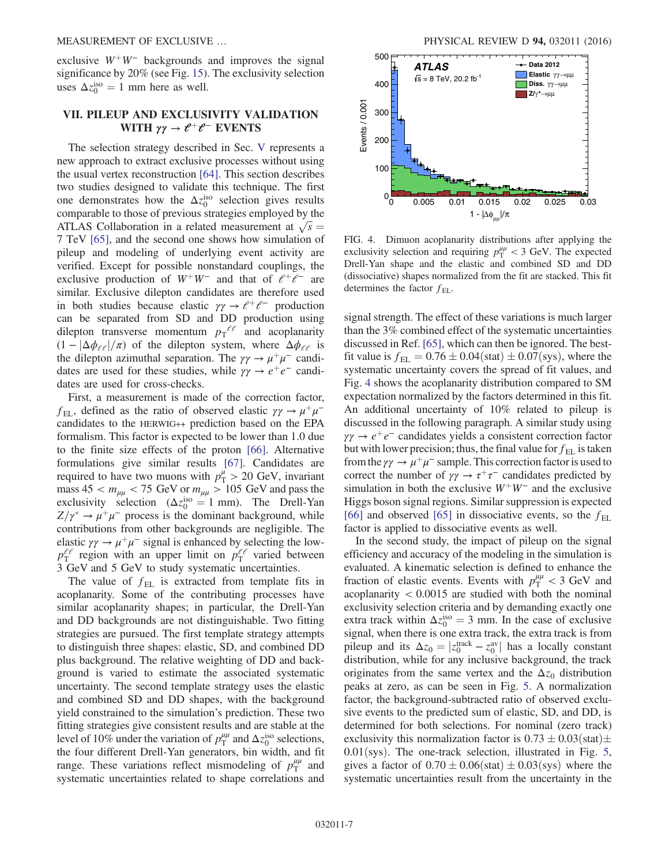<span id="page-7-2"></span>exclusive  $W^+W^-$  backgrounds and improves the signal significance by 20% (see Fig. [15](#page-14-0)). The exclusivity selection uses  $\Delta z_0^{\text{iso}} = 1$  mm here as well.

### VII. PILEUP AND EXCLUSIVITY VALIDATION WITH  $\gamma \gamma \to \ell^+ \ell^-$  EVENTS

The selection strategy described in Sec. [V](#page-4-1) represents a new approach to extract exclusive processes without using the usual vertex reconstruction [\[64\].](#page-17-34) This section describes two studies designed to validate this technique. The first one demonstrates how the  $\Delta z_0^{\text{iso}}$  selection gives results comparable to those of previous strategies employed by the ATLAS Collaboration in a related measurement at  $\sqrt{s} =$ 7 TeV [\[65\],](#page-17-35) and the second one shows how simulation of pileup and modeling of underlying event activity are verified. Except for possible nonstandard couplings, the exclusive production of  $W^+W^-$  and that of  $e^+e^-$  are similar. Exclusive dilepton candidates are therefore used in both studies because elastic  $\gamma \gamma \rightarrow e^+e^-$  production can be separated from SD and DD production using dilepton transverse momentum  $p_T^{\ell\ell}$  and acoplanarity  $(1 - |\Delta \phi_{\ell\ell}|/\pi)$  of the dilepton system, where  $\Delta \phi_{\ell\ell}$  is the dilepton azimuthal separation. The  $\gamma \gamma \rightarrow \mu^+ \mu^-$  candidates are used for these studies, while  $\gamma \gamma \rightarrow e^+e^-$  candidates are used for cross-checks.

<span id="page-7-3"></span>First, a measurement is made of the correction factor,  $f_{\text{EL}}$ , defined as the ratio of observed elastic  $\gamma \gamma \rightarrow \mu^+ \mu^$ candidates to the HERWIG++ prediction based on the EPA formalism. This factor is expected to be lower than 1.0 due to the finite size effects of the proton [\[66\]](#page-18-0). Alternative formulations give similar results [\[67\]](#page-18-1). Candidates are required to have two muons with  $p_T^{\mu} > 20$  GeV, invariant mass  $45 < m_{\mu\mu} < 75 \text{ GeV}$  or  $m_{\mu\mu} > 105 \text{ GeV}$  and pass the exclusivity selection  $(\Delta z_0^{\text{iso}} = 1 \text{ mm})$ . The Drell-Yan  $Z/\gamma^* \to \mu^+ \mu^-$  process is the dominant background, while contributions from other backgrounds are negligible. The elastic  $\gamma \gamma \rightarrow \mu^+ \mu^-$  signal is enhanced by selecting the low $p_T^{\ell\ell}$  region with an upper limit on  $p_T^{\ell\ell}$  varied between 3 GeV and 5 GeV to study systematic uncertainties.

<span id="page-7-0"></span>The value of  $f_{EL}$  is extracted from template fits in acoplanarity. Some of the contributing processes have similar acoplanarity shapes; in particular, the Drell-Yan and DD backgrounds are not distinguishable. Two fitting strategies are pursued. The first template strategy attempts to distinguish three shapes: elastic, SD, and combined DD plus background. The relative weighting of DD and background is varied to estimate the associated systematic uncertainty. The second template strategy uses the elastic and combined SD and DD shapes, with the background yield constrained to the simulation's prediction. These two fitting strategies give consistent results and are stable at the level of 10% under the variation of  $p_T^{\mu\mu}$  and  $\Delta z_0^{\text{iso}}$  selections, the four different Drell-Yan generators, bin width, and fit range. These variations reflect mismodeling of  $p_T^{\mu\mu}$  and systematic uncertainties related to shape correlations and



<span id="page-7-1"></span>FIG. 4. Dimuon acoplanarity distributions after applying the exclusivity selection and requiring  $p_T^{\mu\mu} < 3$  GeV. The expected Drell-Yan shape and the elastic and combined SD and DD (dissociative) shapes normalized from the fit are stacked. This fit determines the factor  $f_{EL}$ .

signal strength. The effect of these variations is much larger than the 3% combined effect of the systematic uncertainties discussed in Ref. [\[65\]](#page-17-35), which can then be ignored. The bestfit value is  $f_{EL} = 0.76 \pm 0.04$  (stat)  $\pm 0.07$  (sys), where the systematic uncertainty covers the spread of fit values, and Fig. [4](#page-6-1) shows the acoplanarity distribution compared to SM expectation normalized by the factors determined in this fit. An additional uncertainty of 10% related to pileup is discussed in the following paragraph. A similar study using  $\gamma \gamma \rightarrow e^+e^-$  candidates yields a consistent correction factor but with lower precision; thus, the final value for  $f_{\text{EL}}$  is taken from the  $\gamma \gamma \rightarrow \mu^+ \mu^-$  sample. This correction factor is used to correct the number of  $\gamma \gamma \rightarrow \tau^+ \tau^-$  candidates predicted by simulation in both the exclusive  $W^+W^-$  and the exclusive Higgs boson signal regions. Similar suppression is expected [\[66\]](#page-18-0) and observed [\[65\]](#page-17-35) in dissociative events, so the  $f_{\text{EL}}$ factor is applied to dissociative events as well.

In the second study, the impact of pileup on the signal efficiency and accuracy of the modeling in the simulation is evaluated. A kinematic selection is defined to enhance the fraction of elastic events. Events with  $p_T^{\mu\mu} < 3$  GeV and acoplanarity  $< 0.0015$  are studied with both the nominal exclusivity selection criteria and by demanding exactly one extra track within  $\Delta z_0^{\text{iso}} = 3$  mm. In the case of exclusive signal, when there is one extra track, the extra track is from pileup and its  $\Delta z_0 = |z_0^{\text{track}} - z_0^{\text{av}}|$  has a locally constant distribution, while for any inclusive background, the track originates from the same vertex and the  $\Delta z_0$  distribution peaks at zero, as can be seen in Fig. [5](#page-7-2). A normalization factor, the background-subtracted ratio of observed exclusive events to the predicted sum of elastic, SD, and DD, is determined for both selections. For nominal (zero track) exclusivity this normalization factor is  $0.73 \pm 0.03$  (stat) $\pm$  $0.01$ (sys). The one-track selection, illustrated in Fig. [5](#page-7-2), gives a factor of  $0.70 \pm 0.06$ (stat)  $\pm 0.03$ (sys) where the systematic uncertainties result from the uncertainty in the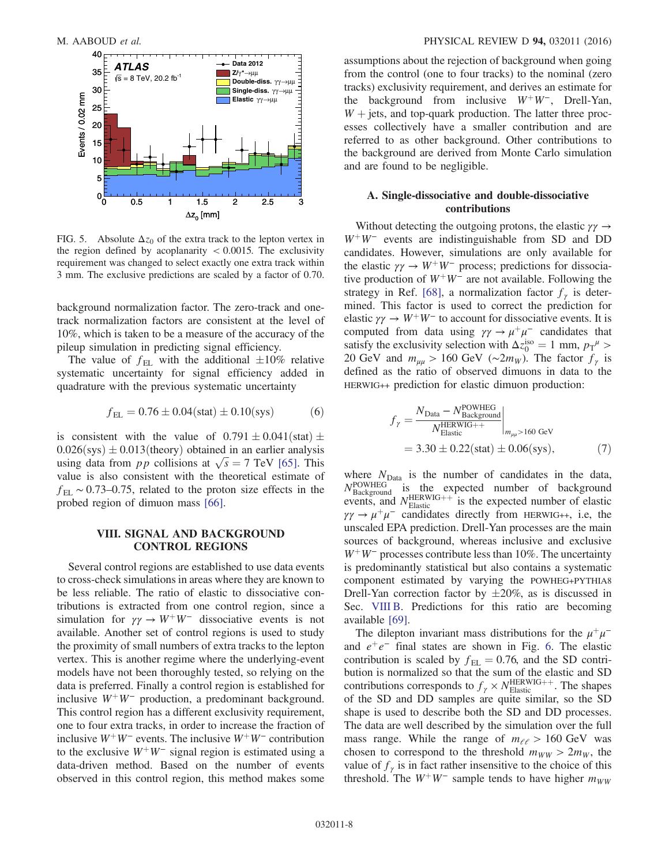<span id="page-8-1"></span>

FIG. 5. Absolute  $\Delta z_0$  of the extra track to the lepton vertex in the region defined by acoplanarity  $< 0.0015$ . The exclusivity requirement was changed to select exactly one extra track within 3 mm. The exclusive predictions are scaled by a factor of 0.70.

background normalization factor. The zero-track and onetrack normalization factors are consistent at the level of 10%, which is taken to be a measure of the accuracy of the pileup simulation in predicting signal efficiency.

The value of  $f_{EL}$  with the additional  $\pm 10\%$  relative systematic uncertainty for signal efficiency added in quadrature with the previous systematic uncertainty

$$
f_{\rm EL} = 0.76 \pm 0.04 \text{(stat)} \pm 0.10 \text{(sys)} \tag{6}
$$

is consistent with the value of  $0.791 \pm 0.041$  (stat)  $\pm$  $0.026$ (sys)  $\pm 0.013$ (theory) obtained in an earlier analysis using data from pp collisions at  $\sqrt{s} = 7$  TeV [\[65\].](#page-17-35) This value is also consistent with the theoretical estimate of  $f_{\text{EL}} \sim 0.73{\text{-}}0.75$ , related to the proton size effects in the probed region of dimuon mass [\[66\]](#page-18-0).

#### <span id="page-8-0"></span>VIII. SIGNAL AND BACKGROUND CONTROL REGIONS

Several control regions are established to use data events to cross-check simulations in areas where they are known to be less reliable. The ratio of elastic to dissociative contributions is extracted from one control region, since a simulation for  $\gamma \gamma \rightarrow W^+W^-$  dissociative events is not available. Another set of control regions is used to study the proximity of small numbers of extra tracks to the lepton vertex. This is another regime where the underlying-event models have not been thoroughly tested, so relying on the data is preferred. Finally a control region is established for inclusive  $W^+W^-$  production, a predominant background. This control region has a different exclusivity requirement, one to four extra tracks, in order to increase the fraction of inclusive  $W^+W^-$  events. The inclusive  $W^+W^-$  contribution to the exclusive  $W^+W^-$  signal region is estimated using a data-driven method. Based on the number of events observed in this control region, this method makes some assumptions about the rejection of background when going from the control (one to four tracks) to the nominal (zero tracks) exclusivity requirement, and derives an estimate for the background from inclusive  $W^+W^-$ , Drell-Yan,  $W +$  jets, and top-quark production. The latter three processes collectively have a smaller contribution and are referred to as other background. Other contributions to the background are derived from Monte Carlo simulation and are found to be negligible.

#### A. Single-dissociative and double-dissociative contributions

Without detecting the outgoing protons, the elastic  $\gamma \gamma \rightarrow$  $W^+W^-$  events are indistinguishable from SD and DD candidates. However, simulations are only available for the elastic  $\gamma \gamma \rightarrow W^+W^-$  process; predictions for dissociative production of  $W^+W^-$  are not available. Following the strategy in Ref. [\[68\],](#page-18-2) a normalization factor  $f_{\gamma}$  is determined. This factor is used to correct the prediction for elastic  $\gamma \gamma \rightarrow W^+W^-$  to account for dissociative events. It is computed from data using  $\gamma \gamma \rightarrow \mu^+ \mu^-$  candidates that satisfy the exclusivity selection with  $\Delta z_0^{\text{iso}} = 1$  mm,  $p_T^{\mu} >$ 20 GeV and  $m_{\mu\mu} > 160$  GeV (~2 $m_W$ ). The factor  $f_\gamma$  is defined as the ratio of observed dimuons in data to the HERWIG++ prediction for elastic dimuon production:

$$
f_{\gamma} = \frac{N_{\text{Data}} - N_{\text{Background}}^{\text{POWHEG}}}{N_{\text{Elastic}}^{\text{HERWIG++}}} \Big|_{m_{\mu\mu} > 160 \text{ GeV}}
$$
  
= 3.30 ± 0.22(stat) ± 0.06(sys), (7)

where  $N_{\text{Data}}$  is the number of candidates in the data, N<sup>POWHEG</sup> is the expected number of background events, and  $N_{\text{Elastic}}^{\text{HERWIG++}}$  is the expected number of elastic  $\gamma \gamma \rightarrow \mu^+ \mu^-$  candidates directly from HERWIG++, i.e, the unscaled EPA prediction. Drell-Yan processes are the main sources of background, whereas inclusive and exclusive  $W^+W^-$  processes contribute less than 10%. The uncertainty is predominantly statistical but also contains a systematic component estimated by varying the POWHEG+PYTHIA8 Drell-Yan correction factor by  $\pm 20\%$ , as is discussed in Sec. [VIII B.](#page-8-0) Predictions for this ratio are becoming available [\[69\].](#page-18-3)

<span id="page-8-2"></span>The dilepton invariant mass distributions for the  $\mu^+\mu^$ and  $e^+e^-$  final states are shown in Fig. [6.](#page-8-1) The elastic contribution is scaled by  $f_{\text{EL}} = 0.76$ , and the SD contribution is normalized so that the sum of the elastic and SD contributions corresponds to  $f_{\gamma} \times N_{\text{Elastic}}^{\text{HERWIG++}}$ . The shapes of the SD and DD samples are quite similar, so the SD shape is used to describe both the SD and DD processes. The data are well described by the simulation over the full mass range. While the range of  $m_{\ell\ell} > 160 \text{ GeV}$  was chosen to correspond to the threshold  $m_{WW} > 2m_W$ , the value of  $f_{\gamma}$  is in fact rather insensitive to the choice of this threshold. The  $W^+W^-$  sample tends to have higher  $m_{WW}$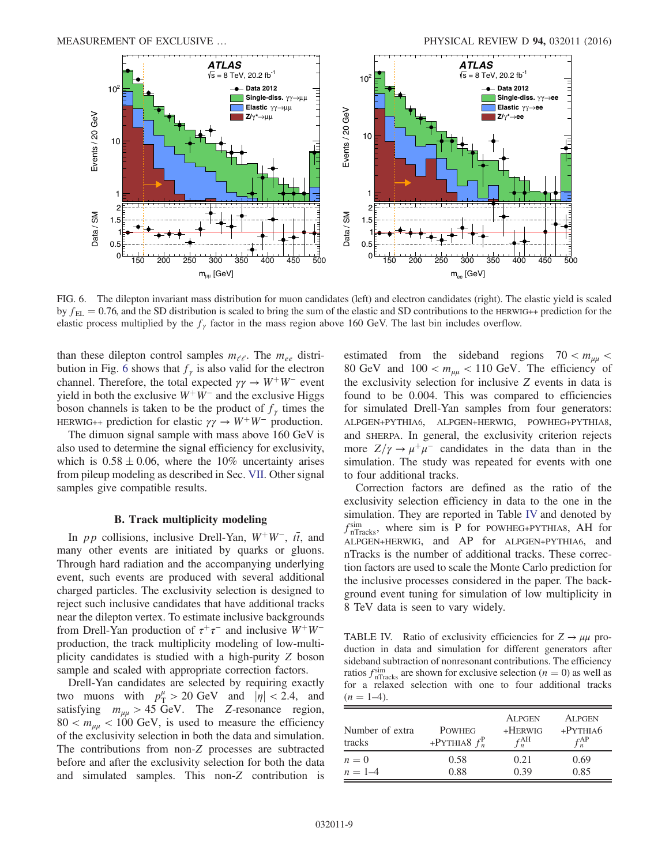<span id="page-9-1"></span>

FIG. 6. The dilepton invariant mass distribution for muon candidates (left) and electron candidates (right). The elastic yield is scaled by  $f_{\text{EL}} = 0.76$ , and the SD distribution is scaled to bring the sum of the elastic and SD contributions to the HERWIG++ prediction for the elastic process multiplied by the  $f<sub>\gamma</sub>$  factor in the mass region above 160 GeV. The last bin includes overflow.

than these dilepton control samples  $m_{\ell\ell}$ . The  $m_{ee}$  distri-bution in Fig. [6](#page-8-1) shows that  $f_{\gamma}$  is also valid for the electron channel. Therefore, the total expected  $\gamma \gamma \rightarrow W^+W^-$  event yield in both the exclusive  $W^+W^-$  and the exclusive Higgs boson channels is taken to be the product of  $f_{\gamma}$  times the HERWIG++ prediction for elastic  $\gamma \gamma \rightarrow W^+W^-$  production.

The dimuon signal sample with mass above 160 GeV is also used to determine the signal efficiency for exclusivity, which is  $0.58 \pm 0.06$ , where the 10% uncertainty arises from pileup modeling as described in Sec. [VII.](#page-6-0) Other signal samples give compatible results.

#### B. Track multiplicity modeling

In *pp* collisions, inclusive Drell-Yan,  $W^+W^-$ ,  $t\bar{t}$ , and many other events are initiated by quarks or gluons. Through hard radiation and the accompanying underlying event, such events are produced with several additional charged particles. The exclusivity selection is designed to reject such inclusive candidates that have additional tracks near the dilepton vertex. To estimate inclusive backgrounds from Drell-Yan production of  $\tau^+\tau^-$  and inclusive  $W^+W^$ production, the track multiplicity modeling of low-multiplicity candidates is studied with a high-purity Z boson sample and scaled with appropriate correction factors.

<span id="page-9-0"></span>Drell-Yan candidates are selected by requiring exactly two muons with  $p_T^{\mu} > 20 \text{ GeV}$  and  $|\eta| < 2.4$ , and satisfying  $m_{\mu\mu} > 45$  GeV. The Z-resonance region,  $80 < m_{\mu\mu} < 100$  GeV, is used to measure the efficiency of the exclusivity selection in both the data and simulation. The contributions from non-Z processes are subtracted before and after the exclusivity selection for both the data and simulated samples. This non-Z contribution is estimated from the sideband regions  $70 < m_{\mu\mu}$ 80 GeV and  $100 < m_{\mu\mu} < 110$  GeV. The efficiency of the exclusivity selection for inclusive Z events in data is found to be 0.004. This was compared to efficiencies for simulated Drell-Yan samples from four generators: ALPGEN+PYTHIA6, ALPGEN+HERWIG, POWHEG+PYTHIA8, and SHERPA. In general, the exclusivity criterion rejects more  $Z/\gamma \rightarrow \mu^+\mu^-$  candidates in the data than in the simulation. The study was repeated for events with one to four additional tracks.

<span id="page-9-2"></span>Correction factors are defined as the ratio of the exclusivity selection efficiency in data to the one in the simulation. They are reported in Table [IV](#page-8-2) and denoted by  $f_{n\text{Tracks}}^{\text{sim}}$ , where sim is P for POWHEG+PYTHIA8, AH for ALPGEN+HERWIG, and AP for ALPGEN+PYTHIA6, and nTracks is the number of additional tracks. These correction factors are used to scale the Monte Carlo prediction for the inclusive processes considered in the paper. The background event tuning for simulation of low multiplicity in 8 TeV data is seen to vary widely.

TABLE IV. Ratio of exclusivity efficiencies for  $Z \rightarrow \mu\mu$  production in data and simulation for different generators after sideband subtraction of nonresonant contributions. The efficiency ratios  $f_{n\text{Tracks}}^{\text{sim}}$  are shown for exclusive selection ( $n = 0$ ) as well as for a relaxed selection with one to four additional tracks  $(n = 1-4)$ .

| Number of extra<br>tracks | <b>POWHEG</b><br>+PYTHIA8 $f_n^P$ | <b>ALPGEN</b><br>$+$ HERWIG<br>$f_n^{\text{AH}}$ | <b>ALPGEN</b><br>$+$ PYTHIA6<br>$f_n^{\text{AP}}$ |
|---------------------------|-----------------------------------|--------------------------------------------------|---------------------------------------------------|
| $n=0$                     | 0.58                              | 0.21                                             | 0.69                                              |
| $n = 1 - 4$               | 0.88                              | 0.39                                             | 0.85                                              |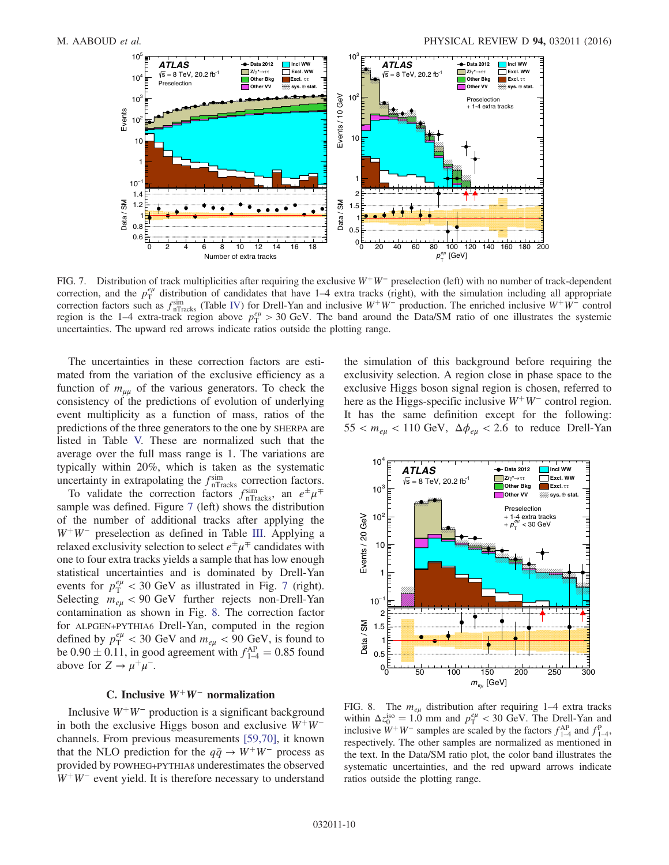<span id="page-10-0"></span>

FIG. 7. Distribution of track multiplicities after requiring the exclusive  $W^+W^-$  preselection (left) with no number of track-dependent correction, and the  $p_T^{e\mu}$  distribution of candidates that have 1–4 extra tracks (right), with the simulation including all appropriate correction factors such as  $f_{nTracks}^{sim}$  (Table [IV](#page-8-2)) for Drell-Yan and inclusive W<sup>+</sup>W<sup>−</sup> production. The enriched inclusive W<sup>+</sup>W<sup>−</sup> control region is the 1–4 extra-track region above  $p_T^{e\mu} > 30$  GeV. The band around the Data/SM ratio of one illustrates the systemic uncertainties. The upward red arrows indicate ratios outside the plotting range.

The uncertainties in these correction factors are estimated from the variation of the exclusive efficiency as a function of  $m_{\mu\mu}$  of the various generators. To check the consistency of the predictions of evolution of underlying event multiplicity as a function of mass, ratios of the predictions of the three generators to the one by SHERPA are listed in Table [V.](#page-10-0) These are normalized such that the average over the full mass range is 1. The variations are typically within 20%, which is taken as the systematic uncertainty in extrapolating the  $f_{n\text{Tracks}}^{\text{sim}}$  correction factors.

<span id="page-10-3"></span><span id="page-10-1"></span>To validate the correction factors  $f_{n\text{Tracks}}^{\text{sim}}$ , an  $e^{\pm}\mu^{\mp}$ sample was defined. Figure [7](#page-9-1) (left) shows the distribution of the number of additional tracks after applying the  $W^+W^-$  preselection as defined in Table [III](#page-5-2). Applying a relaxed exclusivity selection to select  $e^{\pm}\mu^{\mp}$  candidates with one to four extra tracks yields a sample that has low enough statistical uncertainties and is dominated by Drell-Yan events for  $p_T^{e\mu} < 30$  GeV as illustrated in Fig. [7](#page-9-1) (right). Selecting  $m_{e\mu}$  < 90 GeV further rejects non-Drell-Yan contamination as shown in Fig. [8](#page-9-2). The correction factor for ALPGEN+PYTHIA6 Drell-Yan, computed in the region defined by  $p_T^{e\mu} < 30$  GeV and  $m_{e\mu} < 90$  GeV, is found to be  $0.90 \pm 0.11$ , in good agreement with  $f_{1-4}^{AP} = 0.85$  found above for  $Z \to \mu^+ \mu^-$ .

#### C. Inclusive  $W^+W^-$  normalization

Inclusive  $W^+W^-$  production is a significant background in both the exclusive Higgs boson and exclusive  $W^+W^$ channels. From previous measurements [\[59,70\]](#page-17-30), it known that the NLO prediction for the  $q\bar{q} \rightarrow W^+W^-$  process as provided by POWHEG+PYTHIA8 underestimates the observed  $W^+W^-$  event yield. It is therefore necessary to understand the simulation of this background before requiring the exclusivity selection. A region close in phase space to the exclusive Higgs boson signal region is chosen, referred to here as the Higgs-specific inclusive  $W^+W^-$  control region. It has the same definition except for the following:  $55 < m_{eu} < 110$  GeV,  $\Delta \phi_{eu} < 2.6$  to reduce Drell-Yan

<span id="page-10-2"></span>

FIG. 8. The  $m_{e\mu}$  distribution after requiring 1–4 extra tracks within  $\Delta z_0^{iso} = 1.0$  mm and  $p_T^{e\mu} < 30$  GeV. The Drell-Yan and inclusive  $W^+W^-$  samples are scaled by the factors  $f_{1-4}^{AP}$  and  $f_{1-4}^{P}$ , respectively. The other samples are normalized as mentioned in the text. In the Data/SM ratio plot, the color band illustrates the systematic uncertainties, and the red upward arrows indicate ratios outside the plotting range.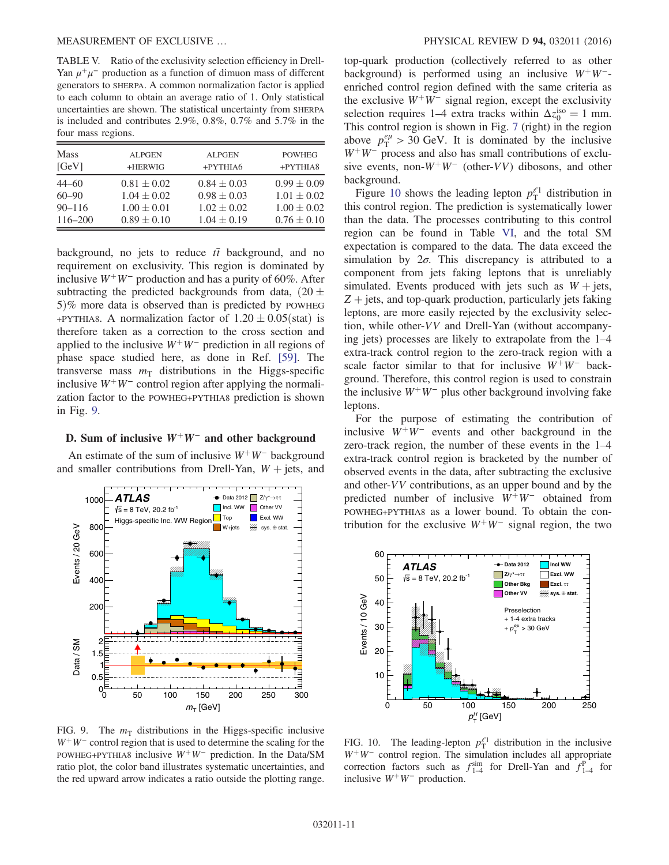<span id="page-11-1"></span>TABLE V. Ratio of the exclusivity selection efficiency in Drell-Yan  $\mu^+\mu^-$  production as a function of dimuon mass of different generators to SHERPA. A common normalization factor is applied to each column to obtain an average ratio of 1. Only statistical uncertainties are shown. The statistical uncertainty from SHERPA is included and contributes 2.9%, 0.8%, 0.7% and 5.7% in the four mass regions.

| <b>Mass</b> | <b>ALPGEN</b>   | <b>ALPGEN</b>   | <b>POWHEG</b>   |
|-------------|-----------------|-----------------|-----------------|
| [GeV]       | +HERWIG         | +PYTHIA6        | +PYTHIA8        |
| $44 - 60$   | $0.81 \pm 0.02$ | $0.84 \pm 0.03$ | $0.99 \pm 0.09$ |
| $60 - 90$   | $1.04 \pm 0.02$ | $0.98 \pm 0.03$ | $1.01 \pm 0.02$ |
| $90 - 116$  | $1.00 \pm 0.01$ | $1.02 \pm 0.02$ | $1.00 \pm 0.02$ |
| 116-200     | $0.89 \pm 0.10$ | $1.04 \pm 0.19$ | $0.76 \pm 0.10$ |

background, no jets to reduce  $t\bar{t}$  background, and no requirement on exclusivity. This region is dominated by inclusive  $W^+W^-$  production and has a purity of 60%. After subtracting the predicted backgrounds from data,  $(20 \pm 1)$  $5\%$  more data is observed than is predicted by POWHEG +PYTHIA8. A normalization factor of  $1.20 \pm 0.05$ (stat) is therefore taken as a correction to the cross section and applied to the inclusive  $W^+W^-$  prediction in all regions of phase space studied here, as done in Ref. [\[59\].](#page-17-30) The transverse mass  $m<sub>T</sub>$  distributions in the Higgs-specific inclusive  $W^+W^-$  control region after applying the normalization factor to the POWHEG+PYTHIA8 prediction is shown in Fig. [9](#page-10-1).

#### D. Sum of inclusive  $W^+W^-$  and other background

An estimate of the sum of inclusive  $W^+W^-$  background and smaller contributions from Drell-Yan,  $W + jets$ , and



FIG. 9. The  $m<sub>T</sub>$  distributions in the Higgs-specific inclusive  $W^+W^-$  control region that is used to determine the scaling for the POWHEG+PYTHIA8 inclusive  $W^+W^-$  prediction. In the Data/SM ratio plot, the color band illustrates systematic uncertainties, and the red upward arrow indicates a ratio outside the plotting range.

<span id="page-11-2"></span>top-quark production (collectively referred to as other background) is performed using an inclusive  $W^+W^-$ enriched control region defined with the same criteria as the exclusive  $W^+W^-$  signal region, except the exclusivity selection requires 1–4 extra tracks within  $\Delta z_0^{\text{iso}} = 1$  mm. This control region is shown in Fig. [7](#page-9-1) (right) in the region above  $p_{\rm T}^{e\mu} > 30$  GeV. It is dominated by the inclusive  $W^+W^-$  process and also has small contributions of exclusive events, non- $W^+W^-$  (other-VV) dibosons, and other background.

<span id="page-11-0"></span>Figure [10](#page-10-2) shows the leading lepton  $p_T^{\ell_1}$  distribution in this control region. The prediction is systematically lower than the data. The processes contributing to this control region can be found in Table [VI](#page-11-1), and the total SM expectation is compared to the data. The data exceed the simulation by  $2\sigma$ . This discrepancy is attributed to a component from jets faking leptons that is unreliably simulated. Events produced with jets such as  $W +$  jets,  $Z$  + jets, and top-quark production, particularly jets faking leptons, are more easily rejected by the exclusivity selection, while other-VV and Drell-Yan (without accompanying jets) processes are likely to extrapolate from the 1–4 extra-track control region to the zero-track region with a scale factor similar to that for inclusive  $W^+W^-$  background. Therefore, this control region is used to constrain the inclusive  $W^+W^-$  plus other background involving fake leptons.

For the purpose of estimating the contribution of inclusive  $W^+W^-$  events and other background in the zero-track region, the number of these events in the 1–4 extra-track control region is bracketed by the number of observed events in the data, after subtracting the exclusive and other-VV contributions, as an upper bound and by the predicted number of inclusive  $W^+W^-$  obtained from POWHEG+PYTHIA8 as a lower bound. To obtain the contribution for the exclusive  $W^+W^-$  signal region, the two

<span id="page-11-3"></span>

FIG. 10. The leading-lepton  $p_T^{\ell_1}$  distribution in the inclusive  $W^+W^-$  control region. The simulation includes all appropriate correction factors such as  $f_{1-4}^{\text{sim}}$  for Drell-Yan and  $f_{1-4}^{\text{p}}$  for inclusive  $W^+W^-$  production.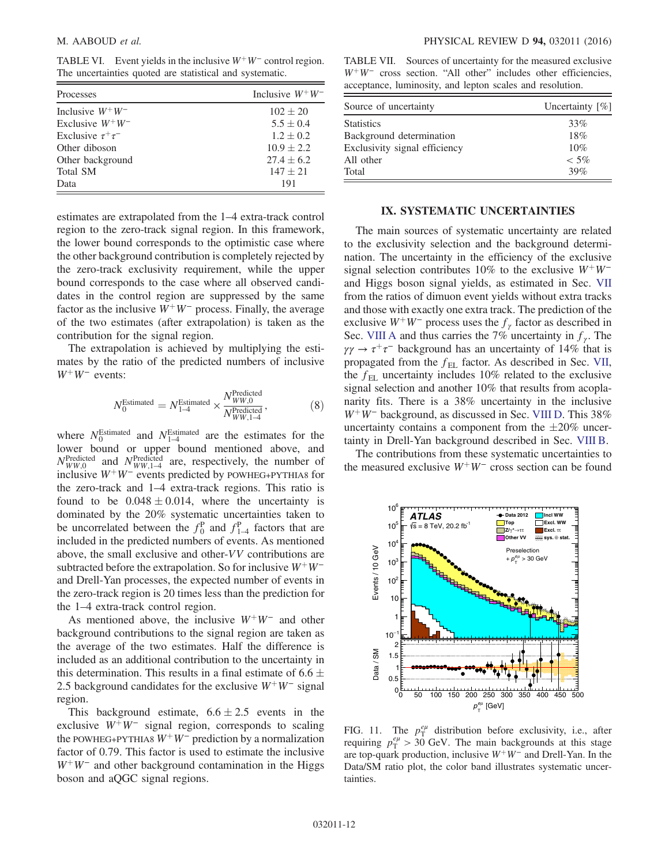<span id="page-12-1"></span>TABLE VI. Event yields in the inclusive  $W^+W^-$  control region. The uncertainties quoted are statistical and systematic.

| Processes                | Inclusive $W^+W^-$ |
|--------------------------|--------------------|
| Inclusive $W^+W^-$       | $102 \pm 20$       |
| Exclusive $W^+W^-$       | $5.5 \pm 0.4$      |
| Exclusive $\tau^+\tau^-$ | $1.2 \pm 0.2$      |
| Other diboson            | $10.9 \pm 2.2$     |
| Other background         | $27.4 \pm 6.2$     |
| <b>Total SM</b>          | $147 + 21$         |
| Data                     | 191                |

estimates are extrapolated from the 1–4 extra-track control region to the zero-track signal region. In this framework, the lower bound corresponds to the optimistic case where the other background contribution is completely rejected by the zero-track exclusivity requirement, while the upper bound corresponds to the case where all observed candidates in the control region are suppressed by the same factor as the inclusive  $W^+W^-$  process. Finally, the average of the two estimates (after extrapolation) is taken as the contribution for the signal region.

<span id="page-12-0"></span>The extrapolation is achieved by multiplying the estimates by the ratio of the predicted numbers of inclusive  $W^+W^-$  events:

$$
N_0^{\text{Estimated}} = N_{1-4}^{\text{Estimated}} \times \frac{N_{WW,0}^{\text{Predicted}}}{N_{WW,1-4}^{\text{Predicted}}},\tag{8}
$$

<span id="page-12-3"></span>where  $N_0^{\text{Estimated}}$  and  $N_{1-4}^{\text{Estimated}}$  are the estimates for the lower bound or upper bound mentioned above, and  $N_{WW,0}^{\text{Predicted}}$  and  $N_{WW,1-4}^{\text{Predicted}}$  are, respectively, the number of inclusive  $W^+W^-$  events predicted by POWHEG+PYTHIA8 for the zero-track and 1–4 extra-track regions. This ratio is found to be  $0.048 \pm 0.014$ , where the uncertainty is dominated by the 20% systematic uncertainties taken to be uncorrelated between the  $f_0^P$  and  $f_{1-4}^P$  factors that are included in the predicted numbers of events. As mentioned above, the small exclusive and other-VV contributions are subtracted before the extrapolation. So for inclusive  $W^+W^$ and Drell-Yan processes, the expected number of events in the zero-track region is 20 times less than the prediction for the 1–4 extra-track control region.

<span id="page-12-2"></span>As mentioned above, the inclusive  $W^+W^-$  and other background contributions to the signal region are taken as the average of the two estimates. Half the difference is included as an additional contribution to the uncertainty in this determination. This results in a final estimate of 6.6  $\pm$ 2.5 background candidates for the exclusive  $W^+W^-$  signal region.

This background estimate,  $6.6 \pm 2.5$  events in the exclusive  $W^+W^-$  signal region, corresponds to scaling the POWHEG+PYTHIA8  $W^+W^-$  prediction by a normalization factor of 0.79. This factor is used to estimate the inclusive  $W^+W^-$  and other background contamination in the Higgs boson and aQGC signal regions.

TABLE VII. Sources of uncertainty for the measured exclusive  $W^+W^-$  cross section. "All other" includes other efficiencies, acceptance, luminosity, and lepton scales and resolution.

| Source of uncertainty         | Uncertainty $[\%]$ |
|-------------------------------|--------------------|
| <b>Statistics</b>             | 33%                |
| Background determination      | 18%                |
| Exclusivity signal efficiency | 10%                |
| All other                     | $<$ 5%             |
| Total                         | 39%                |

#### IX. SYSTEMATIC UNCERTAINTIES

The main sources of systematic uncertainty are related to the exclusivity selection and the background determination. The uncertainty in the efficiency of the exclusive signal selection contributes 10% to the exclusive  $W^+W^$ and Higgs boson signal yields, as estimated in Sec. [VII](#page-6-0) from the ratios of dimuon event yields without extra tracks and those with exactly one extra track. The prediction of the exclusive  $W^+W^-$  process uses the  $f_\gamma$  factor as described in Sec. [VIII A](#page-7-1) and thus carries the 7% uncertainty in  $f_{\gamma}$ . The  $\gamma \gamma \rightarrow \tau^+ \tau^-$  background has an uncertainty of 14% that is propagated from the  $f_{EL}$  factor. As described in Sec. [VII](#page-6-0), the  $f_{\text{EL}}$  uncertainty includes 10% related to the exclusive signal selection and another 10% that results from acoplanarity fits. There is a 38% uncertainty in the inclusive  $W^+W^-$  background, as discussed in Sec. [VIII D.](#page-10-3) This 38% uncertainty contains a component from the  $\pm 20\%$  uncertainty in Drell-Yan background described in Sec. [VIII B.](#page-8-0)

The contributions from these systematic uncertainties to the measured exclusive  $W^+W^-$  cross section can be found



FIG. 11. The  $p_T^{e\mu}$  distribution before exclusivity, i.e., after requiring  $p_T^{e\mu} > 30$  GeV. The main backgrounds at this stage are top-quark production, inclusive  $W^+W^-$  and Drell-Yan. In the Data/SM ratio plot, the color band illustrates systematic uncertainties.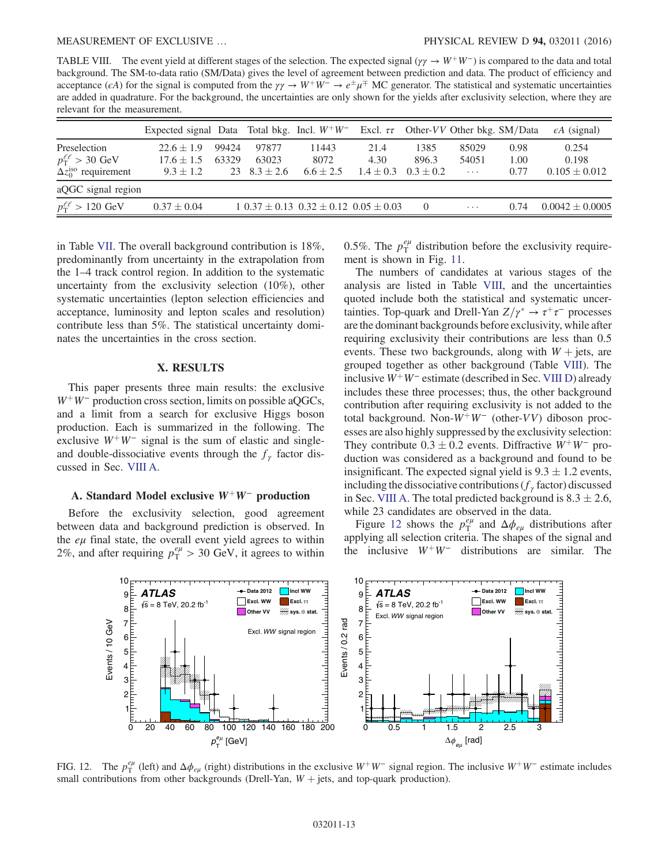<span id="page-13-0"></span>TABLE VIII. The event yield at different stages of the selection. The expected signal ( $\gamma \gamma \to W^+W^-$ ) is compared to the data and total background. The SM-to-data ratio (SM/Data) gives the level of agreement between prediction and data. The product of efficiency and acceptance ( $\epsilon A$ ) for the signal is computed from the  $\gamma\gamma \to W^+W^- \to e^{\pm}\mu^{\mp}$  MC generator. The statistical and systematic uncertainties are added in quadrature. For the background, the uncertainties are only shown for the yields after exclusivity selection, where they are relevant for the measurement.

|                                        | Expected signal Data Total bkg. Incl. $W^+W^-$ Excl. $\tau\tau$ Other-VV Other bkg. SM/Data |       |                  |                                                  |               |                |            |      | $\epsilon A$ (signal) |
|----------------------------------------|---------------------------------------------------------------------------------------------|-------|------------------|--------------------------------------------------|---------------|----------------|------------|------|-----------------------|
| Preselection                           | $22.6 \pm 1.9$                                                                              | 99424 | 97877            | 11443                                            | 21.4          | 1385           | 85029      | 0.98 | 0.254                 |
| $p_{\rm T}^{\ell\ell} > 30~{\rm GeV}$  | $17.6 \pm 1.5$                                                                              | 63329 | 63023            | 8072                                             | 4.30          | 896.3          | 54051      | 1.00 | 0.198                 |
| $\Delta z_0^{\text{iso}}$ requirement  | $9.3 \pm 1.2$                                                                               |       | 23 $8.3 \pm 2.6$ | $6.6 \pm 2.5$                                    | $1.4 \pm 0.3$ | $0.3 \pm 0.2$  | $\ldots$ . | 0.77 | $0.105 \pm 0.012$     |
| aQGC signal region                     |                                                                                             |       |                  |                                                  |               |                |            |      |                       |
| $p_{\rm T}^{\ell\ell} > 120~{\rm GeV}$ | $0.37 \pm 0.04$                                                                             |       |                  | $1\ 0.37 \pm 0.13\ 0.32 \pm 0.12\ 0.05 \pm 0.03$ |               | $\overline{0}$ | $\cdots$   | 0.74 | $0.0042 \pm 0.0005$   |

in Table [VII](#page-11-2). The overall background contribution is 18%, predominantly from uncertainty in the extrapolation from the 1–4 track control region. In addition to the systematic uncertainty from the exclusivity selection (10%), other systematic uncertainties (lepton selection efficiencies and acceptance, luminosity and lepton scales and resolution) contribute less than 5%. The statistical uncertainty dominates the uncertainties in the cross section.

#### X. RESULTS

This paper presents three main results: the exclusive  $W^+W^-$  production cross section, limits on possible aQGCs, and a limit from a search for exclusive Higgs boson production. Each is summarized in the following. The exclusive  $W^+W^-$  signal is the sum of elastic and singleand double-dissociative events through the  $f_{\gamma}$  factor discussed in Sec. [VIII A.](#page-7-1)

#### A. Standard Model exclusive  $W^+W^-$  production

Before the exclusivity selection, good agreement between data and background prediction is observed. In the  $e\mu$  final state, the overall event yield agrees to within 2%, and after requiring  $p_T^{e\mu} > 30$  GeV, it agrees to within

<span id="page-13-2"></span>0.5%. The  $p_T^{e\mu}$  distribution before the exclusivity requirement is shown in Fig. [11](#page-11-3).

The numbers of candidates at various stages of the analysis are listed in Table [VIII](#page-12-1), and the uncertainties quoted include both the statistical and systematic uncertainties. Top-quark and Drell-Yan  $Z/\gamma^* \rightarrow \tau^+\tau^-$  processes are the dominant backgrounds before exclusivity, while after requiring exclusivity their contributions are less than 0.5 events. These two backgrounds, along with  $W +$  jets, are grouped together as other background (Table [VIII](#page-12-1)). The inclusive  $W^+W^-$  estimate (described in Sec. [VIII D](#page-10-3)) already includes these three processes; thus, the other background contribution after requiring exclusivity is not added to the total background. Non- $W^+W^-$  (other-VV) diboson processes are also highly suppressed by the exclusivity selection: They contribute  $0.3 \pm 0.2$  events. Diffractive  $W^+W^-$  production was considered as a background and found to be insignificant. The expected signal yield is  $9.3 \pm 1.2$  events, including the dissociative contributions ( $f_\gamma$  factor) discussed in Sec. [VIII A.](#page-7-1) The total predicted background is  $8.3 \pm 2.6$ , while 23 candidates are observed in the data.

<span id="page-13-3"></span>Figure [12](#page-12-2) shows the  $p_T^{e\mu}$  and  $\Delta \phi_{e\mu}$  distributions after applying all selection criteria. The shapes of the signal and the inclusive  $W^+W^-$  distributions are similar. The

<span id="page-13-1"></span>

FIG. 12. The  $p_T^{e\mu}$  (left) and  $\Delta \phi_{e\mu}$  (right) distributions in the exclusive W<sup>+</sup>W<sup>−</sup> signal region. The inclusive W<sup>+</sup>W<sup>−</sup> estimate includes small contributions from other backgrounds (Drell-Yan,  $W +$  jets, and top-quark production).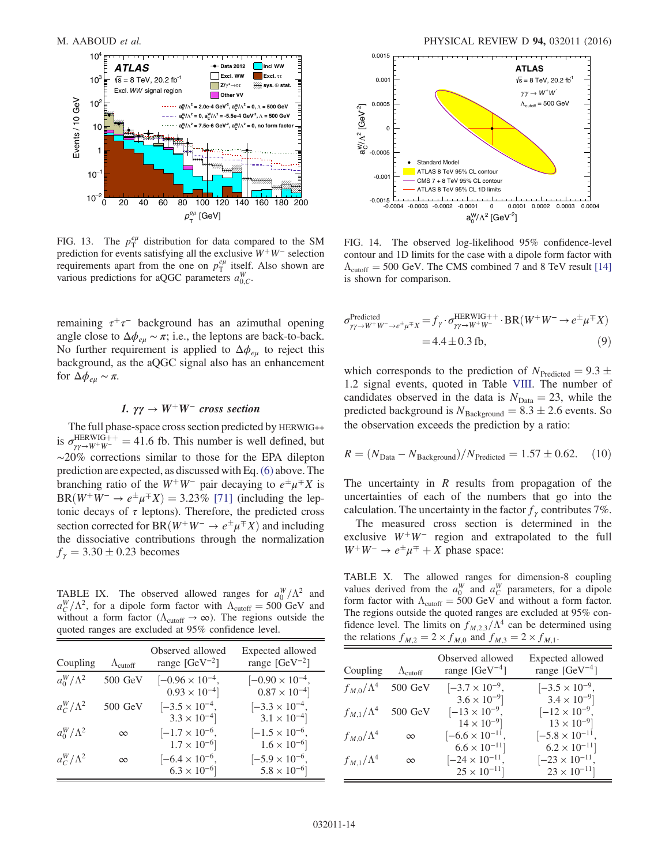<span id="page-14-1"></span>

FIG. 13. The  $p_T^{e\mu}$  distribution for data compared to the SM prediction for events satisfying all the exclusive  $W^+W^-$  selection requirements apart from the one on  $p_T^{e\mu}$  itself. Also shown are various predictions for aQGC parameters  $a_{0,C}^W$ .

remaining  $\tau^+\tau^-$  background has an azimuthal opening angle close to  $\Delta \phi_{eu} \sim \pi$ ; i.e., the leptons are back-to-back. No further requirement is applied to  $\Delta\phi_{e\mu}$  to reject this background, as the aQGC signal also has an enhancement for  $\Delta\phi_{e\mu} \sim \pi$ .

#### 1.  $\gamma\gamma \rightarrow W^{+}W^{-}$  cross section

The full phase-space cross section predicted by HERWIG++ is  $\sigma_{\gamma\gamma \to W^+ W^-}^{\text{HERWIG++}}$  = 41.6 fb. This number is well defined, but ∼20% corrections similar to those for the EPA dilepton prediction are expected, as discussed with Eq.[\(6\)](#page-7-3) above. The branching ratio of the  $W^+W^-$  pair decaying to  $e^{\pm}\mu^{\mp}X$  is BR $(W^+W^- \to e^{\pm} \mu^{\mp} X) = 3.23\%$  [\[71\]](#page-18-4) (including the leptonic decays of  $\tau$  leptons). Therefore, the predicted cross section corrected for BR $(W^+W^- \to e^{\pm} \mu^{\mp} X)$  and including the dissociative contributions through the normalization  $f_{\gamma} = 3.30 \pm 0.23$  becomes

<span id="page-14-0"></span>TABLE IX. The observed allowed ranges for  $a_0^W/\Lambda^2$  and  $a_C^W/\Lambda^2$ , for a dipole form factor with  $\Lambda_{\text{cutoff}} = 500 \text{ GeV}$  and without a form factor ( $\Lambda_{\text{cutoff}} \to \infty$ ). The regions outside the quoted ranges are excluded at 95% confidence level.

| Coupling          | $\Lambda_{\text{cutoff}}$ | Observed allowed<br>range $[GeV^{-2}]$            | Expected allowed<br>range $[GeV^{-2}]$            |
|-------------------|---------------------------|---------------------------------------------------|---------------------------------------------------|
| $a_0^W/\Lambda^2$ | $500$ GeV                 | $[-0.96 \times 10^{-4},$<br>$0.93 \times 10^{-4}$ | $[-0.90 \times 10^{-4},$<br>$0.87 \times 10^{-4}$ |
| $a_C^W/\Lambda^2$ | 500 GeV                   | $[-3.5 \times 10^{-4},$<br>$3.3 \times 10^{-4}$   | $[-3.3 \times 10^{-4},$<br>$3.1 \times 10^{-4}$   |
| $a_0^W/\Lambda^2$ | $\infty$                  | $[-1.7 \times 10^{-6},$<br>$1.7 \times 10^{-6}$   | $[-1.5 \times 10^{-6},$<br>$1.6 \times 10^{-6}$   |
| $a_C^W/\Lambda^2$ | $\infty$                  | $[-6.4 \times 10^{-6},$<br>$6.3 \times 10^{-6}$   | $[-5.9 \times 10^{-6},$<br>$5.8 \times 10^{-6}$   |



FIG. 14. The observed log-likelihood 95% confidence-level contour and 1D limits for the case with a dipole form factor with  $\Lambda_{\text{cutoff}} = 500 \text{ GeV}$ . The CMS combined 7 and 8 TeV result [\[14\]](#page-16-11) is shown for comparison.

$$
\sigma_{\gamma\gamma \to W^{+}W^{-} \to e^{\pm}\mu^{\mp}X}^{\text{Predirect}} = f_{\gamma} \cdot \sigma_{\gamma\gamma \to W^{+}W^{-}}^{\text{HERWIG++}} \cdot \text{BR}(W^{+}W^{-} \to e^{\pm}\mu^{\mp}X)
$$
  
= 4.4 ± 0.3 fb, (9)

which corresponds to the prediction of  $N_{\text{Predicted}} = 9.3 \pm$ 1.2 signal events, quoted in Table [VIII.](#page-12-1) The number of candidates observed in the data is  $N_{\text{Data}} = 23$ , while the predicted background is  $N_{\text{Background}} = 8.3 \pm 2.6$  events. So the observation exceeds the prediction by a ratio:

$$
R = (N_{\text{Data}} - N_{\text{Background}})/N_{\text{Predicted}} = 1.57 \pm 0.62. \quad (10)
$$

The uncertainty in  $R$  results from propagation of the uncertainties of each of the numbers that go into the calculation. The uncertainty in the factor  $f_\gamma$  contributes 7%.

The measured cross section is determined in the exclusive  $W^+W^-$  region and extrapolated to the full  $W^+W^- \rightarrow e^{\pm} \mu^{\mp} + X$  phase space:

TABLE X. The allowed ranges for dimension-8 coupling values derived from the  $a_0^W$  and  $a_C^W$  parameters, for a dipole form factor with  $\Lambda_{\text{cutoff}} = 500 \text{ GeV}$  and without a form factor. The regions outside the quoted ranges are excluded at 95% confidence level. The limits on  $f_{M,2,3}/\Lambda^4$  can be determined using the relations  $f_{M,2} = 2 \times f_{M,0}$  and  $f_{M,3} = 2 \times f_{M,1}$ .

|                     | ັ້ນ ການເລື                | .                                                  | $\mathcal{L}$ in $\mathcal{L}$                   |
|---------------------|---------------------------|----------------------------------------------------|--------------------------------------------------|
| Coupling            | $\Lambda_{\text{cutoff}}$ | Observed allowed<br>range $[GeV^{-4}]$             | Expected allowed<br>range $[GeV^{-4}]$           |
| $f_{M,0}/\Lambda^4$ | $500$ GeV                 | $ -3.7 \times 10^{-9}$ ,                           | $[-3.5 \times 10^{-9},$                          |
| $f_{M,1}/\Lambda^4$ | 500 GeV                   | $3.6 \times 10^{-9}$<br>$[-13 \times 10^{-9},$     | $3.4 \times 10^{-9}$<br>$[-12 \times 10^{-9},$   |
| $f_{M,0}/\Lambda^4$ | $\infty$                  | $14 \times 10^{-9}$<br>$[-6.6 \times 10^{-11}].$   | $13 \times 10^{-9}$<br>$[-5.8 \times 10^{-11},$  |
| $f_{M,1}/\Lambda^4$ | $\infty$                  | $6.6 \times 10^{-11}$<br>$[-24 \times 10^{-11}]$ , | $6.2 \times 10^{-11}$<br>$[-23 \times 10^{-11},$ |
|                     |                           | $25 \times 10^{-11}$                               | $23 \times 10^{-11}$                             |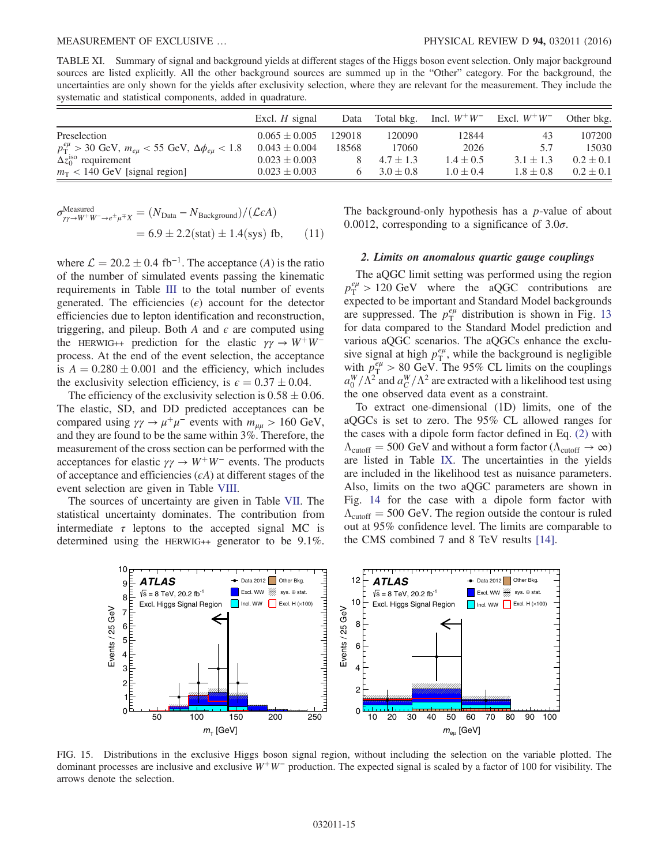TABLE XI. Summary of signal and background yields at different stages of the Higgs boson event selection. Only major background sources are listed explicitly. All the other background sources are summed up in the "Other" category. For the background, the uncertainties are only shown for the yields after exclusivity selection, where they are relevant for the measurement. They include the systematic and statistical components, added in quadrature.

|                                                                    | Excl. $H$ signal  | Data   | Total bkg.    | Incl. $W^+W^-$ | Excl. $W^+W^-$ | Other bkg.    |
|--------------------------------------------------------------------|-------------------|--------|---------------|----------------|----------------|---------------|
| Preselection                                                       | $0.065 \pm 0.005$ | 129018 | 120090        | 12844          | 43             | 107200        |
| $p_T^{e\mu} > 30$ GeV, $m_{eu} < 55$ GeV, $\Delta \phi_{eu} < 1.8$ | $0.043 \pm 0.004$ | 18568  | 17060         | 2026           | 5.7            | 15030         |
| $\Delta z_0^{\text{iso}}$ requirement                              | $0.023 \pm 0.003$ |        | $4.7 \pm 1.3$ | $1.4 \pm 0.5$  | $3.1 \pm 1.3$  | $0.2 \pm 0.1$ |
| $m_T$ < 140 GeV [signal region]                                    | $0.023 \pm 0.003$ |        | $3.0 \pm 0.8$ | $1.0 \pm 0.4$  | $1.8 \pm 0.8$  | $0.2 \pm 0.1$ |

$$
\sigma_{\gamma\gamma \to W^{+}W^{-} \to e^{\pm}\mu^{\mp}X}^{\text{Measured}} = (N_{\text{Data}} - N_{\text{Background}}) / (\mathcal{L}\epsilon A)
$$
  
= 6.9 ± 2.2(stat) ± 1.4(sys) fb, (11)

where  $\mathcal{L} = 20.2 \pm 0.4$  fb<sup>-1</sup>. The acceptance (A) is the ratio of the number of simulated events passing the kinematic requirements in Table [III](#page-5-2) to the total number of events generated. The efficiencies  $(\epsilon)$  account for the detector efficiencies due to lepton identification and reconstruction, triggering, and pileup. Both A and  $\epsilon$  are computed using the HERWIG++ prediction for the elastic  $\gamma \gamma \rightarrow W^+ W^$ process. At the end of the event selection, the acceptance is  $A = 0.280 \pm 0.001$  and the efficiency, which includes the exclusivity selection efficiency, is  $\epsilon = 0.37 \pm 0.04$ .

The efficiency of the exclusivity selection is  $0.58 \pm 0.06$ . The elastic, SD, and DD predicted acceptances can be compared using  $\gamma \gamma \rightarrow \mu^+ \mu^-$  events with  $m_{\mu\mu} > 160$  GeV, and they are found to be the same within 3%. Therefore, the measurement of the cross section can be performed with the acceptances for elastic  $\gamma \gamma \rightarrow W^+W^-$  events. The products of acceptance and efficiencies  $(\epsilon A)$  at different stages of the event selection are given in Table [VIII.](#page-12-1)

The sources of uncertainty are given in Table [VII.](#page-11-2) The statistical uncertainty dominates. The contribution from intermediate  $\tau$  leptons to the accepted signal MC is determined using the HERWIG++ generator to be 9.1%. <span id="page-15-0"></span>The background-only hypothesis has a  $p$ -value of about 0.0012, corresponding to a significance of  $3.0\sigma$ .

#### 2. Limits on anomalous quartic gauge couplings

The aQGC limit setting was performed using the region  $p_{\rm T}^{e\mu} > 120 \text{ GeV}$  where the aQGC contributions are expected to be important and Standard Model backgrounds are suppressed. The  $p_T^{e\mu}$  distribution is shown in Fig. [13](#page-13-0) for data compared to the Standard Model prediction and various aQGC scenarios. The aQGCs enhance the exclusive signal at high  $p_T^{e\mu}$ , while the background is negligible with  $p_T^{e\mu} > 80$  GeV. The 95% CL limits on the couplings  $a_0^W/\Lambda^2$  and  $a_C^W/\Lambda^2$  are extracted with a likelihood test using the one observed data event as a constraint.

To extract one-dimensional (1D) limits, one of the aQGCs is set to zero. The 95% CL allowed ranges for the cases with a dipole form factor defined in Eq. [\(2\)](#page-0-0) with  $\Lambda_{\text{cutoff}} = 500 \text{ GeV}$  and without a form factor ( $\Lambda_{\text{cutoff}} \to \infty$ ) are listed in Table [IX.](#page-13-1) The uncertainties in the yields are included in the likelihood test as nuisance parameters. Also, limits on the two aQGC parameters are shown in Fig. [14](#page-13-2) for the case with a dipole form factor with  $\Lambda_{\text{cutoff}} = 500 \text{ GeV}$ . The region outside the contour is ruled out at 95% confidence level. The limits are comparable to the CMS combined 7 and 8 TeV results [\[14\].](#page-16-11)



<span id="page-15-1"></span>FIG. 15. Distributions in the exclusive Higgs boson signal region, without including the selection on the variable plotted. The dominant processes are inclusive and exclusive W<sup>+</sup>W<sup>−</sup> production. The expected signal is scaled by a factor of 100 for visibility. The arrows denote the selection.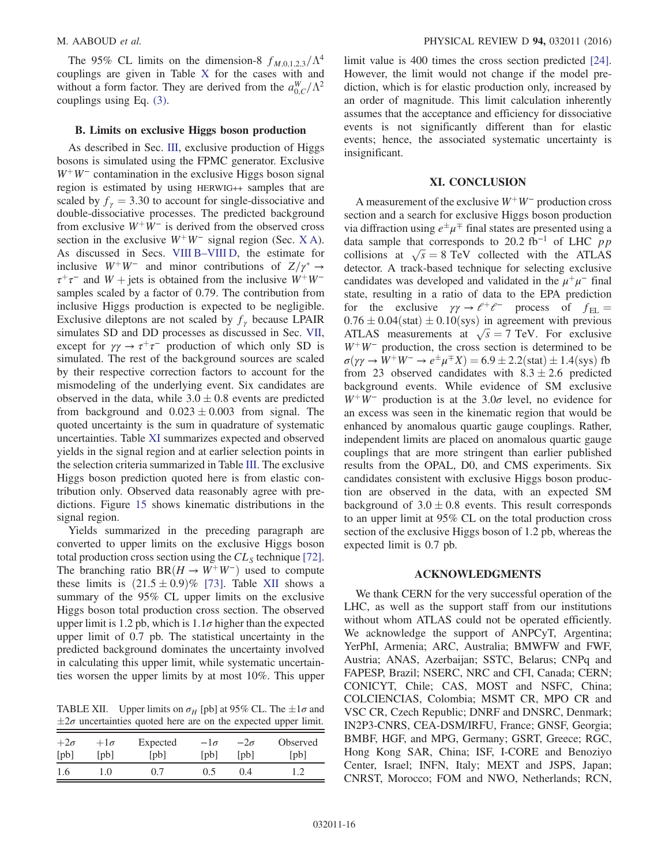The 95% CL limits on the dimension-8  $f_{M,0,1,2,3}/\Lambda^4$ couplings are given in Table [X](#page-13-3) for the cases with and without a form factor. They are derived from the  $a_{0,C}^W/\Lambda^2$ couplings using Eq. [\(3\)](#page-1-2).

#### B. Limits on exclusive Higgs boson production

<span id="page-16-0"></span>As described in Sec. [III](#page-2-1), exclusive production of Higgs bosons is simulated using the FPMC generator. Exclusive  $W^+W^-$  contamination in the exclusive Higgs boson signal region is estimated by using HERWIG++ samples that are scaled by  $f<sub>y</sub> = 3.30$  to account for single-dissociative and double-dissociative processes. The predicted background from exclusive  $W^+W^-$  is derived from the observed cross section in the exclusive  $W^+W^-$  signal region (Sec. [X A](#page-12-3)). As discussed in Secs. VIII B–[VIII D,](#page-8-0) the estimate for inclusive  $W^+W^-$  and minor contributions of  $Z/\gamma^* \rightarrow$  $\tau^+\tau^-$  and W + jets is obtained from the inclusive  $W^+W^$ samples scaled by a factor of 0.79. The contribution from inclusive Higgs production is expected to be negligible. Exclusive dileptons are not scaled by  $f_\gamma$  because LPAIR simulates SD and DD processes as discussed in Sec. [VII](#page-6-0), except for  $\gamma \gamma \rightarrow \tau^+ \tau^-$  production of which only SD is simulated. The rest of the background sources are scaled by their respective correction factors to account for the mismodeling of the underlying event. Six candidates are observed in the data, while  $3.0 \pm 0.8$  events are predicted from background and  $0.023 \pm 0.003$  from signal. The quoted uncertainty is the sum in quadrature of systematic uncertainties. Table [XI](#page-14-1) summarizes expected and observed yields in the signal region and at earlier selection points in the selection criteria summarized in Table [III](#page-5-2). The exclusive Higgs boson prediction quoted here is from elastic contribution only. Observed data reasonably agree with predictions. Figure [15](#page-14-0) shows kinematic distributions in the signal region.

<span id="page-16-6"></span><span id="page-16-4"></span><span id="page-16-3"></span><span id="page-16-2"></span><span id="page-16-1"></span>Yields summarized in the preceding paragraph are converted to upper limits on the exclusive Higgs boson total production cross section using the  $CL<sub>S</sub>$  technique [\[72\]](#page-18-5). The branching ratio BR $(H \rightarrow W^+W^-)$  used to compute these limits is  $(21.5 \pm 0.9)$ % [\[73\]](#page-18-6). Table [XII](#page-15-1) shows a summary of the 95% CL upper limits on the exclusive Higgs boson total production cross section. The observed upper limit is 1.2 pb, which is  $1.1\sigma$  higher than the expected upper limit of 0.7 pb. The statistical uncertainty in the predicted background dominates the uncertainty involved in calculating this upper limit, while systematic uncertainties worsen the upper limits by at most 10%. This upper

<span id="page-16-5"></span>TABLE XII. Upper limits on  $\sigma_H$  [pb] at 95% CL. The  $\pm 1\sigma$  and  $\pm 2\sigma$  uncertainties quoted here are on the expected upper limit.

| $+2\sigma$ | $+1\sigma$ | Expected     | $-1\sigma$ | $-2\sigma$ | Observed |
|------------|------------|--------------|------------|------------|----------|
| [pb]       | [pb]       | $[{\rm pb}]$ | [pb]       | [pb]       | [pb]     |
| 1.6        | .0         | 0.7          | (0.5)      | (1) 4      |          |

limit value is 400 times the cross section predicted [\[24\]](#page-17-0). However, the limit would not change if the model prediction, which is for elastic production only, increased by an order of magnitude. This limit calculation inherently assumes that the acceptance and efficiency for dissociative events is not significantly different than for elastic events; hence, the associated systematic uncertainty is insignificant.

#### XI. CONCLUSION

<span id="page-16-7"></span>A measurement of the exclusive  $W^+W^-$  production cross section and a search for exclusive Higgs boson production via diffraction using  $e^{\pm}\mu^{\mp}$  final states are presented using a data sample that corresponds to 20.2 fb<sup>-1</sup> of LHC pp collisions at  $\sqrt{s} = 8$  TeV collected with the ATLAS detector. A track-based technique for selecting exclusive candidates was developed and validated in the  $\mu^+\mu^-$  final state, resulting in a ratio of data to the EPA prediction for the exclusive  $\gamma \gamma \rightarrow e^+e^-$  process of  $f_{\text{EL}} =$  $0.76 \pm 0.04$ (stat)  $\pm 0.10$ (sys) in agreement with previous ATLAS measurements at  $\sqrt{s} = 7$  TeV. For exclusive  $W^+W^-$  production, the cross section is determined to be  $\sigma(\gamma \gamma \rightarrow W^+W^- \rightarrow e^{\pm} \mu^{\mp} X) = 6.9 \pm 2.2 \text{(stat)} \pm 1.4 \text{(sys)}$  fb from 23 observed candidates with  $8.3 \pm 2.6$  predicted background events. While evidence of SM exclusive  $W^+W^-$  production is at the 3.0 $\sigma$  level, no evidence for an excess was seen in the kinematic region that would be enhanced by anomalous quartic gauge couplings. Rather, independent limits are placed on anomalous quartic gauge couplings that are more stringent than earlier published results from the OPAL, D0, and CMS experiments. Six candidates consistent with exclusive Higgs boson production are observed in the data, with an expected SM background of  $3.0 \pm 0.8$  events. This result corresponds to an upper limit at 95% CL on the total production cross section of the exclusive Higgs boson of 1.2 pb, whereas the expected limit is 0.7 pb.

#### <span id="page-16-11"></span><span id="page-16-8"></span>ACKNOWLEDGMENTS

<span id="page-16-10"></span><span id="page-16-9"></span>We thank CERN for the very successful operation of the LHC, as well as the support staff from our institutions without whom ATLAS could not be operated efficiently. We acknowledge the support of ANPCyT, Argentina; YerPhI, Armenia; ARC, Australia; BMWFW and FWF, Austria; ANAS, Azerbaijan; SSTC, Belarus; CNPq and FAPESP, Brazil; NSERC, NRC and CFI, Canada; CERN; CONICYT, Chile; CAS, MOST and NSFC, China; COLCIENCIAS, Colombia; MSMT CR, MPO CR and VSC CR, Czech Republic; DNRF and DNSRC, Denmark; IN2P3-CNRS, CEA-DSM/IRFU, France; GNSF, Georgia; BMBF, HGF, and MPG, Germany; GSRT, Greece; RGC, Hong Kong SAR, China; ISF, I-CORE and Benoziyo Center, Israel; INFN, Italy; MEXT and JSPS, Japan; CNRST, Morocco; FOM and NWO, Netherlands; RCN,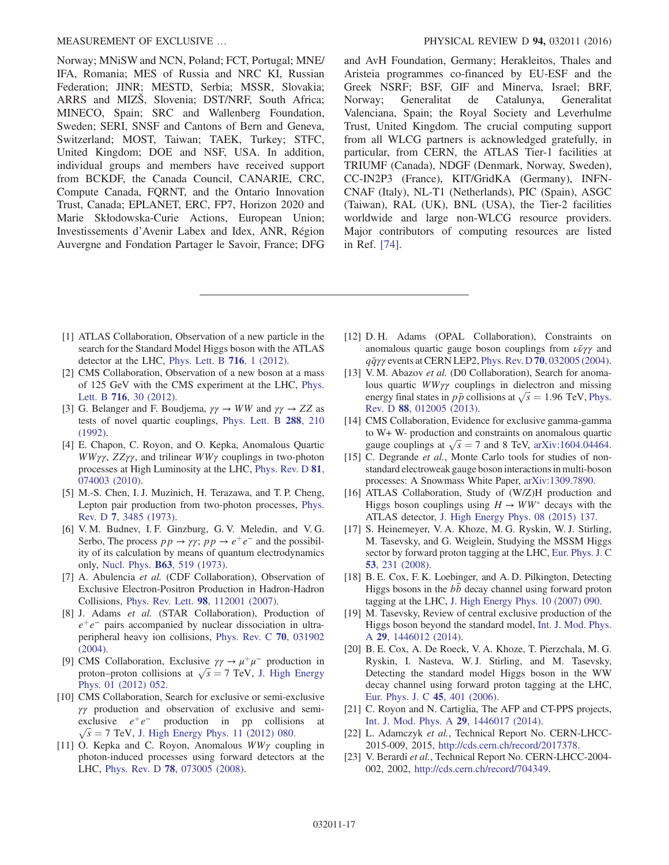<span id="page-17-3"></span><span id="page-17-2"></span><span id="page-17-1"></span><span id="page-17-0"></span>Norway; MNiSW and NCN, Poland; FCT, Portugal; MNE/ IFA, Romania; MES of Russia and NRC KI, Russian Federation; JINR; MESTD, Serbia; MSSR, Slovakia; ARRS and MIZŠ, Slovenia; DST/NRF, South Africa; MINECO, Spain; SRC and Wallenberg Foundation, Sweden; SERI, SNSF and Cantons of Bern and Geneva, Switzerland; MOST, Taiwan; TAEK, Turkey; STFC, United Kingdom; DOE and NSF, USA. In addition, individual groups and members have received support from BCKDF, the Canada Council, CANARIE, CRC, Compute Canada, FQRNT, and the Ontario Innovation Trust, Canada; EPLANET, ERC, FP7, Horizon 2020 and Marie Skłodowska-Curie Actions, European Union; Investissements d'Avenir Labex and Idex, ANR, Région Auvergne and Fondation Partager le Savoir, France; DFG <span id="page-17-19"></span><span id="page-17-18"></span><span id="page-17-17"></span><span id="page-17-16"></span>and AvH Foundation, Germany; Herakleitos, Thales and Aristeia programmes co-financed by EU-ESF and the Greek NSRF; BSF, GIF and Minerva, Israel; BRF, Norway; Generalitat de Catalunya, Generalitat Valenciana, Spain; the Royal Society and Leverhulme Trust, United Kingdom. The crucial computing support from all WLCG partners is acknowledged gratefully, in particular, from CERN, the ATLAS Tier-1 facilities at TRIUMF (Canada), NDGF (Denmark, Norway, Sweden), CC-IN2P3 (France), KIT/GridKA (Germany), INFN-CNAF (Italy), NL-T1 (Netherlands), PIC (Spain), ASGC (Taiwan), RAL (UK), BNL (USA), the Tier-2 facilities worldwide and large non-WLCG resource providers. Major contributors of computing resources are listed in Ref. [\[74\]](#page-18-7).

- <span id="page-17-8"></span><span id="page-17-7"></span><span id="page-17-6"></span><span id="page-17-5"></span><span id="page-17-4"></span>[1] ATLAS Collaboration, Observation of a new particle in the search for the Standard Model Higgs boson with the ATLAS detector at the LHC, [Phys. Lett. B](http://dx.doi.org/10.1016/j.physletb.2012.08.020) 716, 1 (2012).
- <span id="page-17-9"></span>[2] CMS Collaboration, Observation of a new boson at a mass of 125 GeV with the CMS experiment at the LHC, [Phys.](http://dx.doi.org/10.1016/j.physletb.2012.08.021) Lett. B 716[, 30 \(2012\)](http://dx.doi.org/10.1016/j.physletb.2012.08.021).
- <span id="page-17-10"></span>[3] G. Belanger and F. Boudjema,  $\gamma \gamma \rightarrow WW$  and  $\gamma \gamma \rightarrow ZZ$  as tests of novel quartic couplings, [Phys. Lett. B](http://dx.doi.org/10.1016/0370-2693(92)91979-J) 288, 210 [\(1992\).](http://dx.doi.org/10.1016/0370-2693(92)91979-J)
- [4] E. Chapon, C. Royon, and O. Kepka, Anomalous Quartic WW $\gamma\gamma$ , ZZ $\gamma\gamma$ , and trilinear WW $\gamma$  couplings in two-photon processes at High Luminosity at the LHC, [Phys. Rev. D](http://dx.doi.org/10.1103/PhysRevD.81.074003) 81, [074003 \(2010\).](http://dx.doi.org/10.1103/PhysRevD.81.074003)
- [5] M.-S. Chen, I. J. Muzinich, H. Terazawa, and T. P. Cheng, Lepton pair production from two-photon processes, [Phys.](http://dx.doi.org/10.1103/PhysRevD.7.3485) Rev. D 7[, 3485 \(1973\)](http://dx.doi.org/10.1103/PhysRevD.7.3485).
- [6] V. M. Budnev, I. F. Ginzburg, G. V. Meledin, and V. G. Serbo, The process  $pp \rightarrow \gamma \gamma$ ;  $pp \rightarrow e^+e^-$  and the possibility of its calculation by means of quantum electrodynamics only, Nucl. Phys. B63[, 519 \(1973\)](http://dx.doi.org/10.1016/0550-3213(73)90162-4).
- [7] A. Abulencia et al. (CDF Collaboration), Observation of Exclusive Electron-Positron Production in Hadron-Hadron Collisions, Phys. Rev. Lett. 98[, 112001 \(2007\)](http://dx.doi.org/10.1103/PhysRevLett.98.112001).
- <span id="page-17-12"></span><span id="page-17-11"></span>[8] J. Adams et al. (STAR Collaboration), Production of  $e^+e^-$  pairs accompanied by nuclear dissociation in ultraperipheral heavy ion collisions, [Phys. Rev. C](http://dx.doi.org/10.1103/PhysRevC.70.031902) 70, 031902 [\(2004\).](http://dx.doi.org/10.1103/PhysRevC.70.031902)
- <span id="page-17-13"></span>[9] CMS Collaboration, Exclusive  $\gamma \gamma \rightarrow \mu^+ \mu^-$  production in proton–proton collisions at  $\sqrt{s}$  = 7 TeV, [J. High Energy](http://dx.doi.org/10.1007/JHEP01(2012)052) [Phys. 01 \(2012\) 052.](http://dx.doi.org/10.1007/JHEP01(2012)052)
- <span id="page-17-14"></span>[10] CMS Collaboration, Search for exclusive or semi-exclusive γγ production and observation of exclusive and semiexclusive  $e^+e^-$  production in pp collisions at  $\sqrt{s}$  = 7 TeV, [J. High Energy Phys. 11 \(2012\) 080.](http://dx.doi.org/10.1007/JHEP11(2012)080)
- <span id="page-17-15"></span>[11] O. Kepka and C. Royon, Anomalous  $WW\gamma$  coupling in photon-induced processes using forward detectors at the LHC, Phys. Rev. D 78[, 073005 \(2008\)](http://dx.doi.org/10.1103/PhysRevD.78.073005).
- <span id="page-17-23"></span><span id="page-17-22"></span><span id="page-17-21"></span><span id="page-17-20"></span>[12] D. H. Adams (OPAL Collaboration), Constraints on anomalous quartic gauge boson couplings from  $\nu \bar{\nu} \gamma \gamma$  and  $q\bar{q}\gamma\gamma$  events at CERN LEP2, Phys. Rev. D 70[, 032005 \(2004\).](http://dx.doi.org/10.1103/PhysRevD.70.032005)
- <span id="page-17-25"></span><span id="page-17-24"></span>[13] V. M. Abazov et al. (D0 Collaboration), Search for anomalous quartic WWγγ couplings in dielectron and missing energy final states in  $p\bar{p}$  collisions at  $\sqrt{s} = 1.96$  TeV, [Phys.](http://dx.doi.org/10.1103/PhysRevD.88.012005) Rev. D 88[, 012005 \(2013\)](http://dx.doi.org/10.1103/PhysRevD.88.012005).
- <span id="page-17-26"></span>[14] CMS Collaboration, Evidence for exclusive gamma-gamma to W+ W- production and constraints on anomalous quartic gauge couplings at  $\sqrt{s} = 7$  and 8 TeV, [arXiv:1604.04464.](http://arXiv.org/abs/1604.04464)
- <span id="page-17-28"></span><span id="page-17-27"></span>[15] C. Degrande et al., Monte Carlo tools for studies of nonstandard electroweak gauge boson interactions in multi-boson processes: A Snowmass White Paper, [arXiv:1309.7890.](http://arXiv.org/abs/1309.7890)
- <span id="page-17-29"></span>[16] ATLAS Collaboration, Study of (W/Z)H production and Higgs boson couplings using  $H \to WW^*$  decays with the ATLAS detector, [J. High Energy Phys. 08 \(2015\) 137.](http://dx.doi.org/10.1007/JHEP08(2015)137)
- <span id="page-17-30"></span>[17] S. Heinemeyer, V. A. Khoze, M. G. Ryskin, W. J. Stirling, M. Tasevsky, and G. Weiglein, Studying the MSSM Higgs sector by forward proton tagging at the LHC, [Eur. Phys. J. C](http://dx.doi.org/10.1140/epjc/s10052-007-0449-6) 53[, 231 \(2008\).](http://dx.doi.org/10.1140/epjc/s10052-007-0449-6)
- <span id="page-17-31"></span>[18] B. E. Cox, F. K. Loebinger, and A. D. Pilkington, Detecting Higgs bosons in the  $b\bar{b}$  decay channel using forward proton tagging at the LHC, [J. High Energy Phys. 10 \(2007\) 090.](http://dx.doi.org/10.1088/1126-6708/2007/10/090)
- <span id="page-17-32"></span>[19] M. Tasevsky, Review of central exclusive production of the Higgs boson beyond the standard model, [Int. J. Mod. Phys.](http://dx.doi.org/10.1142/S0217751X14460129) A 29[, 1446012 \(2014\).](http://dx.doi.org/10.1142/S0217751X14460129)
- <span id="page-17-33"></span>[20] B. E. Cox, A. De Roeck, V. A. Khoze, T. Pierzchala, M. G. Ryskin, I. Nasteva, W. J. Stirling, and M. Tasevsky, Detecting the standard model Higgs boson in the WW decay channel using forward proton tagging at the LHC, [Eur. Phys. J. C](http://dx.doi.org/10.1140/epjc/s2005-02447-x) 45, 401 (2006).
- <span id="page-17-34"></span>[21] C. Royon and N. Cartiglia, The AFP and CT-PPS projects, [Int. J. Mod. Phys. A](http://dx.doi.org/10.1142/S0217751X14460178) 29, 1446017 (2014).
- <span id="page-17-35"></span>[22] L. Adamczyk et al., Technical Report No. CERN-LHCC-2015-009, 2015, [http://cds.cern.ch/record/2017378.](http://cds.cern.ch/record/2017378)
- [23] V. Berardi et al., Technical Report No. CERN-LHCC-2004-002, 2002, [http://cds.cern.ch/record/704349.](http://cds.cern.ch/record/704349)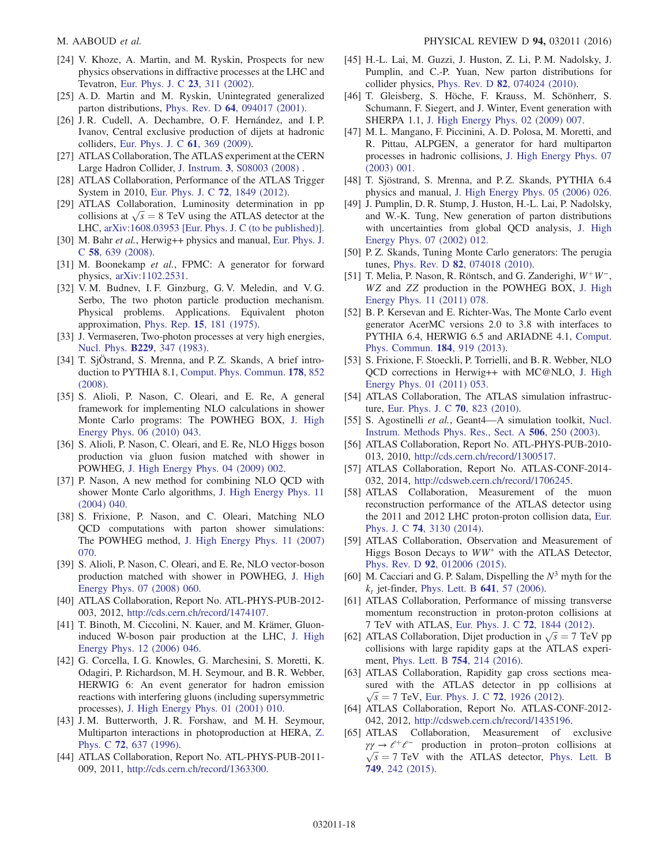- <span id="page-18-0"></span>[24] V. Khoze, A. Martin, and M. Ryskin, Prospects for new physics observations in diffractive processes at the LHC and Tevatron, [Eur. Phys. J. C](http://dx.doi.org/10.1007/s100520100884) 23, 311 (2002).
- <span id="page-18-1"></span>[25] A. D. Martin and M. Ryskin, Unintegrated generalized parton distributions, Phys. Rev. D 64[, 094017 \(2001\).](http://dx.doi.org/10.1103/PhysRevD.64.094017)
- <span id="page-18-2"></span>[26] J. R. Cudell, A. Dechambre, O. F. Hernández, and I. P. Ivanov, Central exclusive production of dijets at hadronic colliders, [Eur. Phys. J. C](http://dx.doi.org/10.1140/epjc/s10052-009-0994-2) 61, 369 (2009).
- [27] ATLAS Collaboration, The ATLAS experiment at the CERN Large Hadron Collider, J. Instrum. 3[, S08003 \(2008\)](http://dx.doi.org/10.1088/1748-0221/3/08/S08003) .
- <span id="page-18-3"></span>[28] ATLAS Collaboration, Performance of the ATLAS Trigger System in 2010, [Eur. Phys. J. C](http://dx.doi.org/10.1140/epjc/s10052-011-1849-1) 72, 1849 (2012).
- [29] ATLAS Collaboration, Luminosity determination in pp collisions at  $\sqrt{s} = 8$  TeV using the ATLAS detector at the LHC, [arXiv:1608.03953 \[Eur. Phys. J. C \(to be published\)\].](http://arXiv.org/abs/1608.03953)
- [30] M. Bahr et al., Herwig++ physics and manual, [Eur. Phys. J.](http://dx.doi.org/10.1140/epjc/s10052-008-0798-9) C 58[, 639 \(2008\)](http://dx.doi.org/10.1140/epjc/s10052-008-0798-9).
- [31] M. Boonekamp et al., FPMC: A generator for forward physics, [arXiv:1102.2531.](http://arXiv.org/abs/1102.2531)
- <span id="page-18-10"></span><span id="page-18-9"></span>[32] V. M. Budnev, I. F. Ginzburg, G. V. Meledin, and V. G. Serbo, The two photon particle production mechanism. Physical problems. Applications. Equivalent photon approximation, Phys. Rep. 15[, 181 \(1975\).](http://dx.doi.org/10.1016/0370-1573(75)90009-5)
- [33] J. Vermaseren, Two-photon processes at very high energies, Nucl. Phys. B229[, 347 \(1983\).](http://dx.doi.org/10.1016/0550-3213(83)90336-X)
- [34] T. SjÖstrand, S. Mrenna, and P.Z. Skands, A brief introduction to PYTHIA 8.1, [Comput. Phys. Commun.](http://dx.doi.org/10.1016/j.cpc.2008.01.036) 178, 852 [\(2008\).](http://dx.doi.org/10.1016/j.cpc.2008.01.036)
- [35] S. Alioli, P. Nason, C. Oleari, and E. Re, A general framework for implementing NLO calculations in shower Monte Carlo programs: The POWHEG BOX, [J. High](http://dx.doi.org/10.1007/JHEP06(2010)043) [Energy Phys. 06 \(2010\) 043.](http://dx.doi.org/10.1007/JHEP06(2010)043)
- <span id="page-18-8"></span>[36] S. Alioli, P. Nason, C. Oleari, and E. Re, NLO Higgs boson production via gluon fusion matched with shower in POWHEG, [J. High Energy Phys. 04 \(2009\) 002.](http://dx.doi.org/10.1088/1126-6708/2009/04/002)
- <span id="page-18-12"></span>[37] P. Nason, A new method for combining NLO QCD with shower Monte Carlo algorithms, [J. High Energy Phys. 11](http://dx.doi.org/10.1088/1126-6708/2004/11/040) [\(2004\) 040.](http://dx.doi.org/10.1088/1126-6708/2004/11/040)
- <span id="page-18-11"></span>[38] S. Frixione, P. Nason, and C. Oleari, Matching NLO QCD computations with parton shower simulations: The POWHEG method, [J. High Energy Phys. 11 \(2007\)](http://dx.doi.org/10.1088/1126-6708/2007/11/070) [070.](http://dx.doi.org/10.1088/1126-6708/2007/11/070)
- <span id="page-18-13"></span>[39] S. Alioli, P. Nason, C. Oleari, and E. Re, NLO vector-boson production matched with shower in POWHEG, [J. High](http://dx.doi.org/10.1088/1126-6708/2008/07/060) [Energy Phys. 07 \(2008\) 060.](http://dx.doi.org/10.1088/1126-6708/2008/07/060)
- <span id="page-18-14"></span>[40] ATLAS Collaboration, Report No. ATL-PHYS-PUB-2012-003, 2012, [http://cds.cern.ch/record/1474107.](http://cds.cern.ch/record/1474107)
- <span id="page-18-15"></span>[41] T. Binoth, M. Ciccolini, N. Kauer, and M. Krämer, Gluoninduced W-boson pair production at the LHC, [J. High](http://dx.doi.org/10.1088/1126-6708/2006/12/046) [Energy Phys. 12 \(2006\) 046.](http://dx.doi.org/10.1088/1126-6708/2006/12/046)
- [42] G. Corcella, I. G. Knowles, G. Marchesini, S. Moretti, K. Odagiri, P. Richardson, M. H. Seymour, and B. R. Webber, HERWIG 6: An event generator for hadron emission reactions with interfering gluons (including supersymmetric processes), [J. High Energy Phys. 01 \(2001\) 010.](http://dx.doi.org/10.1088/1126-6708/2001/01/010)
- [43] J. M. Butterworth, J. R. Forshaw, and M. H. Seymour, Multiparton interactions in photoproduction at HERA, [Z.](http://dx.doi.org/10.1007/s002880050286) Phys. C 72[, 637 \(1996\).](http://dx.doi.org/10.1007/s002880050286)
- [44] ATLAS Collaboration, Report No. ATL-PHYS-PUB-2011- 009, 2011, [http://cds.cern.ch/record/1363300.](http://cds.cern.ch/record/1363300)
- [45] H.-L. Lai, M. Guzzi, J. Huston, Z. Li, P. M. Nadolsky, J. Pumplin, and C.-P. Yuan, New parton distributions for collider physics, Phys. Rev. D 82[, 074024 \(2010\)](http://dx.doi.org/10.1103/PhysRevD.82.074024).
- [46] T. Gleisberg, S. Höche, F. Krauss, M. Schönherr, S. Schumann, F. Siegert, and J. Winter, Event generation with SHERPA 1.1, [J. High Energy Phys. 02 \(2009\) 007.](http://dx.doi.org/10.1088/1126-6708/2009/02/007)
- <span id="page-18-5"></span><span id="page-18-4"></span>[47] M. L. Mangano, F. Piccinini, A. D. Polosa, M. Moretti, and R. Pittau, ALPGEN, a generator for hard multiparton processes in hadronic collisions, [J. High Energy Phys. 07](http://dx.doi.org/10.1088/1126-6708/2003/07/001) [\(2003\) 001.](http://dx.doi.org/10.1088/1126-6708/2003/07/001)
- <span id="page-18-7"></span><span id="page-18-6"></span>[48] T. Sjöstrand, S. Mrenna, and P. Z. Skands, PYTHIA 6.4 physics and manual, [J. High Energy Phys. 05 \(2006\) 026.](http://dx.doi.org/10.1088/1126-6708/2006/05/026)
- [49] J. Pumplin, D. R. Stump, J. Huston, H.-L. Lai, P. Nadolsky, and W.-K. Tung, New generation of parton distributions with uncertainties from global QCD analysis, [J. High](http://dx.doi.org/10.1088/1126-6708/2002/07/012) [Energy Phys. 07 \(2002\) 012.](http://dx.doi.org/10.1088/1126-6708/2002/07/012)
- [50] P. Z. Skands, Tuning Monte Carlo generators: The perugia tunes, Phys. Rev. D 82[, 074018 \(2010\)](http://dx.doi.org/10.1103/PhysRevD.82.074018).
- [51] T. Melia, P. Nason, R. Röntsch, and G. Zanderighi,  $W^+W^-$ , WZ and ZZ production in the POWHEG BOX, [J. High](http://dx.doi.org/10.1007/JHEP11(2011)078) [Energy Phys. 11 \(2011\) 078.](http://dx.doi.org/10.1007/JHEP11(2011)078)
- [52] B. P. Kersevan and E. Richter-Was, The Monte Carlo event generator AcerMC versions 2.0 to 3.8 with interfaces to PYTHIA 6.4, HERWIG 6.5 and ARIADNE 4.1, [Comput.](http://dx.doi.org/10.1016/j.cpc.2012.10.032) [Phys. Commun.](http://dx.doi.org/10.1016/j.cpc.2012.10.032) 184, 919 (2013).
- [53] S. Frixione, F. Stoeckli, P. Torrielli, and B. R. Webber, NLO QCD corrections in Herwig++ with MC@NLO, [J. High](http://dx.doi.org/10.1007/JHEP01(2011)053) [Energy Phys. 01 \(2011\) 053.](http://dx.doi.org/10.1007/JHEP01(2011)053)
- [54] ATLAS Collaboration, The ATLAS simulation infrastructure, [Eur. Phys. J. C](http://dx.doi.org/10.1140/epjc/s10052-010-1429-9) 70, 823 (2010).
- [55] S. Agostinelli et al., Geant4-A simulation toolkit, [Nucl.](http://dx.doi.org/10.1016/S0168-9002(03)01368-8) [Instrum. Methods Phys. Res., Sect. A](http://dx.doi.org/10.1016/S0168-9002(03)01368-8) 506, 250 (2003).
- [56] ATLAS Collaboration, Report No. ATL-PHYS-PUB-2010-013, 2010, [http://cds.cern.ch/record/1300517.](http://cds.cern.ch/record/1300517)
- [57] ATLAS Collaboration, Report No. ATLAS-CONF-2014- 032, 2014, <http://cdsweb.cern.ch/record/1706245>.
- [58] ATLAS Collaboration, Measurement of the muon reconstruction performance of the ATLAS detector using the 2011 and 2012 LHC proton-proton collision data, [Eur.](http://dx.doi.org/10.1140/epjc/s10052-014-3130-x) Phys. J. C 74[, 3130 \(2014\).](http://dx.doi.org/10.1140/epjc/s10052-014-3130-x)
- [59] ATLAS Collaboration, Observation and Measurement of Higgs Boson Decays to  $WW^*$  with the ATLAS Detector, Phys. Rev. D 92[, 012006 \(2015\)](http://dx.doi.org/10.1103/PhysRevD.92.012006).
- [60] M. Cacciari and G. P. Salam, Dispelling the  $N^3$  myth for the  $k_t$  jet-finder, [Phys. Lett. B](http://dx.doi.org/10.1016/j.physletb.2006.08.037) **641**, 57 (2006).
- [61] ATLAS Collaboration, Performance of missing transverse momentum reconstruction in proton-proton collisions at 7 TeV with ATLAS, [Eur. Phys. J. C](http://dx.doi.org/10.1140/epjc/s10052-011-1844-6) 72, 1844 (2012).
- [62] ATLAS Collaboration, Dijet production in  $\sqrt{s} = 7$  TeV pp collisions with large rapidity gaps at the ATLAS experiment, [Phys. Lett. B](http://dx.doi.org/10.1016/j.physletb.2016.01.028) 754, 214 (2016).
- [63] ATLAS Collaboration, Rapidity gap cross sections measured with the ATLAS detector in pp collisions at  $\sqrt{s}$  = 7 TeV, [Eur. Phys. J. C](http://dx.doi.org/10.1140/epjc/s10052-012-1926-0) 72, 1926 (2012).
- [64] ATLAS Collaboration, Report No. ATLAS-CONF-2012- 042, 2012, <http://cdsweb.cern.ch/record/1435196>.
- [65] ATLAS Collaboration, Measurement of exclusive  $\gamma \gamma \rightarrow e^+e^-$  production in proton–proton collisions at  $\sqrt{s}$  = 7 TeV with the ATLAS detector, [Phys. Lett. B](http://dx.doi.org/10.1016/j.physletb.2015.07.069) 749[, 242 \(2015\)](http://dx.doi.org/10.1016/j.physletb.2015.07.069).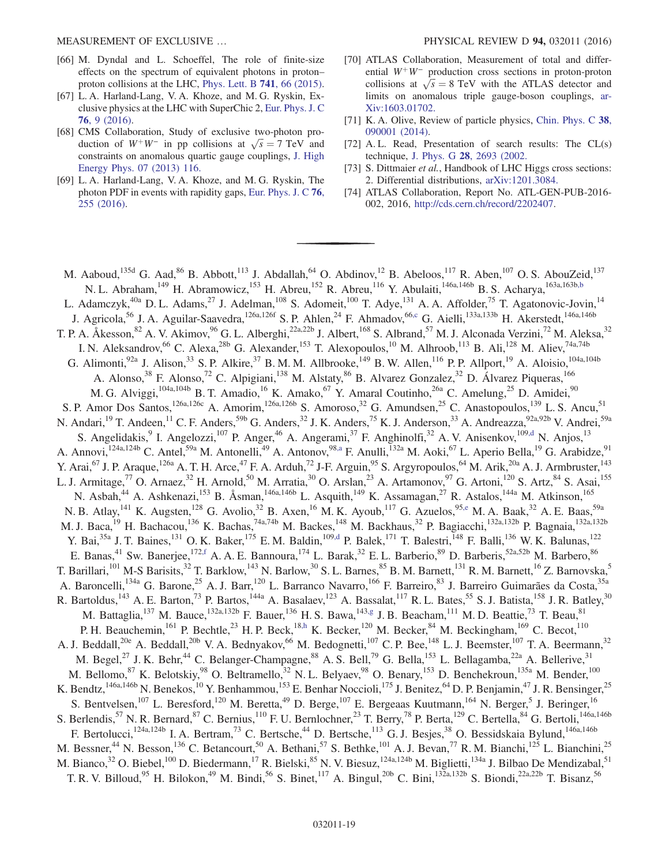- [66] M. Dyndal and L. Schoeffel, The role of finite-size effects on the spectrum of equivalent photons in proton– proton collisions at the LHC, [Phys. Lett. B](http://dx.doi.org/10.1016/j.physletb.2014.12.019) 741, 66 (2015).
- [67] L. A. Harland-Lang, V. A. Khoze, and M. G. Ryskin, Exclusive physics at the LHC with SuperChic 2, [Eur. Phys. J. C](http://dx.doi.org/10.1140/epjc/s10052-015-3832-8) 76[, 9 \(2016\)](http://dx.doi.org/10.1140/epjc/s10052-015-3832-8).
- [68] CMS Collaboration, Study of exclusive two-photon production of  $W^+W^-$  in pp collisions at  $\sqrt{s} = 7$  TeV and constraints on anomalous quartic gauge couplings, [J. High](http://dx.doi.org/10.1007/JHEP07(2013)116) [Energy Phys. 07 \(2013\) 116.](http://dx.doi.org/10.1007/JHEP07(2013)116)
- [69] L. A. Harland-Lang, V. A. Khoze, and M. G. Ryskin, The photon PDF in events with rapidity gaps, [Eur. Phys. J. C](http://dx.doi.org/10.1140/epjc/s10052-016-4100-2) 76, [255 \(2016\)](http://dx.doi.org/10.1140/epjc/s10052-016-4100-2).
- [70] ATLAS Collaboration, Measurement of total and differential  $W^+W^-$  production cross sections in proton-proton collisions at  $\sqrt{s} = 8$  TeV with the ATLAS detector and limits on anomalous triple gauge-boson couplings, [ar-](http://arXiv.org/abs/1603.01702)[Xiv:1603.01702.](http://arXiv.org/abs/1603.01702)
- [71] K. A. Olive, Review of particle physics, [Chin. Phys. C](http://dx.doi.org/10.1088/1674-1137/38/9/090001) 38, [090001 \(2014\).](http://dx.doi.org/10.1088/1674-1137/38/9/090001)
- [72] A. L. Read, Presentation of search results: The CL(s) technique, J. Phys. G 28[, 2693 \(2002.](http://dx.doi.org/10.1088/0954-3899/28/10/313)
- [73] S. Dittmaier et al., Handbook of LHC Higgs cross sections: 2. Differential distributions, [arXiv:1201.3084.](http://arXiv.org/abs/1201.3084)
- [74] ATLAS Collaboration, Report No. ATL-GEN-PUB-2016- 002, 2016, [http://cds.cern.ch/record/2202407.](http://cds.cern.ch/record/2202407)

<span id="page-19-4"></span><span id="page-19-3"></span><span id="page-19-2"></span><span id="page-19-1"></span><span id="page-19-0"></span>M. Aaboud,<sup>135d</sup> G. Aad,<sup>86</sup> B. Abbott,<sup>113</sup> J. Abdallah,<sup>64</sup> O. Abdinov,<sup>12</sup> B. Abeloos,<sup>117</sup> R. Aben,<sup>107</sup> O. S. AbouZeid,<sup>137</sup> N. L. Abraham,<sup>149</sup> H. Abramowicz,<sup>153</sup> H. Abreu,<sup>152</sup> R. Abreu,<sup>116</sup> Y. Abulaiti,<sup>146a,146b</sup> B. S. Acharya,<sup>163a,163b[,b](#page-30-0)</sup> L. Adamczyk,<sup>40a</sup> D. L. Adams,<sup>27</sup> J. Adelman,<sup>108</sup> S. Adomeit,<sup>100</sup> T. Adye,<sup>131</sup> A. A. Affolder,<sup>75</sup> T. Agatonovic-Jovin,<sup>14</sup> J. Agricola,<sup>56</sup> J. A. Aguilar-Saavedra,<sup>126a,126f</sup> S. P. Ahlen,<sup>24</sup> F. Ahmadov,<sup>66[,c](#page-30-1)</sup> G. Aielli,<sup>133a,133b</sup> H. Akerstedt,<sup>146a,146b</sup> T. P. A. Åkesson,<sup>82</sup> A. V. Akimov,<sup>96</sup> G. L. Alberghi,<sup>22a,22b</sup> J. Albert,<sup>168</sup> S. Albrand,<sup>57</sup> M. J. Alconada Verzini,<sup>72</sup> M. Aleksa,<sup>32</sup> I. N. Aleksandrov,<sup>66</sup> C. Alexa,<sup>28b</sup> G. Alexander,<sup>153</sup> T. Alexopoulos,<sup>10</sup> M. Alhroob,<sup>113</sup> B. Ali,<sup>128</sup> M. Aliev,<sup>74a,74b</sup> G. Alimonti,<sup>92a</sup> J. Alison,<sup>33</sup> S. P. Alkire,<sup>37</sup> B. M. M. Allbrooke,<sup>149</sup> B. W. Allen,<sup>116</sup> P. P. Allport,<sup>19</sup> A. Aloisio,<sup>104a,104b</sup> A. Alonso,<sup>38</sup> F. Alonso,<sup>72</sup> C. Alpigiani,<sup>138</sup> M. Alstaty,<sup>86</sup> B. Alvarez Gonzalez,<sup>32</sup> D. Álvarez Piqueras,<sup>166</sup> M. G. Alviggi,<sup>104a,104b</sup> B. T. Amadio,<sup>16</sup> K. Amako,<sup>67</sup> Y. Amaral Coutinho,<sup>26a</sup> C. Amelung,<sup>25</sup> D. Amidei,<sup>90</sup> S. P. Amor Dos Santos,<sup>126a,126c</sup> A. Amorim,<sup>126a,126b</sup> S. Amoroso,<sup>32</sup> G. Amundsen,<sup>25</sup> C. Anastopoulos,<sup>139</sup> L. S. Ancu,<sup>51</sup> N. Andari,<sup>19</sup> T. Andeen,<sup>11</sup> C. F. Anders,<sup>59b</sup> G. Anders,<sup>32</sup> J. K. Anders,<sup>75</sup> K. J. Anderson,<sup>33</sup> A. Andreazza,<sup>92a,92b</sup> V. Andrei,<sup>59a</sup> S. Angelidakis, <sup>9</sup> I. Angelozzi,<sup>107</sup> P. Anger,<sup>46</sup> A. Angerami,<sup>37</sup> F. Anghinolfi,<sup>32</sup> A. V. Anisenkov,<sup>109[,d](#page-30-2)</sup> N. Anjos,<sup>13</sup> A. Annovi,<sup>124a,124b</sup> C. Antel,<sup>59a</sup> M. Antonelli,<sup>49</sup> A. Antonov,<sup>9[8,a](#page-30-3)</sup> F. Anulli,<sup>132a</sup> M. Aoki,<sup>67</sup> L. Aperio Bella,<sup>19</sup> G. Arabidze,<sup>91</sup> Y. Arai,<sup>67</sup> J. P. Araque,<sup>126a</sup> A. T. H. Arce,<sup>47</sup> F. A. Arduh,<sup>72</sup> J-F. Arguin,<sup>95</sup> S. Argyropoulos,<sup>64</sup> M. Arik,<sup>20a</sup> A. J. Armbruster,<sup>143</sup> L. J. Armitage,<sup>77</sup> O. Arnaez,<sup>32</sup> H. Arnold,<sup>50</sup> M. Arratia,<sup>30</sup> O. Arslan,<sup>23</sup> A. Artamonov,<sup>97</sup> G. Artoni,<sup>120</sup> S. Artz,<sup>84</sup> S. Asai,<sup>155</sup> N. Asbah,<sup>44</sup> A. Ashkenazi,<sup>153</sup> B. Åsman,<sup>146a,146b</sup> L. Asquith,<sup>149</sup> K. Assamagan,<sup>27</sup> R. Astalos,<sup>144a</sup> M. Atkinson,<sup>165</sup> N. B. Atlay,<sup>141</sup> K. Augsten,<sup>128</sup> G. Avolio,<sup>32</sup> B. Axen,<sup>16</sup> M. K. Ayoub,<sup>117</sup> G. Azuelos,<sup>95[,e](#page-30-4)</sup> M. A. Baak,<sup>32</sup> A. E. Baas,<sup>59a</sup> M. J. Baca,<sup>19</sup> H. Bachacou,<sup>136</sup> K. Bachas,<sup>74a,74b</sup> M. Backes,<sup>148</sup> M. Backhaus,<sup>32</sup> P. Bagiacchi,<sup>132a,132b</sup> P. Bagnaia,<sup>132a,132b</sup> Y. Bai,<sup>35a</sup> J. T. Baines,<sup>131</sup> O. K. Baker,<sup>175</sup> E. M. Baldin,<sup>109[,d](#page-30-2)</sup> P. Balek,<sup>171</sup> T. Balestri,<sup>148</sup> F. Balli,<sup>136</sup> W. K. Balunas,<sup>122</sup> E. Banas,<sup>41</sup> Sw. Banerjee,<sup>172[,f](#page-30-5)</sup> A. A. E. Bannoura,<sup>174</sup> L. Barak,<sup>32</sup> E. L. Barberio,<sup>89</sup> D. Barberis,<sup>52a,52b</sup> M. Barbero,<sup>86</sup> T. Barillari,<sup>101</sup> M-S Barisits,<sup>32</sup> T. Barklow,<sup>143</sup> N. Barlow,<sup>30</sup> S. L. Barnes,<sup>85</sup> B. M. Barnett,<sup>131</sup> R. M. Barnett,<sup>16</sup> Z. Barnovska,<sup>5</sup> A. Baroncelli,<sup>134a</sup> G. Barone,<sup>25</sup> A. J. Barr,<sup>120</sup> L. Barranco Navarro,<sup>166</sup> F. Barreiro,<sup>83</sup> J. Barreiro Guimarães da Costa,<sup>35a</sup> R. Bartoldus,<sup>143</sup> A. E. Barton,<sup>73</sup> P. Bartos,<sup>144a</sup> A. Basalaev,<sup>123</sup> A. Bassalat,<sup>117</sup> R. L. Bates,<sup>55</sup> S. J. Batista,<sup>158</sup> J. R. Batley,<sup>30</sup> M. Battaglia,<sup>137</sup> M. Bauce,<sup>132a,132b</sup> F. Bauer,<sup>136</sup> H. S. Bawa,<sup>143[,g](#page-30-6)</sup> J. B. Beacham,<sup>111</sup> M. D. Beattie,<sup>73</sup> T. Beau,<sup>81</sup> P. H. Beauchemin,<sup>161</sup> P. Bechtle,<sup>23</sup> H. P. Beck,<sup>18[,h](#page-30-7)</sup> K. Becker,<sup>120</sup> M. Becker,<sup>84</sup> M. Beckingham,<sup>169</sup> C. Becot,<sup>110</sup> A. J. Beddall,<sup>20e</sup> A. Beddall,<sup>20b</sup> V. A. Bednyakov,<sup>66</sup> M. Bedognetti,<sup>107</sup> C. P. Bee,<sup>148</sup> L. J. Beemster,<sup>107</sup> T. A. Beermann,<sup>32</sup> M. Begel,<sup>27</sup> J. K. Behr,<sup>44</sup> C. Belanger-Champagne,<sup>88</sup> A. S. Bell,<sup>79</sup> G. Bella,<sup>153</sup> L. Bellagamba,<sup>22a</sup> A. Bellerive,<sup>31</sup> M. Bellomo,<sup>87</sup> K. Belotskiy,<sup>98</sup> O. Beltramello,<sup>32</sup> N. L. Belyaev,<sup>98</sup> O. Benary,<sup>153</sup> D. Benchekroun,<sup>135a</sup> M. Bender,<sup>100</sup> K. Bendtz,<sup>146a,146b</sup> N. Benekos,<sup>10</sup> Y. Benhammou,<sup>153</sup> E. Benhar Noccioli,<sup>175</sup> J. Benitez,<sup>64</sup> D. P. Benjamin,<sup>47</sup> J. R. Bensinger,<sup>25</sup> S. Bentvelsen,<sup>107</sup> L. Beresford,<sup>120</sup> M. Beretta,<sup>49</sup> D. Berge,<sup>107</sup> E. Bergeaas Kuutmann,<sup>164</sup> N. Berger,<sup>5</sup> J. Beringer,<sup>16</sup> S. Berlendis,<sup>57</sup> N. R. Bernard,<sup>87</sup> C. Bernius,<sup>110</sup> F. U. Bernlochner,<sup>23</sup> T. Berry,<sup>78</sup> P. Berta,<sup>129</sup> C. Bertella,<sup>84</sup> G. Bertoli,<sup>146a,146b</sup> F. Bertolucci,<sup>124a,124b</sup> I. A. Bertram,<sup>73</sup> C. Bertsche,<sup>44</sup> D. Bertsche,<sup>113</sup> G. J. Besjes,<sup>38</sup> O. Bessidskaia Bylund,<sup>146a,146b</sup> M. Bessner,<sup>44</sup> N. Besson,<sup>136</sup> C. Betancourt,<sup>50</sup> A. Bethani,<sup>57</sup> S. Bethke,<sup>101</sup> A. J. Bevan,<sup>77</sup> R. M. Bianchi,<sup>125</sup> L. Bianchini,<sup>25</sup> M. Bianco,<sup>32</sup> O. Biebel,<sup>100</sup> D. Biedermann,<sup>17</sup> R. Bielski,<sup>85</sup> N. V. Biesuz,<sup>124a,124b</sup> M. Biglietti,<sup>134a</sup> J. Bilbao De Mendizabal,<sup>51</sup> T. R. V. Billoud,<sup>95</sup> H. Bilokon,<sup>49</sup> M. Bindi,<sup>56</sup> S. Binet,<sup>117</sup> A. Bingul,<sup>20b</sup> C. Bini,<sup>132a,132b</sup> S. Biondi,<sup>22a,22b</sup> T. Bisanz,<sup>56</sup>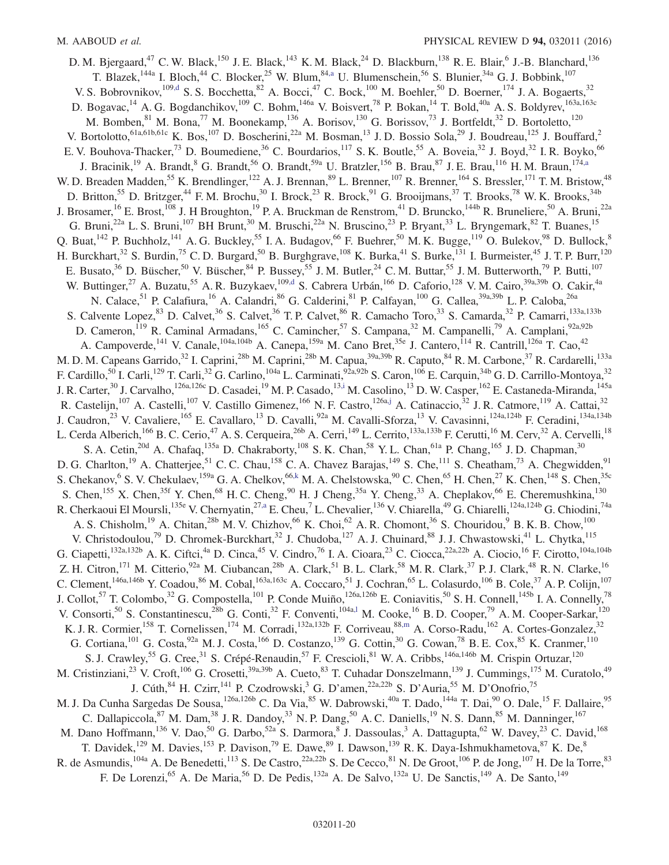<span id="page-20-5"></span><span id="page-20-4"></span><span id="page-20-3"></span><span id="page-20-2"></span><span id="page-20-1"></span><span id="page-20-0"></span>D. M. Bjergaard,<sup>47</sup> C. W. Black,<sup>150</sup> J. E. Black,<sup>143</sup> K. M. Black,<sup>24</sup> D. Blackburn,<sup>138</sup> R. E. Blair,<sup>6</sup> J.-B. Blanchard,<sup>136</sup> T. Blazek,<sup>144a</sup> I. Bloch,<sup>44</sup> C. Blocker,<sup>25</sup> W. Blum,<sup>84[,a](#page-30-3)</sup> U. Blumenschein,<sup>56</sup> S. Blunier,<sup>34a</sup> G. J. Bobbink,<sup>107</sup> V. S. Bobrovnikov,  $109, d$  S. S. Bocchetta,  $82$  A. Bocci,  $47$  C. Bock,  $100$  M. Boehler,  $50$  D. Boerner,  $174$  J. A. Bogaerts,  $32$ D. Bogavac,<sup>14</sup> A. G. Bogdanchikov,<sup>109</sup> C. Bohm,<sup>146a</sup> V. Boisvert,<sup>78</sup> P. Bokan,<sup>14</sup> T. Bold,<sup>40a</sup> A. S. Boldyrev,<sup>163a,163c</sup> M. Bomben, <sup>81</sup> M. Bona, <sup>77</sup> M. Boonekamp,  $136$  A. Borisov,  $130$  G. Borissov,  $73$  J. Bortfeldt,  $32$  D. Bortoletto,  $120$ V. Bortolotto,  $61a,61b,61c$  K. Bos,  $107$  D. Boscherini,  $22a$  M. Bosman,  $13$  J. D. Bossio Sola,  $29$  J. Boudreau,  $125$  J. Bouffard,  $2$ E. V. Bouhova-Thacker,<sup>73</sup> D. Boumediene,<sup>36</sup> C. Bourdarios,<sup>117</sup> S. K. Boutle,<sup>55</sup> A. Boveia,<sup>32</sup> J. Boyd,<sup>32</sup> I. R. Boyko,<sup>66</sup> J. Bracinik,<sup>19</sup> A. Brandt,<sup>8</sup> G. Brandt,<sup>56</sup> O. Brandt,<sup>59a</sup> U. Bratzler,<sup>156</sup> B. Brau,<sup>87</sup> J. E. Brau,<sup>116</sup> H. M. Braun,<sup>17[4,a](#page-30-3)</sup> W. D. Breaden Madden,<sup>55</sup> K. Brendlinger,<sup>122</sup> A. J. Brennan,<sup>89</sup> L. Brenner,<sup>107</sup> R. Brenner,<sup>164</sup> S. Bressler,<sup>171</sup> T. M. Bristow,<sup>48</sup> D. Britton,<sup>55</sup> D. Britzger,<sup>44</sup> F. M. Brochu,<sup>30</sup> I. Brock,<sup>23</sup> R. Brock,<sup>91</sup> G. Brooijmans,<sup>37</sup> T. Brooks,<sup>78</sup> W. K. Brooks,<sup>34b</sup> J. Brosamer, <sup>16</sup> E. Brost, <sup>108</sup> J. H Broughton, <sup>19</sup> P. A. Bruckman de Renstrom, <sup>41</sup> D. Bruncko, <sup>144b</sup> R. Bruneliere, <sup>50</sup> A. Bruni, <sup>22a</sup> G. Bruni,<sup>22a</sup> L. S. Bruni,<sup>107</sup> BH Brunt,<sup>30</sup> M. Bruschi,<sup>22a</sup> N. Bruscino,<sup>23</sup> P. Bryant,<sup>33</sup> L. Bryngemark,<sup>82</sup> T. Buanes,<sup>15</sup> Q. Buat,  $^{142}$  P. Buchholz,  $^{141}$  A. G. Buckley,  $^{55}$  I. A. Budagov,  $^{66}$  F. Buehrer,  $^{50}$  M. K. Bugge,  $^{119}$  O. Bulekov,  $^{98}$  D. Bullock,  $^{8}$ H. Burckhart,<sup>32</sup> S. Burdin,<sup>75</sup> C. D. Burgard,<sup>50</sup> B. Burghgrave,<sup>108</sup> K. Burka,<sup>41</sup> S. Burke,<sup>131</sup> I. Burmeister,<sup>45</sup> J. T. P. Burr,<sup>120</sup> E. Busato,<sup>36</sup> D. Büscher,<sup>50</sup> V. Büscher,<sup>84</sup> P. Bussey,<sup>55</sup> J. M. Butler,<sup>24</sup> C. M. Buttar,<sup>55</sup> J. M. Butterworth,<sup>79</sup> P. Butti,<sup>107</sup> W. Buttinger,<sup>27</sup> A. Buzatu,<sup>55</sup> A. R. Buzykaev,<sup>10[9,d](#page-30-2)</sup> S. Cabrera Urbán,<sup>166</sup> D. Caforio,<sup>128</sup> V. M. Cairo,<sup>39a,39b</sup> O. Cakir,<sup>4a</sup> N. Calace,<sup>51</sup> P. Calafiura,<sup>16</sup> A. Calandri,<sup>86</sup> G. Calderini,<sup>81</sup> P. Calfayan,<sup>100</sup> G. Callea,<sup>39a,39b</sup> L. P. Caloba,<sup>26a</sup> S. Calvente Lopez, <sup>83</sup> D. Calvet, <sup>36</sup> S. Calvet, <sup>36</sup> T. P. Calvet, <sup>86</sup> R. Camacho Toro, <sup>33</sup> S. Camarda, <sup>32</sup> P. Camarri, <sup>133a,133b</sup> D. Cameron,<sup>119</sup> R. Caminal Armadans,<sup>165</sup> C. Camincher,<sup>57</sup> S. Campana,<sup>32</sup> M. Campanelli,<sup>79</sup> A. Camplani,<sup>92a,92b</sup> A. Campoverde,<sup>141</sup> V. Canale,<sup>104a,104b</sup> A. Canepa,<sup>159a</sup> M. Cano Bret,<sup>35e</sup> J. Cantero,<sup>114</sup> R. Cantrill,<sup>126a</sup> T. Cao,<sup>42</sup> M. D. M. Capeans Garrido,<sup>32</sup> I. Caprini,<sup>28b</sup> M. Caprini,<sup>28b</sup> M. Capua,<sup>39a,39b</sup> R. Caputo,<sup>84</sup> R. M. Carbone,<sup>37</sup> R. Cardarelli,<sup>133a</sup> F. Cardillo,<sup>50</sup> I. Carli,<sup>129</sup> T. Carli,<sup>32</sup> G. Carlino,<sup>104a</sup> L. Carminati,<sup>92a,92b</sup> S. Caron,<sup>106</sup> E. Carquin,<sup>34b</sup> G. D. Carrillo-Montoya,<sup>32</sup> J. R. Carter,<sup>30</sup> J. Carvalho,<sup>126a,126c</sup> D. Casadei,<sup>19</sup> M. P. Casado,<sup>1[3,i](#page-30-8)</sup> M. Casolino,<sup>13</sup> D. W. Casper,<sup>162</sup> E. Castaneda-Miranda,<sup>145a</sup> R. Castelijn,<sup>107</sup> A. Castelli,<sup>107</sup> V. Castillo Gimenez,<sup>166</sup> N. F. Castro,<sup>126a[,j](#page-30-9)</sup> A. Catinaccio,<sup>32</sup> J. R. Catmore,<sup>119</sup> A. Cattai,<sup>32</sup> J. Caudron,<sup>23</sup> V. Cavaliere,<sup>165</sup> E. Cavallaro,<sup>13</sup> D. Cavalli,<sup>92a</sup> M. Cavalli-Sforza,<sup>13</sup> V. Cavasinni,<sup>124a,124b</sup> F. Ceradini,<sup>134a,134b</sup> L. Cerda Alberich,<sup>166</sup> B. C. Cerio,<sup>47</sup> A. S. Cerqueira,<sup>26b</sup> A. Cerri,<sup>149</sup> L. Cerrito,<sup>133a,133b</sup> F. Cerutti,<sup>16</sup> M. Cerv,<sup>32</sup> A. Cervelli,<sup>18</sup> S. A. Cetin,<sup>20d</sup> A. Chafaq,<sup>135a</sup> D. Chakraborty,<sup>108</sup> S. K. Chan,<sup>58</sup> Y. L. Chan,<sup>61a</sup> P. Chang,<sup>165</sup> J. D. Chapman,<sup>30</sup> D. G. Charlton,<sup>19</sup> A. Chatterjee,<sup>51</sup> C. C. Chau,<sup>158</sup> C. A. Chavez Barajas,<sup>149</sup> S. Che,<sup>111</sup> S. Cheatham,<sup>73</sup> A. Chegwidden,<sup>91</sup> S. Chekanov, S. V. Chekulaev, <sup>159a</sup> G. A. Chelkov, <sup>6[6,k](#page-30-10)</sup> M. A. Chelstowska,  $90$  C. Chen, <sup>65</sup> H. Chen,  $27$  K. Chen,  $148$  S. Chen,  $35c$ S. Chen,<sup>155</sup> X. Chen,<sup>35f</sup> Y. Chen,<sup>68</sup> H. C. Cheng,<sup>90</sup> H. J Cheng,<sup>35a</sup> Y. Cheng,<sup>33</sup> A. Cheplakov,<sup>66</sup> E. Cheremushkina,<sup>130</sup> R. Cherkaoui El Moursli,<sup>135e</sup> V. Chernyatin,<sup>2[7,a](#page-30-3)</sup> E. Cheu,<sup>7</sup> L. Chevalier,<sup>136</sup> V. Chiarella,<sup>49</sup> G. Chiarelli,<sup>124a,124b</sup> G. Chiodini,<sup>74a</sup> A. S. Chisholm,<sup>19</sup> A. Chitan,<sup>28b</sup> M. V. Chizhov,<sup>66</sup> K. Choi,<sup>62</sup> A. R. Chomont,<sup>36</sup> S. Chouridou,<sup>9</sup> B. K. B. Chow,<sup>100</sup> V. Christodoulou,<sup>79</sup> D. Chromek-Burckhart,<sup>32</sup> J. Chudoba,<sup>127</sup> A. J. Chuinard,<sup>88</sup> J. J. Chwastowski,<sup>41</sup> L. Chytka,<sup>115</sup> G. Ciapetti,<sup>132a,132b</sup> A. K. Ciftci,<sup>4a</sup> D. Cinca,<sup>45</sup> V. Cindro,<sup>76</sup> I. A. Cioara,<sup>23</sup> C. Ciocca,<sup>22a,22b</sup> A. Ciocio,<sup>16</sup> F. Cirotto,<sup>104a,104b</sup> Z. H. Citron,<sup>171</sup> M. Citterio,<sup>92a</sup> M. Ciubancan,<sup>28b</sup> A. Clark,<sup>51</sup> B. L. Clark,<sup>58</sup> M. R. Clark,<sup>37</sup> P. J. Clark,<sup>48</sup> R. N. Clarke,<sup>16</sup> C. Clement,  $^{146a,146b}$  Y. Coadou,  $^{86}$  M. Cobal,  $^{163a,163c}$  A. Coccaro,  $^{51}$  J. Cochran,  $^{65}$  L. Colasurdo,  $^{106}$  B. Cole,  $^{37}$  A. P. Colijn,  $^{107}$ J. Collot,<sup>57</sup> T. Colombo,<sup>32</sup> G. Compostella,<sup>101</sup> P. Conde Muiño,<sup>126a,126b</sup> E. Coniavitis,<sup>50</sup> S. H. Connell,<sup>145b</sup> I. A. Connelly,<sup>78</sup> V. Consorti,<sup>50</sup> S. Constantinescu,<sup>28b</sup> G. Conti,<sup>32</sup> F. Conventi,<sup>104a,1</sup> M. Cooke,<sup>16</sup> B. D. Cooper,<sup>79</sup> A. M. Cooper-Sarkar,<sup>120</sup> K. J. R. Cormier,<sup>158</sup> T. Cornelissen,<sup>174</sup> M. Corradi,<sup>132a,132b</sup> F. Corriveau,<sup>88[,m](#page-30-12)</sup> A. Corso-Radu,<sup>162</sup> A. Cortes-Gonzalez,<sup>32</sup> G. Cortiana, <sup>101</sup> G. Costa, <sup>92a</sup> M. J. Costa, <sup>166</sup> D. Costanzo, <sup>139</sup> G. Cottin, <sup>30</sup> G. Cowan, <sup>78</sup> B. E. Cox, <sup>85</sup> K. Cranmer, <sup>110</sup> S. J. Crawley,<sup>55</sup> G. Cree,<sup>31</sup> S. Crépé-Renaudin,<sup>57</sup> F. Crescioli,<sup>81</sup> W. A. Cribbs,<sup>146a,146b</sup> M. Crispin Ortuzar,<sup>120</sup> M. Cristinziani,<sup>23</sup> V. Croft,<sup>106</sup> G. Crosetti,<sup>39a,39b</sup> A. Cueto,<sup>83</sup> T. Cuhadar Donszelmann,<sup>139</sup> J. Cummings,<sup>175</sup> M. Curatolo,<sup>49</sup> J. Cúth,  $84$  H. Czirr,  $141$  P. Czodrowski,  $3$  G. D'amen,  $22a,22b$  S. D'Auria,  $55$  M. D'Onofrio,  $75$ M. J. Da Cunha Sargedas De Sousa,<sup>126a,126b</sup> C. Da Via,<sup>85</sup> W. Dabrowski,<sup>40a</sup> T. Dado,<sup>144a</sup> T. Dai,<sup>90</sup> O. Dale,<sup>15</sup> F. Dallaire,<sup>95</sup> C. Dallapiccola, <sup>87</sup> M. Dam, <sup>38</sup> J. R. Dandoy, <sup>33</sup> N. P. Dang, <sup>50</sup> A. C. Daniells, <sup>19</sup> N. S. Dann, <sup>85</sup> M. Danninger, <sup>167</sup> M. Dano Hoffmann,<sup>136</sup> V. Dao,<sup>50</sup> G. Darbo,<sup>52a</sup> S. Darmora,<sup>8</sup> J. Dassoulas,<sup>3</sup> A. Dattagupta,<sup>62</sup> W. Davey,<sup>23</sup> C. David,<sup>168</sup> T. Davidek,<sup>129</sup> M. Davies,<sup>153</sup> P. Davison,<sup>79</sup> E. Dawe,<sup>89</sup> I. Dawson,<sup>139</sup> R. K. Daya-Ishmukhametova,<sup>87</sup> K. De,<sup>8</sup> R. de Asmundis,  $^{104a}$  A. De Benedetti,  $^{113}$  S. De Castro,  $^{22a,22b}$  S. De Cecco,  $^{81}$  N. De Groot,  $^{106}$  P. de Jong,  $^{107}$  H. De la Torre,  $^{83}$ F. De Lorenzi, <sup>65</sup> A. De Maria, <sup>56</sup> D. De Pedis, <sup>132a</sup> A. De Salvo, <sup>132a</sup> U. De Sanctis, <sup>149</sup> A. De Santo, <sup>149</sup>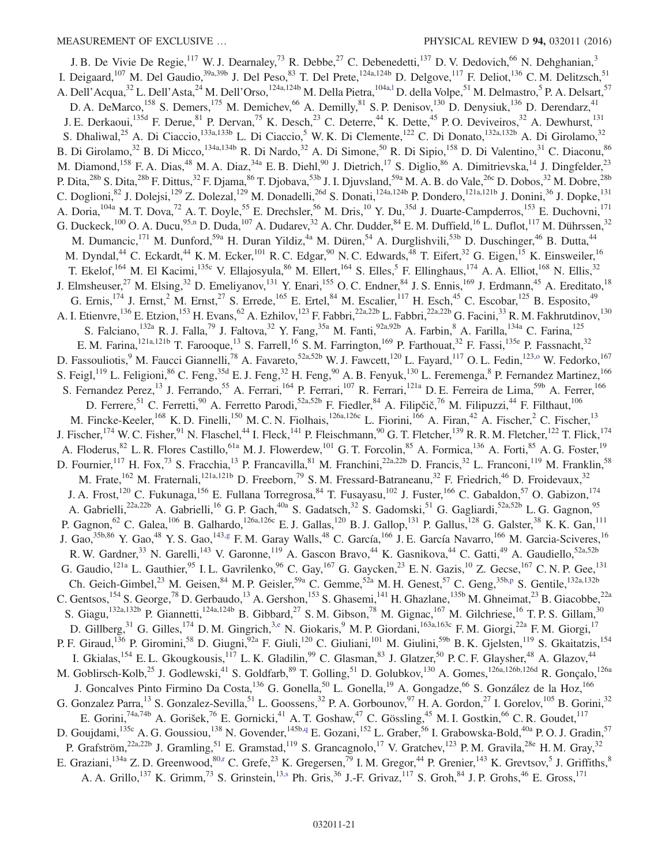<span id="page-21-6"></span><span id="page-21-5"></span><span id="page-21-4"></span><span id="page-21-3"></span><span id="page-21-2"></span><span id="page-21-1"></span><span id="page-21-0"></span>J. B. De Vivie De Regie,<sup>117</sup> W. J. Dearnaley,<sup>73</sup> R. Debbe,<sup>27</sup> C. Debenedetti,<sup>137</sup> D. V. Dedovich,<sup>66</sup> N. Dehghanian,<sup>3</sup> I. Deigaard,<sup>107</sup> M. Del Gaudio,<sup>39a,39b</sup> J. Del Peso,<sup>83</sup> T. Del Prete,<sup>124a,124b</sup> D. Delgove,<sup>117</sup> F. Deliot,<sup>136</sup> C. M. Delitzsch,<sup>51</sup> A. Dell'Acqua,<sup>32</sup> L. Dell'Asta,<sup>24</sup> M. Dell'Orso,<sup>124a,124b</sup> M. Della Pietra,<sup>104a,1</sup> D. della Volpe,<sup>51</sup> M. Delmastro,<sup>5</sup> P. A. Delsart,<sup>57</sup> D. A. DeMarco,<sup>158</sup> S. Demers,<sup>175</sup> M. Demichev,<sup>66</sup> A. Demilly,<sup>81</sup> S. P. Denisov,<sup>130</sup> D. Denysiuk,<sup>136</sup> D. Derendarz,<sup>41</sup> J. E. Derkaoui,<sup>135d</sup> F. Derue, <sup>81</sup> P. Dervan,<sup>75</sup> K. Desch,<sup>23</sup> C. Deterre,<sup>44</sup> K. Dette,<sup>45</sup> P. O. Deviveiros,<sup>32</sup> A. Dewhurst,<sup>131</sup> S. Dhaliwal,<sup>25</sup> A. Di Ciaccio,<sup>133a,133b</sup> L. Di Ciaccio,<sup>5</sup> W. K. Di Clemente,<sup>122</sup> C. Di Donato,<sup>132a,132b</sup> A. Di Girolamo,<sup>32</sup> B. Di Girolamo,<sup>32</sup> B. Di Micco,<sup>134a,134b</sup> R. Di Nardo,<sup>32</sup> A. Di Simone,<sup>50</sup> R. Di Sipio,<sup>158</sup> D. Di Valentino,<sup>31</sup> C. Diaconu,<sup>86</sup> M. Diamond,<sup>158</sup> F. A. Dias,<sup>48</sup> M. A. Diaz,<sup>34a</sup> E. B. Diehl,<sup>90</sup> J. Dietrich,<sup>17</sup> S. Diglio,<sup>86</sup> A. Dimitrievska,<sup>14</sup> J. Dingfelder,<sup>23</sup> P. Dita,  $^{28b}$  S. Dita,  $^{28b}$  F. Dittus,  $^{32}$  F. Djama,  $^{86}$  T. Djobava,  $^{53b}$  J. I. Djuvsland,  $^{59a}$  M. A. B. do Vale,  $^{26c}$  D. Dobos,  $^{32}$  M. Dobre,  $^{28b}$ C. Doglioni,<sup>82</sup> J. Dolejsi,<sup>129</sup> Z. Dolezal,<sup>129</sup> M. Donadelli,<sup>26d</sup> S. Donati,<sup>124a,124b</sup> P. Dondero,<sup>121a,121b</sup> J. Donini,<sup>36</sup> J. Dopke,<sup>131</sup> A. Doria, <sup>104a</sup> M. T. Dova,<sup>72</sup> A. T. Doyle,<sup>55</sup> E. Drechsler,<sup>56</sup> M. Dris,<sup>10</sup> Y. Du,<sup>35d</sup> J. Duarte-Campderros,<sup>153</sup> E. Duchovni,<sup>171</sup> G. Duckeck,<sup>100</sup> O. A. Ducu,<sup>95[,n](#page-30-13)</sup> D. Duda,<sup>107</sup> A. Dudarev,<sup>32</sup> A. Chr. Dudder,<sup>84</sup> E. M. Duffield,<sup>16</sup> L. Duflot,<sup>117</sup> M. Dührssen,<sup>32</sup> M. Dumancic,<sup>171</sup> M. Dunford,<sup>59a</sup> H. Duran Yildiz,<sup>4a</sup> M. Düren,<sup>54</sup> A. Durglishvili,<sup>53b</sup> D. Duschinger,<sup>46</sup> B. Dutta,<sup>44</sup> M. Dyndal,<sup>44</sup> C. Eckardt,<sup>44</sup> K. M. Ecker,<sup>101</sup> R. C. Edgar,<sup>90</sup> N. C. Edwards,<sup>48</sup> T. Eifert,<sup>32</sup> G. Eigen,<sup>15</sup> K. Einsweiler,<sup>16</sup> T. Ekelof,<sup>164</sup> M. El Kacimi,<sup>135c</sup> V. Ellajosyula,<sup>86</sup> M. Ellert,<sup>164</sup> S. Elles,<sup>5</sup> F. Ellinghaus,<sup>174</sup> A. A. Elliot,<sup>168</sup> N. Ellis,<sup>32</sup> J. Elmsheuser,<sup>27</sup> M. Elsing,<sup>32</sup> D. Emeliyanov,<sup>131</sup> Y. Enari,<sup>155</sup> O. C. Endner,<sup>84</sup> J. S. Ennis,<sup>169</sup> J. Erdmann,<sup>45</sup> A. Ereditato,<sup>18</sup> G. Ernis,<sup>174</sup> J. Ernst,<sup>2</sup> M. Ernst,<sup>27</sup> S. Errede,<sup>165</sup> E. Ertel,<sup>84</sup> M. Escalier,<sup>117</sup> H. Esch,<sup>45</sup> C. Escobar,<sup>125</sup> B. Esposito,<sup>49</sup> A. I. Etienvre,<sup>136</sup> E. Etzion,<sup>153</sup> H. Evans,<sup>62</sup> A. Ezhilov,<sup>123</sup> F. Fabbri,<sup>22a,22b</sup> L. Fabbri,<sup>22a,22b</sup> G. Facini,<sup>33</sup> R. M. Fakhrutdinov,<sup>130</sup> S. Falciano,<sup>132a</sup> R. J. Falla,<sup>79</sup> J. Faltova,<sup>32</sup> Y. Fang,<sup>35a</sup> M. Fanti,<sup>92a,92b</sup> A. Farbin,<sup>8</sup> A. Farilla,<sup>134a</sup> C. Farina,<sup>125</sup> E. M. Farina,<sup>121a,121b</sup> T. Farooque,<sup>13</sup> S. Farrell,<sup>16</sup> S. M. Farrington,<sup>169</sup> P. Farthouat,<sup>32</sup> F. Fassi,<sup>135e</sup> P. Fassnacht,<sup>32</sup> D. Fassouliotis,<sup>9</sup> M. Faucci Giannelli,<sup>78</sup> A. Favareto,<sup>52a,52b</sup> W. J. Fawcett,<sup>120</sup> L. Fayard,<sup>117</sup> O. L. Fedin,<sup>123,0</sup> W. Fedorko,<sup>167</sup> S. Feigl,<sup>119</sup> L. Feligioni,<sup>86</sup> C. Feng,<sup>35d</sup> E. J. Feng,<sup>32</sup> H. Feng,<sup>90</sup> A. B. Fenyuk,<sup>130</sup> L. Feremenga,<sup>8</sup> P. Fernandez Martinez,<sup>166</sup> S. Fernandez Perez,<sup>13</sup> J. Ferrando,<sup>55</sup> A. Ferrari,<sup>164</sup> P. Ferrari,<sup>107</sup> R. Ferrari,<sup>121a</sup> D. E. Ferreira de Lima,<sup>59b</sup> A. Ferrer,<sup>166</sup> D. Ferrere,<sup>51</sup> C. Ferretti,<sup>90</sup> A. Ferretto Parodi,<sup>52a,52b</sup> F. Fiedler,<sup>84</sup> A. Filipčič,<sup>76</sup> M. Filipuzzi,<sup>44</sup> F. Filthaut,<sup>106</sup> M. Fincke-Keeler,<sup>168</sup> K. D. Finelli,<sup>150</sup> M. C. N. Fiolhais,<sup>126a,126c</sup> L. Fiorini,<sup>166</sup> A. Firan,<sup>42</sup> A. Fischer,<sup>2</sup> C. Fischer,<sup>13</sup> J. Fischer,<sup>174</sup> W. C. Fisher,<sup>91</sup> N. Flaschel,<sup>44</sup> I. Fleck,<sup>141</sup> P. Fleischmann,<sup>90</sup> G. T. Fletcher,<sup>139</sup> R. R. M. Fletcher,<sup>122</sup> T. Flick,<sup>174</sup> A. Floderus,<sup>82</sup> L. R. Flores Castillo,<sup>61a</sup> M. J. Flowerdew,<sup>101</sup> G. T. Forcolin,<sup>85</sup> A. Formica,<sup>136</sup> A. Forti,<sup>85</sup> A. G. Foster,<sup>19</sup> D. Fournier,<sup>117</sup> H. Fox,<sup>73</sup> S. Fracchia,<sup>13</sup> P. Francavilla,<sup>81</sup> M. Franchini,<sup>22a,22b</sup> D. Francis,<sup>32</sup> L. Franconi,<sup>119</sup> M. Franklin,<sup>58</sup> M. Frate,<sup>162</sup> M. Fraternali,<sup>121a,121b</sup> D. Freeborn,<sup>79</sup> S. M. Fressard-Batraneanu,<sup>32</sup> F. Friedrich,<sup>46</sup> D. Froidevaux,<sup>32</sup> J. A. Frost,<sup>120</sup> C. Fukunaga,<sup>156</sup> E. Fullana Torregrosa,<sup>84</sup> T. Fusayasu,<sup>102</sup> J. Fuster,<sup>166</sup> C. Gabaldon,<sup>57</sup> O. Gabizon,<sup>174</sup> A. Gabrielli,<sup>22a,22b</sup> A. Gabrielli,<sup>16</sup> G. P. Gach,<sup>40a</sup> S. Gadatsch,<sup>32</sup> S. Gadomski,<sup>51</sup> G. Gagliardi,<sup>52a,52b</sup> L. G. Gagnon,<sup>95</sup> P. Gagnon,<sup>62</sup> C. Galea,<sup>106</sup> B. Galhardo,<sup>126a,126c</sup> E. J. Gallas,<sup>120</sup> B. J. Gallop,<sup>131</sup> P. Gallus,<sup>128</sup> G. Galster,<sup>38</sup> K. K. Gan,<sup>111</sup> J. Gao,<sup>35b,86</sup> Y. Gao,<sup>48</sup> Y. S. Gao,<sup>14[3,g](#page-30-6)</sup> F. M. Garay Walls,<sup>48</sup> C. García,<sup>166</sup> J. E. García Navarro,<sup>166</sup> M. Garcia-Sciveres,<sup>16</sup> R. W. Gardner,<sup>33</sup> N. Garelli,<sup>143</sup> V. Garonne,<sup>119</sup> A. Gascon Bravo,<sup>44</sup> K. Gasnikova,<sup>44</sup> C. Gatti,<sup>49</sup> A. Gaudiello,<sup>52a,52b</sup> G. Gaudio, <sup>121a</sup> L. Gauthier, <sup>95</sup> I. L. Gavrilenko, <sup>96</sup> C. Gay, <sup>167</sup> G. Gaycken, <sup>23</sup> E. N. Gazis, <sup>10</sup> Z. Gecse, <sup>167</sup> C. N. P. Gee, <sup>131</sup> Ch. Geich-Gimbel,<sup>23</sup> M. Geisen,<sup>84</sup> M. P. Geisler,<sup>59a</sup> C. Gemme,<sup>52a</sup> M. H. Genest,<sup>57</sup> C. Geng,<sup>35b[,p](#page-30-15)</sup> S. Gentile,<sup>132a,132b</sup> C. Gentsos, <sup>154</sup> S. George, <sup>78</sup> D. Gerbaudo, <sup>13</sup> A. Gershon, <sup>153</sup> S. Ghasemi, <sup>141</sup> H. Ghazlane, <sup>135b</sup> M. Ghneimat, <sup>23</sup> B. Giacobbe, <sup>22a</sup> S. Giagu,<sup>132a,132b</sup> P. Giannetti,<sup>124a,124b</sup> B. Gibbard,<sup>27</sup> S. M. Gibson,<sup>78</sup> M. Gignac,<sup>167</sup> M. Gilchriese,<sup>16</sup> T. P. S. Gillam,<sup>30</sup> D. Gillberg,<sup>31</sup> G. Gilles,<sup>174</sup> D. M. Gingrich,<sup>3[,e](#page-30-4)</sup> N. Giokaris,<sup>9</sup> M. P. Giordani,<sup>163a,163c</sup> F. M. Giorgi,<sup>22a</sup> F. M. Giorgi,<sup>17</sup> P. F. Giraud,<sup>136</sup> P. Giromini,<sup>58</sup> D. Giugni,<sup>92a</sup> F. Giuli,<sup>120</sup> C. Giuliani,<sup>101</sup> M. Giulini,<sup>59b</sup> B. K. Gjelsten,<sup>119</sup> S. Gkaitatzis,<sup>154</sup> I. Gkialas,<sup>154</sup> E. L. Gkougkousis,<sup>117</sup> L. K. Gladilin,<sup>99</sup> C. Glasman,<sup>83</sup> J. Glatzer,<sup>50</sup> P. C. F. Glaysher,<sup>48</sup> A. Glazov,<sup>44</sup> M. Goblirsch-Kolb,<sup>25</sup> J. Godlewski,<sup>41</sup> S. Goldfarb,<sup>89</sup> T. Golling,<sup>51</sup> D. Golubkov,<sup>130</sup> A. Gomes,<sup>126a,126b,126d</sup> R. Gonçalo,<sup>126a</sup> J. Goncalves Pinto Firmino Da Costa,<sup>136</sup> G. Gonella,<sup>50</sup> L. Gonella,<sup>19</sup> A. Gongadze,<sup>66</sup> S. González de la Hoz,<sup>166</sup> G. Gonzalez Parra,<sup>13</sup> S. Gonzalez-Sevilla,<sup>51</sup> L. Goossens,<sup>32</sup> P. A. Gorbounov,<sup>97</sup> H. A. Gordon,<sup>27</sup> I. Gorelov,<sup>105</sup> B. Gorini,<sup>32</sup> E. Gorini,<sup>74a,74b</sup> A. Gorišek,<sup>76</sup> E. Gornicki,<sup>41</sup> A. T. Goshaw,<sup>47</sup> C. Gössling,<sup>45</sup> M. I. Gostkin,<sup>66</sup> C. R. Goudet,<sup>117</sup> D. Goujdami, <sup>135c</sup> A. G. Goussiou, <sup>138</sup> N. Govender, <sup>145b[,q](#page-30-16)</sup> E. Gozani, <sup>152</sup> L. Graber, <sup>56</sup> I. Grabowska-Bold, <sup>40a</sup> P. O. J. Gradin, <sup>57</sup> P. Grafström,<sup>22a,22b</sup> J. Gramling,<sup>51</sup> E. Gramstad,<sup>119</sup> S. Grancagnolo,<sup>17</sup> V. Gratchev,<sup>123</sup> P.M. Gravila,<sup>28e</sup> H.M. Gray,<sup>32</sup> E. Graziani,  $^{134a}$  Z. D. Greenwood,  $^{80,r}$  $^{80,r}$  $^{80,r}$  C. Grefe,  $^{23}$  K. Gregersen,  $^{79}$  I. M. Gregor,  $^{44}$  P. Grenier,  $^{143}$  K. Grevtsov,  $^5$  J. Griffiths,  $^8$ A. A. Grillo,<sup>137</sup> K. Grimm,<sup>73</sup> S. Grinstein,<sup>1[3,s](#page-30-18)</sup> Ph. Gris,<sup>36</sup> J.-F. Grivaz,<sup>117</sup> S. Groh,<sup>84</sup> J. P. Grohs,<sup>46</sup> E. Gross,<sup>171</sup>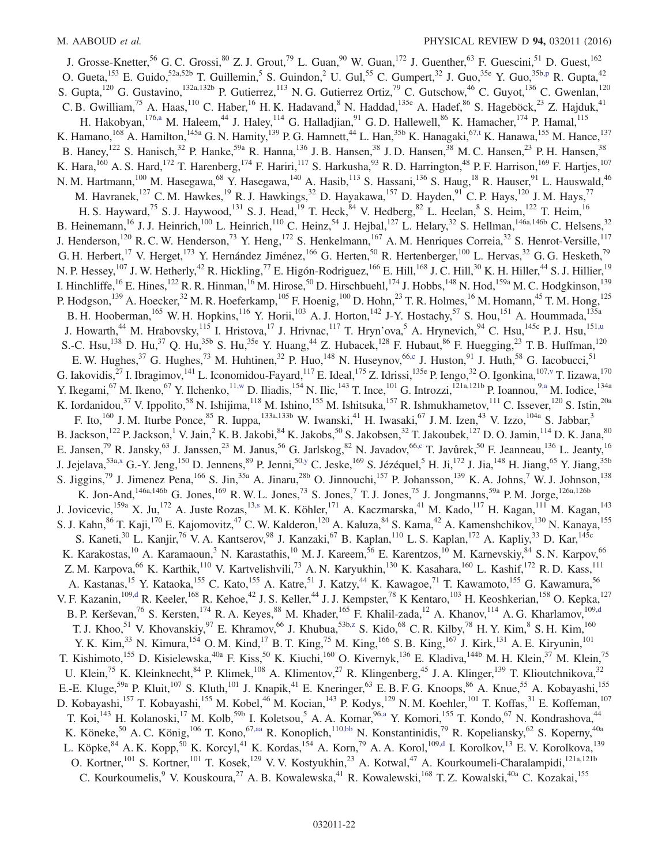<span id="page-22-2"></span><span id="page-22-1"></span><span id="page-22-0"></span>J. Grosse-Knetter,<sup>56</sup> G. C. Grossi,<sup>80</sup> Z. J. Grout,<sup>79</sup> L. Guan,<sup>90</sup> W. Guan,<sup>172</sup> J. Guenther,<sup>63</sup> F. Guescini,<sup>51</sup> D. Guest,<sup>162</sup> O. Gueta, <sup>153</sup> E. Guido, <sup>52a, 52b</sup> T. Guillemin, <sup>5</sup> S. Guindon, <sup>2</sup> U. Gul, <sup>55</sup> C. Gumpert, <sup>32</sup> J. Guo, <sup>35e</sup> Y. Guo, <sup>35b, p</sup> R. Gupta, <sup>42</sup> S. Gupta,<sup>120</sup> G. Gustavino,<sup>132a,132b</sup> P. Gutierrez,<sup>113</sup> N. G. Gutierrez Ortiz,<sup>79</sup> C. Gutschow,<sup>46</sup> C. Guyot,<sup>136</sup> C. Gwenlan,<sup>120</sup> C. B. Gwilliam,<sup>75</sup> A. Haas,<sup>110</sup> C. Haber,<sup>16</sup> H. K. Hadavand,<sup>8</sup> N. Haddad,<sup>135e</sup> A. Hadef,<sup>86</sup> S. Hageböck,<sup>23</sup> Z. Hajduk,<sup>41</sup> H. Hakobyan, 17[6,a](#page-30-3) M. Haleem, <sup>44</sup> J. Haley, <sup>114</sup> G. Halladjian, <sup>91</sup> G. D. Hallewell, <sup>86</sup> K. Hamacher, <sup>174</sup> P. Hamal, <sup>115</sup> K. Hamano,  $^{168}$  A. Hamilton,  $^{145a}$  G. N. Hamity,  $^{139}$  P. G. Hamnett,  $^{44}$  L. Han,  $^{35b}$  K. Hanagaki,  $^{67,t}$  $^{67,t}$  $^{67,t}$  K. Hanawa,  $^{155}$  M. Hance,  $^{137}$ B. Haney,<sup>122</sup> S. Hanisch,<sup>32</sup> P. Hanke,<sup>59a</sup> R. Hanna,<sup>136</sup> J. B. Hansen,<sup>38</sup> J. D. Hansen,<sup>38</sup> M. C. Hansen,<sup>23</sup> P. H. Hansen,<sup>38</sup> K. Hara,<sup>160</sup> A. S. Hard,<sup>172</sup> T. Harenberg,<sup>174</sup> F. Hariri,<sup>117</sup> S. Harkusha,<sup>93</sup> R. D. Harrington,<sup>48</sup> P. F. Harrison,<sup>169</sup> F. Hartjes,<sup>107</sup> N. M. Hartmann,<sup>100</sup> M. Hasegawa,<sup>68</sup> Y. Hasegawa,<sup>140</sup> A. Hasib,<sup>113</sup> S. Hassani,<sup>136</sup> S. Haug,<sup>18</sup> R. Hauser,<sup>91</sup> L. Hauswald,<sup>46</sup> M. Havranek,<sup>127</sup> C. M. Hawkes,<sup>19</sup> R. J. Hawkings,<sup>32</sup> D. Hayakawa,<sup>157</sup> D. Hayden,<sup>91</sup> C. P. Hays,<sup>120</sup> J. M. Hays,<sup>77</sup> H. S. Hayward,<sup>75</sup> S. J. Haywood,<sup>131</sup> S. J. Head,<sup>19</sup> T. Heck,<sup>84</sup> V. Hedberg,<sup>82</sup> L. Heelan,<sup>8</sup> S. Heim,<sup>122</sup> T. Heim,<sup>16</sup> B. Heinemann,<sup>16</sup> J. J. Heinrich,<sup>100</sup> L. Heinrich,<sup>110</sup> C. Heinz,<sup>54</sup> J. Hejbal,<sup>127</sup> L. Helary,<sup>32</sup> S. Hellman,<sup>146a,146b</sup> C. Helsens,<sup>32</sup> J. Henderson,<sup>120</sup> R. C. W. Henderson,<sup>73</sup> Y. Heng,<sup>172</sup> S. Henkelmann,<sup>167</sup> A. M. Henriques Correia,<sup>32</sup> S. Henrot-Versille,<sup>117</sup> G. H. Herbert,  $^{17}$  V. Herget,  $^{173}$  Y. Hernández Jiménez,  $^{166}$  G. Herten,  $^{50}$  R. Hertenberger,  $^{100}$  L. Hervas,  $^{32}$  G. G. Hesketh,  $^{79}$ N. P. Hessey,<sup>107</sup> J. W. Hetherly,<sup>42</sup> R. Hickling,<sup>77</sup> E. Higón-Rodriguez,<sup>166</sup> E. Hill,<sup>168</sup> J. C. Hill,<sup>30</sup> K. H. Hiller,<sup>44</sup> S. J. Hillier,<sup>19</sup> I. Hinchliffe,<sup>16</sup> E. Hines,<sup>122</sup> R. R. Hinman,<sup>16</sup> M. Hirose,<sup>50</sup> D. Hirschbuehl,<sup>174</sup> J. Hobbs,<sup>148</sup> N. Hod,<sup>159a</sup> M. C. Hodgkinson,<sup>139</sup> P. Hodgson,<sup>139</sup> A. Hoecker,<sup>32</sup> M. R. Hoeferkamp,<sup>105</sup> F. Hoenig,<sup>100</sup> D. Hohn,<sup>23</sup> T. R. Holmes,<sup>16</sup> M. Homann,<sup>45</sup> T. M. Hong,<sup>125</sup> B. H. Hooberman,<sup>165</sup> W. H. Hopkins,<sup>116</sup> Y. Horii,<sup>103</sup> A. J. Horton,<sup>142</sup> J-Y. Hostachy,<sup>57</sup> S. Hou,<sup>151</sup> A. Hoummada,<sup>135a</sup> J. Howarth,<sup>44</sup> M. Hrabovsky,<sup>115</sup> I. Hristova,<sup>17</sup> J. Hrivnac,<sup>117</sup> T. Hryn'ova,<sup>5</sup> A. Hrynevich,<sup>94</sup> C. Hsu,<sup>145c</sup> P. J. Hsu,<sup>15[1,u](#page-30-20)</sup> S.-C. Hsu,<sup>138</sup> D. Hu,<sup>37</sup> Q. Hu,<sup>35b</sup> S. Hu,<sup>35e</sup> Y. Huang,<sup>44</sup> Z. Hubacek,<sup>128</sup> F. Hubaut,<sup>86</sup> F. Huegging,<sup>23</sup> T. B. Huffman,<sup>120</sup> E. W. Hughes,  $37$  G. Hughes,  $73$  M. Huhtinen,  $32$  P. Huo,  $148$  N. Huseynov,  $66$ , J. Huston,  $91$  J. Huth,  $58$  G. Iacobucci,  $51$ G. Iakovidis,<sup>27</sup> I. Ibragimov,<sup>141</sup> L. Iconomidou-Fayard,<sup>117</sup> E. Ideal,<sup>175</sup> Z. Idrissi,<sup>135e</sup> P. Iengo,<sup>32</sup> O. Igonkina,<sup>10[7,v](#page-30-21)</sup> T. Iizawa,<sup>170</sup> Y. Ikegami,<sup>67</sup> M. Ikeno,<sup>67</sup> Y. Ilchenko,<sup>11[,w](#page-30-22)</sup> D. Iliadis,<sup>154</sup> N. Ilic,<sup>143</sup> T. Ince,<sup>101</sup> G. Introzzi,<sup>121a,121b</sup> P. Ioannou,<sup>[9,a](#page-30-3)</sup> M. Iodice,<sup>134a</sup> K. Iordanidou,<sup>37</sup> V. Ippolito,<sup>58</sup> N. Ishijima,<sup>118</sup> M. Ishino,<sup>155</sup> M. Ishitsuka,<sup>157</sup> R. Ishmukhametov,<sup>111</sup> C. Issever,<sup>120</sup> S. Istin,<sup>20a</sup> F. Ito,<sup>160</sup> J. M. Iturbe Ponce,<sup>85</sup> R. Iuppa,<sup>133a,133b</sup> W. Iwanski,<sup>41</sup> H. Iwasaki,<sup>67</sup> J. M. Izen,<sup>43</sup> V. Izzo,<sup>104a</sup> S. Jabbar,<sup>3</sup> B. Jackson,<sup>122</sup> P. Jackson,<sup>1</sup> V. Jain,<sup>2</sup> K. B. Jakobi,<sup>84</sup> K. Jakobs,<sup>50</sup> S. Jakobsen,<sup>32</sup> T. Jakoubek,<sup>127</sup> D. O. Jamin,<sup>114</sup> D. K. Jana,<sup>80</sup> E. Jansen,<sup>79</sup> R. Jansky,<sup>63</sup> J. Janssen,<sup>23</sup> M. Janus,<sup>56</sup> G. Jarlskog,<sup>82</sup> N. Javadov,<sup>66[,c](#page-30-1)</sup> T. Javůrek,<sup>50</sup> F. Jeanneau,<sup>136</sup> L. Jeanty,<sup>16</sup> J. Jejelava,<sup>53[a,x](#page-30-23)</sup> G.-Y. Jeng,<sup>150</sup> D. Jennens,<sup>89</sup> P. Jenni,<sup>50[,y](#page-30-24)</sup> C. Jeske,<sup>169</sup> S. Jézéquel,<sup>5</sup> H. Ji,<sup>172</sup> J. Jia,<sup>148</sup> H. Jiang,<sup>65</sup> Y. Jiang,<sup>35b</sup> S. Jiggins,<sup>79</sup> J. Jimenez Pena,<sup>166</sup> S. Jin,<sup>35a</sup> A. Jinaru,<sup>28b</sup> O. Jinnouchi,<sup>157</sup> P. Johansson,<sup>139</sup> K. A. Johns,<sup>7</sup> W. J. Johnson,<sup>138</sup> K. Jon-And,  $^{146a,146b}$  G. Jones,  $^{169}$  R. W. L. Jones,  $^{73}$  S. Jones,  $^{7}$  T. J. Jones,  $^{75}$  J. Jongmanns,  $^{59a}$  P. M. Jorge,  $^{126a,126b}$ J. Jovicevic,<sup>159a</sup> X. Ju,<sup>172</sup> A. Juste Rozas,<sup>1[3,s](#page-30-18)</sup> M. K. Köhler,<sup>171</sup> A. Kaczmarska,<sup>41</sup> M. Kado,<sup>117</sup> H. Kagan,<sup>111</sup> M. Kagan,<sup>143</sup> S. J. Kahn,<sup>86</sup> T. Kaji,<sup>170</sup> E. Kajomovitz,<sup>47</sup> C. W. Kalderon,<sup>120</sup> A. Kaluza,<sup>84</sup> S. Kama,<sup>42</sup> A. Kamenshchikov,<sup>130</sup> N. Kanaya,<sup>155</sup> S. Kaneti,<sup>30</sup> L. Kanjir,<sup>76</sup> V. A. Kantserov,<sup>98</sup> J. Kanzaki,<sup>67</sup> B. Kaplan,<sup>110</sup> L. S. Kaplan,<sup>172</sup> A. Kapliy,<sup>33</sup> D. Kar,<sup>145c</sup> K. Karakostas,<sup>10</sup> A. Karamaoun,<sup>3</sup> N. Karastathis,<sup>10</sup> M. J. Kareem,<sup>56</sup> E. Karentzos,<sup>10</sup> M. Karnevskiy,<sup>84</sup> S. N. Karpov,<sup>66</sup> Z. M. Karpova,<sup>66</sup> K. Karthik,<sup>110</sup> V. Kartvelishvili,<sup>73</sup> A. N. Karyukhin,<sup>130</sup> K. Kasahara,<sup>160</sup> L. Kashif,<sup>172</sup> R. D. Kass,<sup>111</sup> A. Kastanas,<sup>15</sup> Y. Kataoka,<sup>155</sup> C. Kato,<sup>155</sup> A. Katre,<sup>51</sup> J. Katzy,<sup>44</sup> K. Kawagoe,<sup>71</sup> T. Kawamoto,<sup>155</sup> G. Kawamura,<sup>56</sup> V. F. Kazanin,<sup>10[9,d](#page-30-2)</sup> R. Keeler,<sup>168</sup> R. Kehoe,<sup>42</sup> J. S. Keller,<sup>44</sup> J. J. Kempster,<sup>78</sup> K Kentaro,<sup>103</sup> H. Keoshkerian,<sup>158</sup> O. Kepka,<sup>127</sup> B. P. Kerševan,<sup>76</sup> S. Kersten,<sup>174</sup> R. A. Keyes,<sup>88</sup> M. Khader,<sup>165</sup> F. Khalil-zada,<sup>12</sup> A. Khanov,<sup>114</sup> A. G. Kharlamov,<sup>10[9,d](#page-30-2)</sup> T. J. Khoo,<sup>51</sup> V. Khovanskiy,<sup>97</sup> E. Khramov,<sup>66</sup> J. Khubua,<sup>53[b,z](#page-30-25)</sup> S. Kido,<sup>68</sup> C. R. Kilby,<sup>78</sup> H. Y. Kim,<sup>8</sup> S. H. Kim,<sup>160</sup> Y. K. Kim,<sup>33</sup> N. Kimura,<sup>154</sup> O. M. Kind,<sup>17</sup> B. T. King,<sup>75</sup> M. King,<sup>166</sup> S. B. King,<sup>167</sup> J. Kirk,<sup>131</sup> A. E. Kiryunin,<sup>101</sup> T. Kishimoto,<sup>155</sup> D. Kisielewska,<sup>40a</sup> F. Kiss,<sup>50</sup> K. Kiuchi,<sup>160</sup> O. Kivernyk,<sup>136</sup> E. Kladiva,<sup>144b</sup> M. H. Klein,<sup>37</sup> M. Klein,<sup>75</sup> U. Klein,<sup>75</sup> K. Kleinknecht,<sup>84</sup> P. Klimek,<sup>108</sup> A. Klimentov,<sup>27</sup> R. Klingenberg,<sup>45</sup> J. A. Klinger,<sup>139</sup> T. Klioutchnikova,<sup>32</sup> E.-E. Kluge,<sup>59a</sup> P. Kluit,<sup>107</sup> S. Kluth,<sup>101</sup> J. Knapik,<sup>41</sup> E. Kneringer,<sup>63</sup> E. B. F. G. Knoops,<sup>86</sup> A. Knue,<sup>55</sup> A. Kobayashi,<sup>155</sup> D. Kobayashi,<sup>157</sup> T. Kobayashi,<sup>155</sup> M. Kobel,<sup>46</sup> M. Kocian,<sup>143</sup> P. Kodys,<sup>129</sup> N. M. Koehler,<sup>101</sup> T. Koffas,<sup>31</sup> E. Koffeman,<sup>107</sup> T. Koi,<sup>143</sup> H. Kolanoski,<sup>17</sup> M. Kolb,<sup>59b</sup> I. Koletsou,<sup>5</sup> A. A. Komar,<sup>96[,a](#page-30-3)</sup> Y. Komori,<sup>155</sup> T. Kondo,<sup>67</sup> N. Kondrashova,<sup>44</sup> K. Köneke,<sup>50</sup> A. C. König,<sup>106</sup> T. Kono,<sup>6[7,aa](#page-30-26)</sup> R. Konoplich,<sup>11[0,bb](#page-30-27)</sup> N. Konstantinidis,<sup>79</sup> R. Kopeliansky,<sup>62</sup> S. Koperny,<sup>40a</sup> L. Köpke,<sup>84</sup> A. K. Kopp,<sup>50</sup> K. Korcyl,<sup>41</sup> K. Kordas,<sup>154</sup> A. Korn,<sup>79</sup> A. A. Korol,<sup>10[9,d](#page-30-2)</sup> I. Korolkov,<sup>13</sup> E. V. Korolkova,<sup>139</sup> O. Kortner,<sup>101</sup> S. Kortner,<sup>101</sup> T. Kosek,<sup>129</sup> V. V. Kostyukhin,<sup>23</sup> A. Kotwal,<sup>47</sup> A. Kourkoumeli-Charalampidi,<sup>121a,121b</sup> C. Kourkoumelis, <sup>9</sup> V. Kouskoura,  $^{27}$  A. B. Kowalewska,  $^{41}$  R. Kowalewski,  $^{168}$  T. Z. Kowalski,  $^{40a}$  C. Kozakai,  $^{155}$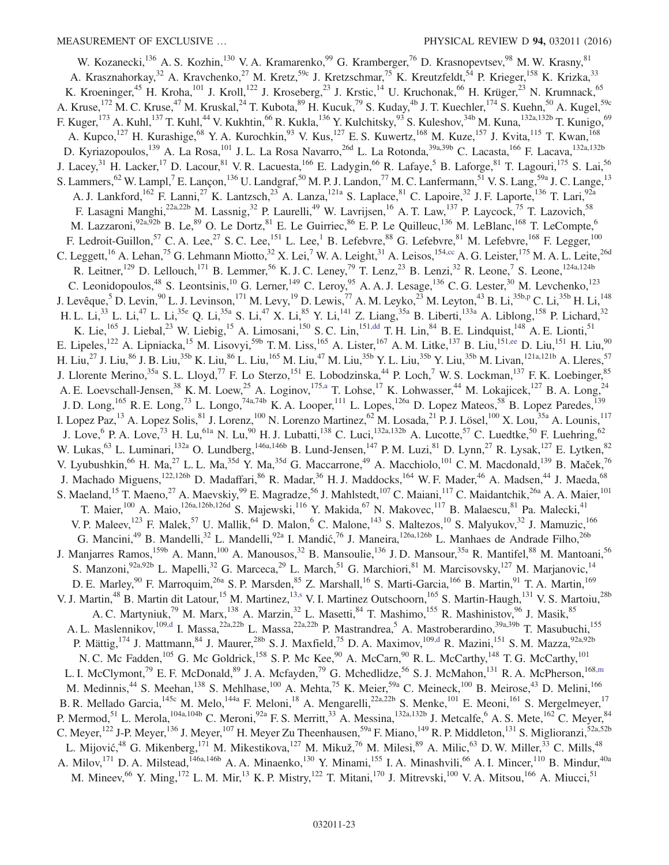<span id="page-23-4"></span><span id="page-23-3"></span><span id="page-23-2"></span><span id="page-23-1"></span><span id="page-23-0"></span>W. Kozanecki,<sup>136</sup> A. S. Kozhin,<sup>130</sup> V. A. Kramarenko,<sup>99</sup> G. Kramberger,<sup>76</sup> D. Krasnopevtsev,<sup>98</sup> M. W. Krasny,<sup>81</sup> A. Krasznahorkay,<sup>32</sup> A. Kravchenko,<sup>27</sup> M. Kretz,<sup>59c</sup> J. Kretzschmar,<sup>75</sup> K. Kreutzfeldt,<sup>54</sup> P. Krieger,<sup>158</sup> K. Krizka,<sup>33</sup> K. Kroeninger,<sup>45</sup> H. Kroha,<sup>101</sup> J. Kroll,<sup>122</sup> J. Kroseberg,<sup>23</sup> J. Krstic,<sup>14</sup> U. Kruchonak,<sup>66</sup> H. Krüger,<sup>23</sup> N. Krumnack,<sup>65</sup> A. Kruse,<sup>172</sup> M. C. Kruse,<sup>47</sup> M. Kruskal,<sup>24</sup> T. Kubota,<sup>89</sup> H. Kucuk,<sup>79</sup> S. Kuday,<sup>4b</sup> J. T. Kuechler,<sup>174</sup> S. Kuehn,<sup>50</sup> A. Kugel,<sup>59c</sup> F. Kuger,<sup>173</sup> A. Kuhl,<sup>137</sup> T. Kuhl,<sup>44</sup> V. Kukhtin,<sup>66</sup> R. Kukla,<sup>136</sup> Y. Kulchitsky,<sup>93</sup> S. Kuleshov,<sup>34b</sup> M. Kuna,<sup>132a,132b</sup> T. Kunigo,<sup>69</sup> A. Kupco,<sup>127</sup> H. Kurashige,<sup>68</sup> Y. A. Kurochkin,<sup>93</sup> V. Kus,<sup>127</sup> E. S. Kuwertz,<sup>168</sup> M. Kuze,<sup>157</sup> J. Kvita,<sup>115</sup> T. Kwan,<sup>168</sup> D. Kyriazopoulos,<sup>139</sup> A. La Rosa,<sup>101</sup> J. L. La Rosa Navarro,<sup>26d</sup> L. La Rotonda,<sup>39a,39b</sup> C. Lacasta,<sup>166</sup> F. Lacava,<sup>132a,132b</sup> J. Lacey,<sup>31</sup> H. Lacker,<sup>17</sup> D. Lacour,<sup>81</sup> V. R. Lacuesta,<sup>166</sup> E. Ladygin,<sup>66</sup> R. Lafaye,<sup>5</sup> B. Laforge,<sup>81</sup> T. Lagouri,<sup>175</sup> S. Lai,<sup>56</sup> S. Lammers, <sup>62</sup> W. Lampl, <sup>7</sup> E. Lançon, <sup>136</sup> U. Landgraf, <sup>50</sup> M. P. J. Landon, <sup>77</sup> M. C. Lanfermann, <sup>51</sup> V. S. Lang, <sup>59a</sup> J. C. Lange, <sup>13</sup> A. J. Lankford,<sup>162</sup> F. Lanni,<sup>27</sup> K. Lantzsch,<sup>23</sup> A. Lanza,<sup>121a</sup> S. Laplace,<sup>81</sup> C. Lapoire,<sup>32</sup> J. F. Laporte,<sup>136</sup> T. Lari,<sup>92a</sup> F. Lasagni Manghi,<sup>22a,22b</sup> M. Lassnig,<sup>32</sup> P. Laurelli,<sup>49</sup> W. Lavrijsen,<sup>16</sup> A. T. Law,<sup>137</sup> P. Laycock,<sup>75</sup> T. Lazovich,<sup>58</sup> M. Lazzaroni,<sup>92a,92b</sup> B. Le,<sup>89</sup> O. Le Dortz,<sup>81</sup> E. Le Guirriec,<sup>86</sup> E. P. Le Quilleuc,<sup>136</sup> M. LeBlanc,<sup>168</sup> T. LeCompte,<sup>6</sup> F. Ledroit-Guillon,<sup>57</sup> C. A. Lee,<sup>27</sup> S. C. Lee,<sup>151</sup> L. Lee,<sup>1</sup> B. Lefebvre,<sup>88</sup> G. Lefebvre,<sup>81</sup> M. Lefebvre,<sup>168</sup> F. Legger,<sup>100</sup> C. Leggett,<sup>16</sup> A. Lehan,<sup>75</sup> G. Lehmann Miotto,<sup>32</sup> X. Lei,<sup>7</sup> W. A. Leight,<sup>31</sup> A. Leisos,<sup>15[4,cc](#page-31-0)</sup> A. G. Leister,<sup>175</sup> M. A. L. Leite,<sup>26d</sup> R. Leitner,<sup>129</sup> D. Lellouch,<sup>171</sup> B. Lemmer,<sup>56</sup> K. J. C. Leney,<sup>79</sup> T. Lenz,<sup>23</sup> B. Lenzi,<sup>32</sup> R. Leone,<sup>7</sup> S. Leone,<sup>124a,124b</sup> C. Leonidopoulos,  $48$  S. Leontsinis,  $10$  G. Lerner,  $149$  C. Leroy,  $95$  A. A. J. Lesage,  $136$  C. G. Lester,  $30$  M. Levchenko,  $123$ J. Levêque,<sup>5</sup> D. Levin,<sup>90</sup> L. J. Levinson,<sup>171</sup> M. Levy,<sup>19</sup> D. Lewis,<sup>77</sup> A. M. Leyko,<sup>23</sup> M. Leyton,<sup>43</sup> B. Li,<sup>35[b,p](#page-30-15)</sup> C. Li,<sup>35b</sup> H. Li,<sup>148</sup> H. L. Li,<sup>33</sup> L. Li,<sup>47</sup> L. Li,<sup>35e</sup> Q. Li,<sup>35a</sup> S. Li,<sup>47</sup> X. Li,<sup>85</sup> Y. Li,<sup>141</sup> Z. Liang,<sup>35a</sup> B. Liberti,<sup>133a</sup> A. Liblong,<sup>158</sup> P. Lichard,<sup>32</sup> K. Lie,<sup>165</sup> J. Liebal,<sup>23</sup> W. Liebig,<sup>15</sup> A. Limosani,<sup>150</sup> S. C. Lin,<sup>15[1,dd](#page-31-1)</sup> T. H. Lin,<sup>84</sup> B. E. Lindquist,<sup>148</sup> A. E. Lionti,<sup>51</sup> E. Lipeles,<sup>122</sup> A. Lipniacka,<sup>15</sup> M. Lisovyi,<sup>59b</sup> T. M. Liss,<sup>165</sup> A. Lister,<sup>167</sup> A. M. Litke,<sup>137</sup> B. Liu,<sup>151</sup>[,ee](#page-31-2) D. Liu,<sup>151</sup> H. Liu,<sup>90</sup> H. Liu,<sup>27</sup> J. Liu,<sup>86</sup> J. B. Liu,<sup>35b</sup> K. Liu,<sup>86</sup> L. Liu,<sup>465</sup> M. Liu,<sup>47</sup> M. Liu,<sup>35b</sup> Y. L. Liu,<sup>35b</sup> Y. Liu,<sup>35b</sup> M. Livan,<sup>121a,121b</sup> A. Lleres,<sup>57</sup> J. Llorente Merino,<sup>35a</sup> S. L. Lloyd,<sup>77</sup> F. Lo Sterzo,<sup>151</sup> E. Lobodzinska,<sup>44</sup> P. Loch,<sup>7</sup> W. S. Lockman,<sup>137</sup> F. K. Loebinger,<sup>85</sup> A. E. Loevschall-Jensen,<sup>38</sup> K. M. Loew,<sup>25</sup> A. Loginov,<sup>17[5,a](#page-30-3)</sup> T. Lohse,<sup>17</sup> K. Lohwasser,<sup>44</sup> M. Lokajicek,<sup>127</sup> B. A. Long,<sup>24</sup> J. D. Long,<sup>165</sup> R. E. Long,<sup>73</sup> L. Longo,<sup>74a,74b</sup> K. A. Looper,<sup>111</sup> L. Lopes,<sup>126a</sup> D. Lopez Mateos,<sup>58</sup> B. Lopez Paredes,<sup>139</sup> I. Lopez Paz,<sup>13</sup> A. Lopez Solis,<sup>81</sup> J. Lorenz,<sup>100</sup> N. Lorenzo Martinez,<sup>62</sup> M. Losada,<sup>21</sup> P. J. Lösel,<sup>100</sup> X. Lou,<sup>35a</sup> A. Lounis,<sup>117</sup> J. Love, <sup>6</sup> P. A. Love,<sup>73</sup> H. Lu,<sup>61a</sup> N. Lu,<sup>90</sup> H. J. Lubatti,<sup>138</sup> C. Luci,<sup>132a,132b</sup> A. Lucotte,<sup>57</sup> C. Luedtke,<sup>50</sup> F. Luehring,<sup>62</sup> W. Lukas,<sup>63</sup> L. Luminari,<sup>132a</sup> O. Lundberg,<sup>146a,146b</sup> B. Lund-Jensen,<sup>147</sup> P. M. Luzi,<sup>81</sup> D. Lynn,<sup>27</sup> R. Lysak,<sup>127</sup> E. Lytken,<sup>82</sup> V. Lyubushkin,<sup>66</sup> H. Ma,<sup>27</sup> L. L. Ma,<sup>35d</sup> Y. Ma,<sup>35d</sup> G. Maccarrone,<sup>49</sup> A. Macchiolo,<sup>101</sup> C. M. Macdonald,<sup>139</sup> B. Maček,<sup>76</sup> J. Machado Miguens,<sup>122,126b</sup> D. Madaffari,<sup>86</sup> R. Madar,<sup>36</sup> H. J. Maddocks,<sup>164</sup> W. F. Mader,<sup>46</sup> A. Madsen,<sup>44</sup> J. Maeda,<sup>68</sup> S. Maeland,<sup>15</sup> T. Maeno,<sup>27</sup> A. Maevskiy,<sup>99</sup> E. Magradze,<sup>56</sup> J. Mahlstedt,<sup>107</sup> C. Maiani,<sup>117</sup> C. Maidantchik,<sup>26a</sup> A. A. Maier,<sup>101</sup> T. Maier,<sup>100</sup> A. Maio,<sup>126a,126b,126d</sup> S. Majewski,<sup>116</sup> Y. Makida,<sup>67</sup> N. Makovec,<sup>117</sup> B. Malaescu,<sup>81</sup> Pa. Malecki,<sup>41</sup> V. P. Maleev,<sup>123</sup> F. Malek,<sup>57</sup> U. Mallik,<sup>64</sup> D. Malon,<sup>6</sup> C. Malone,<sup>143</sup> S. Maltezos,<sup>10</sup> S. Malyukov,<sup>32</sup> J. Mamuzic,<sup>166</sup> G. Mancini,<sup>49</sup> B. Mandelli,<sup>32</sup> L. Mandelli,<sup>92a</sup> I. Mandić,<sup>76</sup> J. Maneira,<sup>126a,126b</sup> L. Manhaes de Andrade Filho,<sup>26b</sup> J. Manjarres Ramos,<sup>159b</sup> A. Mann,<sup>100</sup> A. Manousos,<sup>32</sup> B. Mansoulie,<sup>136</sup> J.D. Mansour,<sup>35a</sup> R. Mantifel,<sup>88</sup> M. Mantoani,<sup>56</sup> S. Manzoni,<sup>92a,92b</sup> L. Mapelli,<sup>32</sup> G. Marceca,<sup>29</sup> L. March,<sup>51</sup> G. Marchiori,<sup>81</sup> M. Marcisovsky,<sup>127</sup> M. Marjanovic,<sup>14</sup> D. E. Marley, <sup>90</sup> F. Marroquim, <sup>26a</sup> S. P. Marsden, <sup>85</sup> Z. Marshall, <sup>16</sup> S. Marti-Garcia, <sup>166</sup> B. Martin, <sup>91</sup> T. A. Martin, <sup>169</sup> V. J. Martin,<sup>48</sup> B. Martin dit Latour,<sup>15</sup> M. Martinez,<sup>1[3,s](#page-30-18)</sup> V. I. Martinez Outschoorn,<sup>165</sup> S. Martin-Haugh,<sup>131</sup> V. S. Martoiu,<sup>28b</sup> A. C. Martyniuk,<sup>79</sup> M. Marx,<sup>138</sup> A. Marzin,<sup>32</sup> L. Masetti,<sup>84</sup> T. Mashimo,<sup>155</sup> R. Mashinistov,<sup>96</sup> J. Masik,<sup>85</sup> A. L. Maslennikov,<sup>109[,d](#page-30-2)</sup> I. Massa,<sup>22a,22b</sup> L. Massa,<sup>22a,22b</sup> P. Mastrandrea,<sup>5</sup> A. Mastroberardino,<sup>39a,39b</sup> T. Masubuchi,<sup>155</sup> P. Mättig,<sup>174</sup> J. Mattmann,<sup>84</sup> J. Maurer,<sup>28b</sup> S. J. Maxfield,<sup>75</sup> D. A. Maximov,<sup>109[,d](#page-30-2)</sup> R. Mazini,<sup>151</sup> S. M. Mazza,<sup>92a,92b</sup> N. C. Mc Fadden,<sup>105</sup> G. Mc Goldrick,<sup>158</sup> S. P. Mc Kee,<sup>90</sup> A. McCarn,<sup>90</sup> R. L. McCarthy,<sup>148</sup> T. G. McCarthy,<sup>101</sup> L. I. McClymont,<sup>79</sup> E. F. McDonald,<sup>89</sup> J. A. Mcfayden,<sup>79</sup> G. Mchedlidze,<sup>56</sup> S. J. McMahon,<sup>131</sup> R. A. McPherson,<sup>168[,m](#page-30-12)</sup> M. Medinnis,<sup>44</sup> S. Meehan,<sup>138</sup> S. Mehlhase,<sup>100</sup> A. Mehta,<sup>75</sup> K. Meier,<sup>59a</sup> C. Meineck,<sup>100</sup> B. Meirose,<sup>43</sup> D. Melini,<sup>166</sup> B. R. Mellado Garcia, <sup>145c</sup> M. Melo, <sup>144a</sup> F. Meloni, <sup>18</sup> A. Mengarelli, <sup>22a, 22b</sup> S. Menke, <sup>101</sup> E. Meoni, <sup>161</sup> S. Mergelmeyer, <sup>17</sup> P. Mermod,<sup>51</sup> L. Merola,<sup>104a,104b</sup> C. Meroni,<sup>92a</sup> F. S. Merritt,<sup>33</sup> A. Messina,<sup>132a,132b</sup> J. Metcalfe,<sup>6</sup> A. S. Mete,<sup>162</sup> C. Meyer,<sup>84</sup> C. Meyer,<sup>122</sup> J-P. Meyer,<sup>136</sup> J. Meyer,<sup>107</sup> H. Meyer Zu Theenhausen,<sup>59a</sup> F. Miano,<sup>149</sup> R. P. Middleton,<sup>131</sup> S. Miglioranzi,<sup>52a,52b</sup> L. Mijović,<sup>48</sup> G. Mikenberg, <sup>171</sup> M. Mikestikova, <sup>127</sup> M. Mikuž, <sup>76</sup> M. Milesi, <sup>89</sup> A. Milic, <sup>63</sup> D. W. Miller, <sup>33</sup> C. Mills, <sup>48</sup> A. Milov,<sup>171</sup> D. A. Milstead,<sup>146a,146b</sup> A. A. Minaenko,<sup>130</sup> Y. Minami,<sup>155</sup> I. A. Minashvili,<sup>66</sup> A. I. Mincer,<sup>110</sup> B. Mindur,<sup>40a</sup> M. Mineev,  $^{66}$  Y. Ming,  $^{172}$  L. M. Mir,  $^{13}$  K. P. Mistry,  $^{122}$  T. Mitani,  $^{170}$  J. Mitrevski,  $^{100}$  V. A. Mitsou,  $^{166}$  A. Miucci,  $^{51}$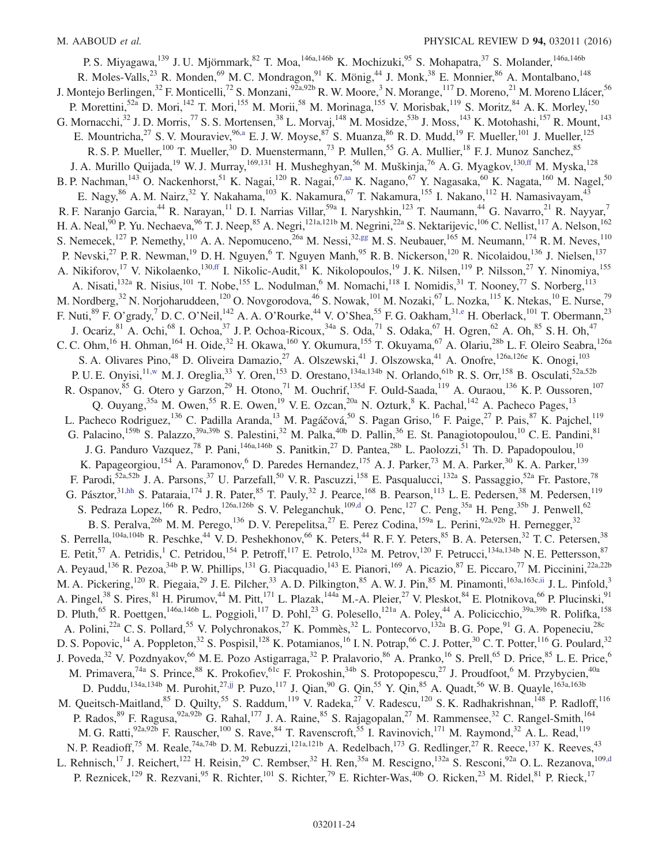<span id="page-24-2"></span><span id="page-24-1"></span><span id="page-24-0"></span>P. S. Miyagawa,<sup>139</sup> J. U. Mjörnmark,<sup>82</sup> T. Moa,<sup>146a,146b</sup> K. Mochizuki,<sup>95</sup> S. Mohapatra,<sup>37</sup> S. Molander,<sup>146a,146b</sup> R. Moles-Valls,<sup>23</sup> R. Monden,<sup>69</sup> M. C. Mondragon,<sup>91</sup> K. Mönig,<sup>44</sup> J. Monk,<sup>38</sup> E. Monnier,<sup>86</sup> A. Montalbano,<sup>148</sup> J. Montejo Berlingen,<sup>32</sup> F. Monticelli,<sup>72</sup> S. Monzani,<sup>92a,92b</sup> R. W. Moore,<sup>3</sup> N. Morange,<sup>117</sup> D. Moreno,<sup>21</sup> M. Moreno Llácer,<sup>56</sup> P. Morettini,<sup>52a</sup> D. Mori,<sup>142</sup> T. Mori,<sup>155</sup> M. Morii,<sup>58</sup> M. Morinaga,<sup>155</sup> V. Morisbak,<sup>119</sup> S. Moritz,<sup>84</sup> A. K. Morley,<sup>150</sup> G. Mornacchi,<sup>32</sup> J. D. Morris,<sup>77</sup> S. S. Mortensen,<sup>38</sup> L. Morvaj,<sup>148</sup> M. Mosidze,<sup>53b</sup> J. Moss,<sup>143</sup> K. Motohashi,<sup>157</sup> R. Mount,<sup>143</sup> E. Mountricha,<sup>27</sup> S. V. Mouraviev, <sup>96[,a](#page-30-3)</sup> E. J. W. Moyse, <sup>87</sup> S. Muanza, <sup>86</sup> R. D. Mudd, <sup>19</sup> F. Mueller, <sup>101</sup> J. Mueller, <sup>125</sup> R. S. P. Mueller,<sup>100</sup> T. Mueller,<sup>30</sup> D. Muenstermann,<sup>73</sup> P. Mullen,<sup>55</sup> G. A. Mullier,<sup>18</sup> F. J. Munoz Sanchez,<sup>85</sup> J. A. Murillo Quijada,<sup>19</sup> W. J. Murray,<sup>169,131</sup> H. Musheghyan,<sup>56</sup> M. Muškinja,<sup>76</sup> A. G. Myagkov,<sup>13[0,ff](#page-31-3)</sup> M. Myska,<sup>128</sup> B. P. Nachman,<sup>143</sup> O. Nackenhorst,<sup>51</sup> K. Nagai,<sup>120</sup> R. Nagai,<sup>6[7,aa](#page-30-26)</sup> K. Nagano,<sup>67</sup> Y. Nagasaka,<sup>60</sup> K. Nagata,<sup>160</sup> M. Nagel,<sup>50</sup> E. Nagy,<sup>86</sup> A. M. Nairz,<sup>32</sup> Y. Nakahama,<sup>103</sup> K. Nakamura,<sup>67</sup> T. Nakamura,<sup>155</sup> I. Nakano,<sup>112</sup> H. Namasivayam,<sup>43</sup> R. F. Naranjo Garcia,<sup>44</sup> R. Narayan,<sup>11</sup> D. I. Narrias Villar,<sup>59a</sup> I. Naryshkin,<sup>123</sup> T. Naumann,<sup>44</sup> G. Navarro,<sup>21</sup> R. Nayyar,<sup>7</sup> H. A. Neal, <sup>90</sup> P. Yu. Nechaeva, <sup>96</sup> T. J. Neep, <sup>85</sup> A. Negri,<sup>121a,121b</sup> M. Negrini,<sup>22a</sup> S. Nektarijevic,<sup>106</sup> C. Nellist,<sup>117</sup> A. Nelson,<sup>162</sup> S. Nemecek,<sup>127</sup> P. Nemethy,<sup>110</sup> A. A. Nepomuceno,<sup>26a</sup> M. Nessi,<sup>3[2,gg](#page-31-4)</sup> M. S. Neubauer,<sup>165</sup> M. Neumann,<sup>174</sup> R. M. Neves,<sup>110</sup> P. Nevski,<sup>27</sup> P. R. Newman,<sup>19</sup> D. H. Nguyen,<sup>6</sup> T. Nguyen Manh,<sup>95</sup> R. B. Nickerson,<sup>120</sup> R. Nicolaidou,<sup>136</sup> J. Nielsen,<sup>137</sup> A. Nikiforov,<sup>17</sup> V. Nikolaenko,<sup>13[0,ff](#page-31-3)</sup> I. Nikolic-Audit,<sup>81</sup> K. Nikolopoulos,<sup>19</sup> J. K. Nilsen,<sup>119</sup> P. Nilsson,<sup>27</sup> Y. Ninomiya,<sup>155</sup> A. Nisati,<sup>132a</sup> R. Nisius,<sup>101</sup> T. Nobe,<sup>155</sup> L. Nodulman,<sup>6</sup> M. Nomachi,<sup>118</sup> I. Nomidis,<sup>31</sup> T. Nooney,<sup>77</sup> S. Norberg,<sup>113</sup> M. Nordberg,<sup>32</sup> N. Norjoharuddeen,<sup>120</sup> O. Novgorodova,<sup>46</sup> S. Nowak,<sup>101</sup> M. Nozaki,<sup>67</sup> L. Nozka,<sup>115</sup> K. Ntekas,<sup>10</sup> E. Nurse,<sup>79</sup> F. Nuti,  $^{89}$  F. O'grady,  $^7$  D. C. O'Neil,  $^{142}$  A. A. O'Rourke,  $^{44}$  V. O'Shea,  $^{55}$  F. G. Oakham,  $^{31,e}$  $^{31,e}$  $^{31,e}$  H. Oberlack,  $^{101}$  T. Obermann,  $^{23}$ J. Ocariz,  $81$  A. Ochi,  $68$  I. Ochoa,  $37$  J. P. Ochoa-Ricoux,  $34a$  S. Oda,  $71$  S. Odaka,  $67$  H. Ogren,  $62$  A. Oh,  $85$  S. H. Oh,  $47$ C. C. Ohm,<sup>16</sup> H. Ohman,<sup>164</sup> H. Oide,<sup>32</sup> H. Okawa,<sup>160</sup> Y. Okumura,<sup>155</sup> T. Okuyama,<sup>67</sup> A. Olariu,<sup>28b</sup> L. F. Oleiro Seabra,<sup>126a</sup> S. A. Olivares Pino,<sup>48</sup> D. Oliveira Damazio,<sup>27</sup> A. Olszewski,<sup>41</sup> J. Olszowska,<sup>41</sup> A. Onofre,<sup>126a,126e</sup> K. Onogi,<sup>103</sup> P. U. E. Onyisi,<sup>1[1,w](#page-30-22)</sup> M. J. Oreglia,<sup>33</sup> Y. Oren,<sup>153</sup> D. Orestano,<sup>134a,134b</sup> N. Orlando,<sup>61b</sup> R. S. Orr,<sup>158</sup> B. Osculati,<sup>52a,52b</sup> R. Ospanov, <sup>85</sup> G. Otero y Garzon, <sup>29</sup> H. Otono, <sup>71</sup> M. Ouchrif, <sup>135d</sup> F. Ould-Saada, <sup>119</sup> A. Ouraou, <sup>136</sup> K. P. Oussoren, <sup>107</sup> Q. Ouyang,<sup>35a</sup> M. Owen,<sup>55</sup> R. E. Owen,<sup>19</sup> V. E. Ozcan,<sup>20a</sup> N. Ozturk,<sup>8</sup> K. Pachal,<sup>142</sup> A. Pacheco Pages,<sup>13</sup> L. Pacheco Rodriguez,<sup>136</sup> C. Padilla Aranda,<sup>13</sup> M. Pagáčová,<sup>50</sup> S. Pagan Griso,<sup>16</sup> F. Paige,<sup>27</sup> P. Pais,<sup>87</sup> K. Pajchel,<sup>119</sup> G. Palacino,<sup>159b</sup> S. Palazzo,<sup>39a,39b</sup> S. Palestini,<sup>32</sup> M. Palka,<sup>40b</sup> D. Pallin,<sup>36</sup> E. St. Panagiotopoulou,<sup>10</sup> C. E. Pandini,<sup>81</sup> J. G. Panduro Vazquez,<sup>78</sup> P. Pani,<sup>146a,146b</sup> S. Panitkin,<sup>27</sup> D. Pantea,<sup>28b</sup> L. Paolozzi,<sup>51</sup> Th. D. Papadopoulou,<sup>10</sup> K. Papageorgiou,<sup>154</sup> A. Paramonov,<sup>6</sup> D. Paredes Hernandez,<sup>175</sup> A. J. Parker,<sup>73</sup> M. A. Parker,<sup>30</sup> K. A. Parker,<sup>139</sup> F. Parodi,<sup>52a,52b</sup> J. A. Parsons,<sup>37</sup> U. Parzefall,<sup>50</sup> V. R. Pascuzzi,<sup>158</sup> E. Pasqualucci,<sup>132a</sup> S. Passaggio,<sup>52a</sup> Fr. Pastore,<sup>78</sup> G. Pásztor,  $31, hh$  S. Pataraia,  $174$  J. R. Pater,  $85$  T. Pauly,  $32$  J. Pearce,  $168$  B. Pearson,  $113$  L. E. Pedersen,  $38$  M. Pedersen,  $119$ S. Pedraza Lopez,<sup>166</sup> R. Pedro,<sup>126a,126b</sup> S. V. Peleganchuk,<sup>10[9,d](#page-30-2)</sup> O. Penc,<sup>127</sup> C. Peng,<sup>35a</sup> H. Peng,<sup>35b</sup> J. Penwell,<sup>62</sup> B. S. Peralva,<sup>26b</sup> M. M. Perego,<sup>136</sup> D. V. Perepelitsa,<sup>27</sup> E. Perez Codina,<sup>159a</sup> L. Perini,<sup>92a,92b</sup> H. Pernegger,<sup>32</sup> S. Perrella,<sup>104a,104b</sup> R. Peschke,<sup>44</sup> V. D. Peshekhonov,<sup>66</sup> K. Peters,<sup>44</sup> R. F. Y. Peters,<sup>85</sup> B. A. Petersen,<sup>32</sup> T. C. Petersen,<sup>38</sup> E. Petit,<sup>57</sup> A. Petridis,<sup>1</sup> C. Petridou,<sup>154</sup> P. Petroff,<sup>117</sup> E. Petrolo,<sup>132a</sup> M. Petrov,<sup>120</sup> F. Petrucci,<sup>134a,134b</sup> N. E. Pettersson,<sup>87</sup> A. Peyaud,<sup>136</sup> R. Pezoa,<sup>34b</sup> P. W. Phillips,<sup>131</sup> G. Piacquadio,<sup>143</sup> E. Pianori,<sup>169</sup> A. Picazio,<sup>87</sup> E. Piccaro,<sup>77</sup> M. Piccinini,<sup>22a,22b</sup> M. A. Pickering,<sup>120</sup> R. Piegaia,<sup>29</sup> J. E. Pilcher,<sup>33</sup> A. D. Pilkington,<sup>85</sup> A. W. J. Pin,<sup>85</sup> M. Pinamonti,<sup>163a,163c[,ii](#page-31-6)</sup> J. L. Pinfold,<sup>3</sup> A. Pingel,<sup>38</sup> S. Pires,<sup>81</sup> H. Pirumov,<sup>44</sup> M. Pitt,<sup>171</sup> L. Plazak,<sup>144a</sup> M.-A. Pleier,<sup>27</sup> V. Pleskot,<sup>84</sup> E. Plotnikova,<sup>66</sup> P. Plucinski,<sup>91</sup> D. Pluth,<sup>65</sup> R. Poettgen,<sup>146a,146b</sup> L. Poggioli,<sup>117</sup> D. Pohl,<sup>23</sup> G. Polesello,<sup>121a</sup> A. Poley,<sup>44</sup> A. Policicchio,<sup>39a,39b</sup> R. Polifka,<sup>158</sup> A. Polini,<sup>22a</sup> C. S. Pollard,<sup>55</sup> V. Polychronakos,<sup>27</sup> K. Pommès,<sup>32</sup> L. Pontecorvo,<sup>132a</sup> B. G. Pope,<sup>91</sup> G. A. Popeneciu,<sup>28c</sup> D. S. Popovic,<sup>14</sup> A. Poppleton,<sup>32</sup> S. Pospisil,<sup>128</sup> K. Potamianos,<sup>16</sup> I. N. Potrap,<sup>66</sup> C. J. Potter,<sup>30</sup> C. T. Potter,<sup>116</sup> G. Poulard,<sup>32</sup> J. Poveda,<sup>32</sup> V. Pozdnyakov,<sup>66</sup> M. E. Pozo Astigarraga,<sup>32</sup> P. Pralavorio,<sup>86</sup> A. Pranko,<sup>16</sup> S. Prell,<sup>65</sup> D. Price,<sup>85</sup> L. E. Price,<sup>6</sup> M. Primavera,<sup>74a</sup> S. Prince,<sup>88</sup> K. Prokofiev,<sup>61c</sup> F. Prokoshin,<sup>34b</sup> S. Protopopescu,<sup>27</sup> J. Proudfoot,<sup>6</sup> M. Przybycien,<sup>40a</sup> D. Puddu,<sup>134a,134b</sup> M. Purohit,<sup>2[7,jj](#page-31-7)</sup> P. Puzo,<sup>117</sup> J. Qian,<sup>90</sup> G. Qin,<sup>55</sup> Y. Qin,<sup>85</sup> A. Quadt,<sup>56</sup> W. B. Quayle,<sup>163a,163b</sup> M. Queitsch-Maitland,<sup>85</sup> D. Quilty,<sup>55</sup> S. Raddum,<sup>119</sup> V. Radeka,<sup>27</sup> V. Radescu,<sup>120</sup> S. K. Radhakrishnan,<sup>148</sup> P. Radloff,<sup>116</sup> P. Rados,  $89$  F. Ragusa,  $92a,92b$  G. Rahal,  $^{177}$  J. A. Raine,  $85$  S. Rajagopalan,  $^{27}$  M. Rammensee,  $^{32}$  C. Rangel-Smith,  $^{164}$ M. G. Ratti, <sup>92a, 92b</sup> F. Rauscher, <sup>100</sup> S. Rave, <sup>84</sup> T. Ravenscroft, <sup>55</sup> I. Ravinovich, <sup>171</sup> M. Raymond, <sup>32</sup> A. L. Read, <sup>119</sup> N. P. Readioff,<sup>75</sup> M. Reale,<sup>74a,74b</sup> D. M. Rebuzzi,<sup>121a,121b</sup> A. Redelbach,<sup>173</sup> G. Redlinger,<sup>27</sup> R. Reece,<sup>137</sup> K. Reeves,<sup>43</sup> L. Rehnisch,<sup>17</sup> J. Reichert,<sup>122</sup> H. Reisin,<sup>29</sup> C. Rembser,<sup>32</sup> H. Ren,<sup>35a</sup> M. Rescigno,<sup>132a</sup> S. Resconi,<sup>92a</sup> O. L. Rezanova,<sup>109[,d](#page-30-2)</sup> P. Reznicek,<sup>129</sup> R. Rezvani,<sup>95</sup> R. Richter,<sup>101</sup> S. Richter,<sup>79</sup> E. Richter-Was,<sup>40b</sup> O. Ricken,<sup>23</sup> M. Ridel,<sup>81</sup> P. Rieck,<sup>17</sup>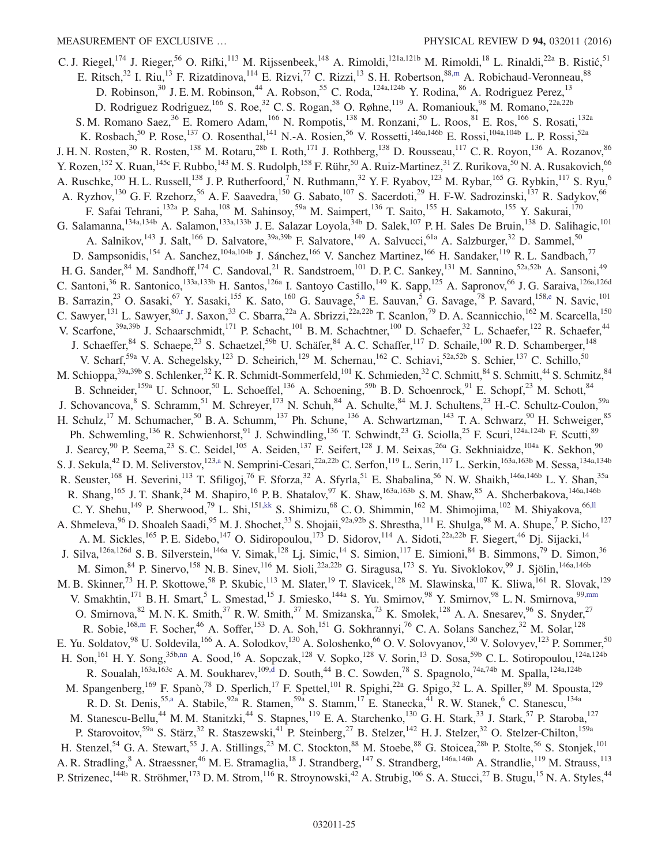<span id="page-25-3"></span><span id="page-25-2"></span><span id="page-25-1"></span><span id="page-25-0"></span>C. J. Riegel,<sup>174</sup> J. Rieger,<sup>56</sup> O. Rifki,<sup>113</sup> M. Rijssenbeek,<sup>148</sup> A. Rimoldi,<sup>121a,121b</sup> M. Rimoldi,<sup>18</sup> L. Rinaldi,<sup>22a</sup> B. Ristić,<sup>51</sup> E. Ritsch,<sup>32</sup> I. Riu,<sup>13</sup> F. Rizatdinova,<sup>114</sup> E. Rizvi,<sup>77</sup> C. Rizzi,<sup>13</sup> S. H. Robertson,<sup>88[,m](#page-30-12)</sup> A. Robichaud-Veronneau,<sup>88</sup> D. Robinson,<sup>30</sup> J. E. M. Robinson,<sup>44</sup> A. Robson,<sup>55</sup> C. Roda,<sup>124a,124b</sup> Y. Rodina,<sup>86</sup> A. Rodriguez Perez,<sup>13</sup> D. Rodriguez Rodriguez,<sup>166</sup> S. Roe,<sup>32</sup> C. S. Rogan,<sup>58</sup> O. Røhne,<sup>119</sup> A. Romaniouk,<sup>98</sup> M. Romano,<sup>22a,22b</sup> S. M. Romano Saez,<sup>36</sup> E. Romero Adam,<sup>166</sup> N. Rompotis,<sup>138</sup> M. Ronzani,<sup>50</sup> L. Roos,<sup>81</sup> E. Ros,<sup>166</sup> S. Rosati,<sup>132a</sup> K. Rosbach,<sup>50</sup> P. Rose,<sup>137</sup> O. Rosenthal,<sup>141</sup> N.-A. Rosien,<sup>56</sup> V. Rossetti,<sup>146a,146b</sup> E. Rossi,<sup>104a,104b</sup> L. P. Rossi,<sup>52a</sup> J. H. N. Rosten,<sup>30</sup> R. Rosten,<sup>138</sup> M. Rotaru,<sup>28b</sup> I. Roth,<sup>171</sup> J. Rothberg,<sup>138</sup> D. Rousseau,<sup>117</sup> C. R. Royon,<sup>136</sup> A. Rozanov,<sup>86</sup> Y. Rozen,<sup>152</sup> X. Ruan,<sup>145c</sup> F. Rubbo,<sup>143</sup> M. S. Rudolph,<sup>158</sup> F. Rühr,<sup>50</sup> A. Ruiz-Martinez,<sup>31</sup> Z. Rurikova,<sup>50</sup> N. A. Rusakovich,<sup>66</sup> A. Ruschke,<sup>100</sup> H. L. Russell,<sup>138</sup> J. P. Rutherfoord,<sup>7</sup> N. Ruthmann,<sup>32</sup> Y. F. Ryabov,<sup>123</sup> M. Rybar,<sup>165</sup> G. Rybkin,<sup>117</sup> S. Ryu,<sup>6</sup> A. Ryzhov,<sup>130</sup> G. F. Rzehorz,<sup>56</sup> A. F. Saavedra,<sup>150</sup> G. Sabato,<sup>107</sup> S. Sacerdoti,<sup>29</sup> H. F-W. Sadrozinski,<sup>137</sup> R. Sadykov,<sup>66</sup> F. Safai Tehrani,<sup>132a</sup> P. Saha,<sup>108</sup> M. Sahinsoy,<sup>59a</sup> M. Saimpert,<sup>136</sup> T. Saito,<sup>155</sup> H. Sakamoto,<sup>155</sup> Y. Sakurai,<sup>170</sup> G. Salamanna, <sup>134a,134b</sup> A. Salamon, <sup>133a,133b</sup> J. E. Salazar Loyola, <sup>34b</sup> D. Salek, <sup>107</sup> P. H. Sales De Bruin, <sup>138</sup> D. Salihagic, <sup>101</sup> A. Salnikov,<sup>143</sup> J. Salt,<sup>166</sup> D. Salvatore,<sup>39a,39b</sup> F. Salvatore,<sup>149</sup> A. Salvucci,<sup>61a</sup> A. Salzburger,<sup>32</sup> D. Sammel,<sup>50</sup> D. Sampsonidis,<sup>154</sup> A. Sanchez,<sup>104a,104b</sup> J. Sánchez,<sup>166</sup> V. Sanchez Martinez,<sup>166</sup> H. Sandaker,<sup>119</sup> R. L. Sandbach,<sup>77</sup> H. G. Sander, <sup>84</sup> M. Sandhoff, <sup>174</sup> C. Sandoval, <sup>21</sup> R. Sandstroem, <sup>101</sup> D. P. C. Sankey, <sup>131</sup> M. Sannino, <sup>52a, 52b</sup> A. Sansoni, <sup>49</sup> C. Santoni,<sup>36</sup> R. Santonico,<sup>133a,133b</sup> H. Santos,<sup>126a</sup> I. Santoyo Castillo,<sup>149</sup> K. Sapp,<sup>125</sup> A. Sapronov,<sup>66</sup> J. G. Saraiva,<sup>126a,126d</sup> B. Sarrazin,<sup>23</sup> O. Sasaki,<sup>67</sup> Y. Sasaki,<sup>155</sup> K. Sato,<sup>160</sup> G. Sauvage,<sup>[5,a](#page-30-3)</sup> E. Sauvan,<sup>5</sup> G. Savage,<sup>78</sup> P. Savard,<sup>15[8,e](#page-30-4)</sup> N. Savic,<sup>101</sup> C. Sawyer,<sup>131</sup> L. Sawyer,<sup>80[,r](#page-30-17)</sup> J. Saxon,<sup>33</sup> C. Sbarra,<sup>22a</sup> A. Sbrizzi,<sup>22a,22b</sup> T. Scanlon,<sup>79</sup> D. A. Scannicchio,<sup>162</sup> M. Scarcella,<sup>150</sup> V. Scarfone,<sup>39a,39b</sup> J. Schaarschmidt,<sup>171</sup> P. Schacht,<sup>101</sup> B. M. Schachtner,<sup>100</sup> D. Schaefer,<sup>32</sup> L. Schaefer,<sup>122</sup> R. Schaefer,<sup>44</sup> J. Schaeffer, <sup>84</sup> S. Schaepe, <sup>23</sup> S. Schaetzel,<sup>59b</sup> U. Schäfer, <sup>84</sup> A. C. Schaffer, <sup>117</sup> D. Schaile, <sup>100</sup> R. D. Schamberger, <sup>148</sup> V. Scharf,<sup>59a</sup> V. A. Schegelsky,<sup>123</sup> D. Scheirich,<sup>129</sup> M. Schernau,<sup>162</sup> C. Schiavi,<sup>52a,52b</sup> S. Schier,<sup>137</sup> C. Schillo,<sup>50</sup> M. Schioppa,<sup>39a,39b</sup> S. Schlenker,<sup>32</sup> K. R. Schmidt-Sommerfeld,<sup>101</sup> K. Schmieden,<sup>32</sup> C. Schmitt,<sup>84</sup> S. Schmitt,<sup>44</sup> S. Schmitz,<sup>84</sup> B. Schneider,<sup>159a</sup> U. Schnoor,<sup>50</sup> L. Schoeffel,<sup>136</sup> A. Schoening,<sup>59b</sup> B.D. Schoenrock,<sup>91</sup> E. Schopf,<sup>23</sup> M. Schott,<sup>84</sup> J. Schovancova, <sup>8</sup> S. Schramm,<sup>51</sup> M. Schreyer,<sup>173</sup> N. Schuh, <sup>84</sup> A. Schulte, <sup>84</sup> M. J. Schultens, <sup>23</sup> H.-C. Schultz-Coulon, <sup>59a</sup> H. Schulz,<sup>17</sup> M. Schumacher,<sup>50</sup> B. A. Schumm,<sup>137</sup> Ph. Schune,<sup>136</sup> A. Schwartzman,<sup>143</sup> T. A. Schwarz,<sup>90</sup> H. Schweiger,<sup>85</sup> Ph. Schwemling,<sup>136</sup> R. Schwienhorst,<sup>91</sup> J. Schwindling,<sup>136</sup> T. Schwindt,<sup>23</sup> G. Sciolla,<sup>25</sup> F. Scuri,<sup>124a,124b</sup> F. Scutti,<sup>89</sup> J. Searcy, <sup>90</sup> P. Seema, <sup>23</sup> S. C. Seidel, <sup>105</sup> A. Seiden, <sup>137</sup> F. Seifert, <sup>128</sup> J. M. Seixas, <sup>26a</sup> G. Sekhniaidze, <sup>104a</sup> K. Sekhon, <sup>90</sup> S. J. Sekula,<sup>42</sup> D. M. Seliverstov,<sup>12[3,a](#page-30-3)</sup> N. Semprini-Cesari,<sup>22a,22b</sup> C. Serfon,<sup>119</sup> L. Serin,<sup>117</sup> L. Serkin,<sup>163a,163b</sup> M. Sessa,<sup>134a,134b</sup> R. Seuster,  $^{168}$  H. Severini,  $^{113}$  T. Sfiligoj,  $^{76}$  F. Sforza,  $^{32}$  A. Sfyrla,  $^{51}$  E. Shabalina,  $^{56}$  N. W. Shaikh,  $^{146a,146b}$  L. Y. Shan,  $^{35a}$ R. Shang,<sup>165</sup> J. T. Shank,<sup>24</sup> M. Shapiro,<sup>16</sup> P. B. Shatalov,<sup>97</sup> K. Shaw,<sup>163a,163b</sup> S. M. Shaw,<sup>85</sup> A. Shcherbakova,<sup>146a,146b</sup> C. Y. Shehu,<sup>149</sup> P. Sherwood,<sup>79</sup> L. Shi,<sup>151[,kk](#page-31-8)</sup> S. Shimizu,<sup>68</sup> C. O. Shimmin,<sup>162</sup> M. Shimojima,<sup>102</sup> M. Shiyakova,<sup>6[6,ll](#page-31-9)</sup> A. Shmeleva,  $96$  D. Shoaleh Saadi,  $95$  M. J. Shochet,  $33$  S. Shojaii,  $92a,92b$  S. Shrestha,  $^{111}$  E. Shulga,  $98$  M. A. Shupe,  $7$  P. Sicho,  $^{127}$ A. M. Sickles,<sup>165</sup> P. E. Sidebo,<sup>147</sup> O. Sidiropoulou,<sup>173</sup> D. Sidorov,<sup>114</sup> A. Sidoti,<sup>22a,22b</sup> F. Siegert,<sup>46</sup> Dj. Sijacki,<sup>14</sup> J. Silva,<sup>126a,126d</sup> S. B. Silverstein,<sup>146a</sup> V. Simak,<sup>128</sup> Lj. Simic,<sup>14</sup> S. Simion,<sup>117</sup> E. Simioni,<sup>84</sup> B. Simmons,<sup>79</sup> D. Simon,<sup>36</sup> M. Simon, <sup>84</sup> P. Sinervo, <sup>158</sup> N. B. Sinev, <sup>116</sup> M. Sioli, <sup>22a, 22b</sup> G. Siragusa, <sup>173</sup> S. Yu. Sivoklokov, <sup>99</sup> J. Sjölin, <sup>146a, 146b</sup> M. B. Skinner,<sup>73</sup> H. P. Skottowe,<sup>58</sup> P. Skubic,<sup>113</sup> M. Slater,<sup>19</sup> T. Slavicek,<sup>128</sup> M. Slawinska,<sup>107</sup> K. Sliwa,<sup>161</sup> R. Slovak,<sup>129</sup> V. Smakhtin,<sup>171</sup> B. H. Smart,<sup>5</sup> L. Smestad,<sup>15</sup> J. Smiesko,<sup>144a</sup> S. Yu. Smirnov,<sup>98</sup> Y. Smirnov,<sup>98</sup> L. N. Smirnova,<sup>9[9,mm](#page-31-10)</sup> O. Smirnova,  $82$  M. N. K. Smith,  $37$  R. W. Smith,  $37$  M. Smizanska,  $73$  K. Smolek,  $128$  A. A. Snesarev,  $96$  S. Snyder,  $27$ R. Sobie,<sup>16[8,m](#page-30-12)</sup> F. Socher,<sup>46</sup> A. Soffer,<sup>153</sup> D. A. Soh,<sup>151</sup> G. Sokhrannyi,<sup>76</sup> C. A. Solans Sanchez,<sup>32</sup> M. Solar,<sup>128</sup> E. Yu. Soldatov, <sup>98</sup> U. Soldevila, <sup>166</sup> A. A. Solodkov, <sup>130</sup> A. Soloshenko, <sup>66</sup> O. V. Solovyanov, <sup>130</sup> V. Solovyev, <sup>123</sup> P. Sommer, <sup>50</sup> H. Son,<sup>161</sup> H. Y. Song,<sup>35b[,nn](#page-31-11)</sup> A. Sood,<sup>16</sup> A. Sopczak,<sup>128</sup> V. Sopko,<sup>128</sup> V. Sorin,<sup>13</sup> D. Sosa,<sup>59b</sup> C. L. Sotiropoulou,<sup>124a,124b</sup> R. Soualah,<sup>163a,163c</sup> A. M. Soukharev,<sup>10[9,d](#page-30-2)</sup> D. South,<sup>44</sup> B. C. Sowden,<sup>78</sup> S. Spagnolo,<sup>74a,74b</sup> M. Spalla,<sup>124a,124b</sup> M. Spangenberg,<sup>169</sup> F. Spanò,<sup>78</sup> D. Sperlich,<sup>17</sup> F. Spettel,<sup>101</sup> R. Spighi,<sup>22a</sup> G. Spigo,<sup>32</sup> L. A. Spiller,<sup>89</sup> M. Spousta,<sup>129</sup> R. D. St. Denis,<sup>5[5,a](#page-30-3)</sup> A. Stabile,<sup>92a</sup> R. Stamen,<sup>59a</sup> S. Stamm,<sup>17</sup> E. Stanecka,<sup>41</sup> R. W. Stanek,<sup>6</sup> C. Stanescu,<sup>134a</sup> M. Stanescu-Bellu,<sup>44</sup> M. M. Stanitzki,<sup>44</sup> S. Stapnes,<sup>119</sup> E. A. Starchenko,<sup>130</sup> G. H. Stark,<sup>33</sup> J. Stark,<sup>57</sup> P. Staroba,<sup>127</sup> P. Starovoitov,<sup>59a</sup> S. Stärz,<sup>32</sup> R. Staszewski,<sup>41</sup> P. Steinberg,<sup>27</sup> B. Stelzer,<sup>142</sup> H. J. Stelzer,<sup>32</sup> O. Stelzer-Chilton,<sup>159a</sup> H. Stenzel,<sup>54</sup> G. A. Stewart,<sup>55</sup> J. A. Stillings,<sup>23</sup> M. C. Stockton,<sup>88</sup> M. Stoebe,<sup>88</sup> G. Stoicea,<sup>28b</sup> P. Stolte,<sup>56</sup> S. Stonjek,<sup>101</sup> A. R. Stradling, <sup>8</sup> A. Straessner, <sup>46</sup> M. E. Stramaglia, <sup>18</sup> J. Strandberg, <sup>147</sup> S. Strandberg, <sup>146a, 146b</sup> A. Strandlie, <sup>119</sup> M. Strauss, <sup>113</sup> P. Strizenec,  $^{144b}$  R. Ströhmer,  $^{173}$  D. M. Strom,  $^{116}$  R. Stroynowski,  $^{42}$  A. Strubig,  $^{106}$  S. A. Stucci,  $^{27}$  B. Stugu,  $^{15}$  N. A. Styles,  $^{44}$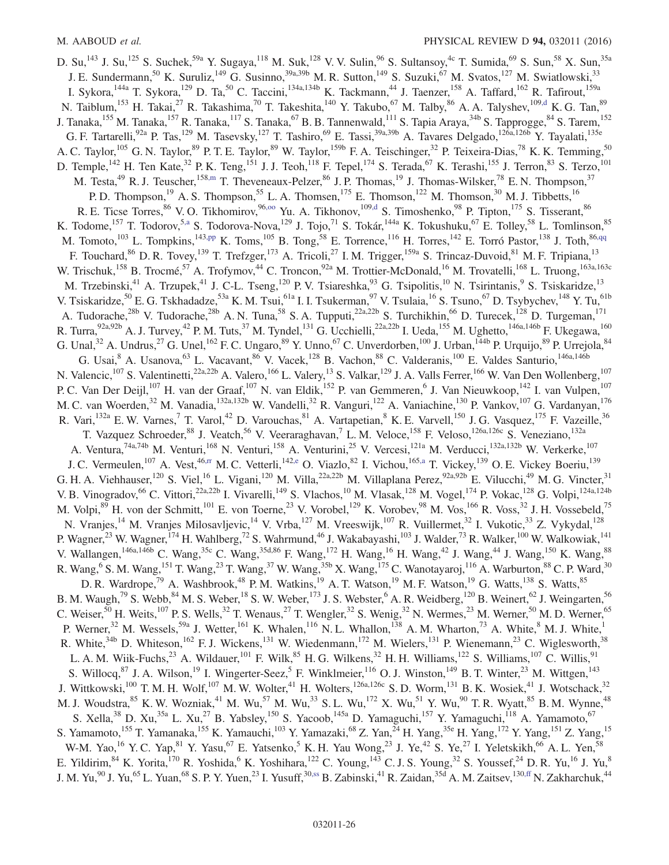<span id="page-26-0"></span>D. Su,<sup>143</sup> J. Su,<sup>125</sup> S. Suchek,<sup>59a</sup> Y. Sugaya,<sup>118</sup> M. Suk,<sup>128</sup> V. V. Sulin,<sup>96</sup> S. Sultansoy,<sup>4c</sup> T. Sumida,<sup>69</sup> S. Sun,<sup>58</sup> X. Sun,<sup>35a</sup> J. E. Sundermann,<sup>50</sup> K. Suruliz,<sup>149</sup> G. Susinno,<sup>39a,39b</sup> M. R. Sutton,<sup>149</sup> S. Suzuki,<sup>67</sup> M. Svatos,<sup>127</sup> M. Swiatlowski,<sup>33</sup> I. Sykora,<sup>144a</sup> T. Sykora,<sup>129</sup> D. Ta,<sup>50</sup> C. Taccini,<sup>134a,134b</sup> K. Tackmann,<sup>44</sup> J. Taenzer,<sup>158</sup> A. Taffard,<sup>162</sup> R. Tafirout,<sup>159a</sup> N. Taiblum,<sup>153</sup> H. Takai,<sup>27</sup> R. Takashima,<sup>70</sup> T. Takeshita,<sup>140</sup> Y. Takubo,<sup>67</sup> M. Talby,<sup>86</sup> A. A. Talyshev,<sup>109[,d](#page-30-2)</sup> K. G. Tan,<sup>89</sup> J. Tanaka,<sup>155</sup> M. Tanaka,<sup>157</sup> R. Tanaka,<sup>117</sup> S. Tanaka,<sup>67</sup> B. B. Tannenwald,<sup>111</sup> S. Tapia Araya,<sup>34b</sup> S. Tapprogge,<sup>84</sup> S. Tarem,<sup>152</sup> G. F. Tartarelli,<sup>92a</sup> P. Tas,<sup>129</sup> M. Tasevsky,<sup>127</sup> T. Tashiro,<sup>69</sup> E. Tassi,<sup>39a,39b</sup> A. Tavares Delgado,<sup>126a,126b</sup> Y. Tayalati,<sup>135e</sup> A. C. Taylor,<sup>105</sup> G. N. Taylor,<sup>89</sup> P. T. E. Taylor,<sup>89</sup> W. Taylor,<sup>159b</sup> F. A. Teischinger,<sup>32</sup> P. Teixeira-Dias,<sup>78</sup> K. K. Temming,<sup>50</sup> D. Temple,<sup>142</sup> H. Ten Kate,<sup>32</sup> P. K. Teng,<sup>151</sup> J. J. Teoh,<sup>118</sup> F. Tepel,<sup>174</sup> S. Terada,<sup>67</sup> K. Terashi,<sup>155</sup> J. Terron,<sup>83</sup> S. Terzo,<sup>101</sup> M. Testa,  $49$  R. J. Teuscher,  $158$ , m T. Theveneaux-Pelzer,  $86$  J. P. Thomas,  $19$  J. Thomas-Wilsker,  $78$  E. N. Thompson,  $37$ P. D. Thompson,<sup>19</sup> A. S. Thompson,<sup>55</sup> L. A. Thomsen,<sup>175</sup> E. Thomson,<sup>122</sup> M. Thomson,<sup>30</sup> M. J. Tibbetts,<sup>16</sup> R. E. Ticse Torres, <sup>86</sup> V. O. Tikhomirov, <sup>96,00</sup> Yu. A. Tikhonov, <sup>10[9,d](#page-30-2)</sup> S. Timoshenko, <sup>98</sup> P. Tipton, <sup>175</sup> S. Tisserant, <sup>86</sup> K. Todome, <sup>157</sup> T. Todorov, <sup>5[,a](#page-30-3)</sup> S. Todorova-Nova, <sup>129</sup> J. Tojo, <sup>71</sup> S. Tokár, <sup>144a</sup> K. Tokushuku, <sup>67</sup> E. Tolley, <sup>58</sup> L. Tomlinson, <sup>85</sup> M. Tomoto,  $^{103}$  L. Tompkins,  $^{143,pp}$  $^{143,pp}$  $^{143,pp}$  K. Toms,  $^{105}$  B. Tong,  $^{58}$  E. Torrence,  $^{116}$  H. Torres,  $^{142}$  E. Torró Pastor,  $^{138}$  J. Toth,  $^{86,qq}$  $^{86,qq}$  $^{86,qq}$ F. Touchard, <sup>86</sup> D. R. Tovey, <sup>139</sup> T. Trefzger, <sup>173</sup> A. Tricoli, <sup>27</sup> I. M. Trigger, <sup>159a</sup> S. Trincaz-Duvoid, <sup>81</sup> M. F. Tripiana, <sup>13</sup> W. Trischuk,<sup>158</sup> B. Trocmé,<sup>57</sup> A. Trofymov,<sup>44</sup> C. Troncon,<sup>92a</sup> M. Trottier-McDonald,<sup>16</sup> M. Trovatelli,<sup>168</sup> L. Truong,<sup>163a,163c</sup> M. Trzebinski,<sup>41</sup> A. Trzupek,<sup>41</sup> J. C-L. Tseng,<sup>120</sup> P. V. Tsiareshka,<sup>93</sup> G. Tsipolitis,<sup>10</sup> N. Tsirintanis,<sup>9</sup> S. Tsiskaridze,<sup>13</sup> V. Tsiskaridze,<sup>50</sup> E. G. Tskhadadze,<sup>53a</sup> K. M. Tsui,<sup>61a</sup> I. I. Tsukerman,<sup>97</sup> V. Tsulaia,<sup>16</sup> S. Tsuno,<sup>67</sup> D. Tsybychev,<sup>148</sup> Y. Tu,<sup>61b</sup> A. Tudorache,<sup>28b</sup> V. Tudorache,<sup>28b</sup> A. N. Tuna,<sup>58</sup> S. A. Tupputi,<sup>22a,22b</sup> S. Turchikhin,<sup>66</sup> D. Turecek,<sup>128</sup> D. Turgeman,<sup>171</sup> R. Turra,<sup>92a,92b</sup> A. J. Turvey,<sup>42</sup> P. M. Tuts,<sup>37</sup> M. Tyndel,<sup>131</sup> G. Ucchielli,<sup>22a,22b</sup> I. Ueda,<sup>155</sup> M. Ughetto,<sup>146a,146b</sup> F. Ukegawa,<sup>160</sup> G. Unal,<sup>32</sup> A. Undrus,<sup>27</sup> G. Unel,<sup>162</sup> F. C. Ungaro,<sup>89</sup> Y. Unno,<sup>67</sup> C. Unverdorben,<sup>100</sup> J. Urban,<sup>144b</sup> P. Urquijo,<sup>89</sup> P. Urrejola,<sup>84</sup> G. Usai,<sup>8</sup> A. Usanova,<sup>63</sup> L. Vacavant,<sup>86</sup> V. Vacek,<sup>128</sup> B. Vachon,<sup>88</sup> C. Valderanis,<sup>100</sup> E. Valdes Santurio,<sup>146a,146b</sup> N. Valencic,<sup>107</sup> S. Valentinetti,<sup>22a,22b</sup> A. Valero,<sup>166</sup> L. Valery,<sup>13</sup> S. Valkar,<sup>129</sup> J. A. Valls Ferrer,<sup>166</sup> W. Van Den Wollenberg,<sup>107</sup> P. C. Van Der Deijl,<sup>107</sup> H. van der Graaf,<sup>107</sup> N. van Eldik,<sup>152</sup> P. van Gemmeren, <sup>6</sup> J. Van Nieuwkoop, <sup>142</sup> I. van Vulpen, <sup>107</sup> M. C. van Woerden,<sup>32</sup> M. Vanadia,<sup>132a,132b</sup> W. Vandelli,<sup>32</sup> R. Vanguri,<sup>122</sup> A. Vaniachine,<sup>130</sup> P. Vankov,<sup>107</sup> G. Vardanyan,<sup>176</sup> R. Vari,<sup>132a</sup> E. W. Varnes,<sup>7</sup> T. Varol,<sup>42</sup> D. Varouchas,<sup>81</sup> A. Vartapetian,<sup>8</sup> K. E. Varvell,<sup>150</sup> J. G. Vasquez,<sup>175</sup> F. Vazeille,<sup>36</sup> T. Vazquez Schroeder,<sup>88</sup> J. Veatch,<sup>56</sup> V. Veeraraghavan,<sup>7</sup> L.M. Veloce,<sup>158</sup> F. Veloso,<sup>126a,126c</sup> S. Veneziano,<sup>132a</sup> A. Ventura,<sup>74a,74b</sup> M. Venturi,<sup>168</sup> N. Venturi,<sup>158</sup> A. Venturini,<sup>25</sup> V. Vercesi,<sup>121a</sup> M. Verducci,<sup>132a,132b</sup> W. Verkerke,<sup>107</sup> J. C. Vermeulen,<sup>107</sup> A. Vest,<sup>46[,rr](#page-31-15)</sup> M. C. Vetterli,<sup>14[2,e](#page-30-4)</sup> O. Viazlo,<sup>82</sup> I. Vichou,<sup>16[5,a](#page-30-3)</sup> T. Vickey,<sup>139</sup> O. E. Vickey Boeriu,<sup>139</sup> G. H. A. Viehhauser,<sup>120</sup> S. Viel,<sup>16</sup> L. Vigani,<sup>120</sup> M. Villa,<sup>22a,22b</sup> M. Villaplana Perez,<sup>92a,92b</sup> E. Vilucchi,<sup>49</sup> M. G. Vincter,<sup>31</sup> V. B. Vinogradov,<sup>66</sup> C. Vittori,<sup>22a,22b</sup> I. Vivarelli,<sup>149</sup> S. Vlachos,<sup>10</sup> M. Vlasak,<sup>128</sup> M. Vogel,<sup>174</sup> P. Vokac,<sup>128</sup> G. Volpi,<sup>124a,124b</sup> M. Volpi,  $89$  H. von der Schmitt,  $101$  E. von Toerne,  $23$  V. Vorobel,  $129$  K. Vorobev,  $98$  M. Vos,  $166$  R. Voss,  $32$  J. H. Vossebeld,  $75$ N. Vranjes,<sup>14</sup> M. Vranjes Milosavljevic,<sup>14</sup> V. Vrba,<sup>127</sup> M. Vreeswijk,<sup>107</sup> R. Vuillermet,<sup>32</sup> I. Vukotic,<sup>33</sup> Z. Vykydal,<sup>128</sup> P. Wagner,<sup>23</sup> W. Wagner, <sup>174</sup> H. Wahlberg,<sup>72</sup> S. Wahrmund,<sup>46</sup> J. Wakabayashi,<sup>103</sup> J. Walder,<sup>73</sup> R. Walker,<sup>100</sup> W. Walkowiak,<sup>141</sup> V. Wallangen,<sup>146a,146b</sup> C. Wang,<sup>35c</sup> C. Wang,<sup>35d,86</sup> F. Wang,<sup>172</sup> H. Wang,<sup>16</sup> H. Wang,<sup>42</sup> J. Wang,<sup>44</sup> J. Wang,<sup>150</sup> K. Wang,<sup>88</sup> R. Wang,  $^6$  S. M. Wang,  $^{151}$  T. Wang,  $^{23}$  T. Wang,  $^{37}$  W. Wang,  $^{35b}$  X. Wang,  $^{175}$  C. Wanotayaroj,  $^{116}$  A. Warburton,  $^{88}$  C. P. Ward,  $^{30}$ D. R. Wardrope,<sup>79</sup> A. Washbrook,<sup>48</sup> P. M. Watkins,<sup>19</sup> A. T. Watson,<sup>19</sup> M. F. Watson,<sup>19</sup> G. Watts,<sup>138</sup> S. Watts,<sup>85</sup> B. M. Waugh,<sup>79</sup> S. Webb,<sup>84</sup> M. S. Weber,<sup>18</sup> S. W. Weber,<sup>173</sup> J. S. Webster,<sup>6</sup> A. R. Weidberg,<sup>120</sup> B. Weinert,<sup>62</sup> J. Weingarten,<sup>56</sup> C. Weiser,<sup>50</sup> H. Weits,<sup>107</sup> P. S. Wells,<sup>32</sup> T. Wenaus,<sup>27</sup> T. Wengler,<sup>32</sup> S. Wenig,<sup>32</sup> N. Wermes,<sup>23</sup> M. Werner,<sup>50</sup> M. D. Werner,<sup>65</sup> P. Werner,<sup>32</sup> M. Wessels,<sup>59a</sup> J. Wetter,<sup>161</sup> K. Whalen,<sup>116</sup> N. L. Whallon,<sup>138</sup> A. M. Wharton,<sup>73</sup> A. White,<sup>8</sup> M. J. White,<sup>1</sup> R. White,  $34b$  D. Whiteson,  $162$  F. J. Wickens,  $131$  W. Wiedenmann,  $172$  M. Wielers,  $131$  P. Wienemann,  $23$  C. Wiglesworth,  $38$ L. A. M. Wiik-Fuchs,<sup>23</sup> A. Wildauer,<sup>101</sup> F. Wilk,<sup>85</sup> H. G. Wilkens,<sup>32</sup> H. H. Williams,<sup>122</sup> S. Williams,<sup>107</sup> C. Willis,<sup>91</sup> S. Willocq,  $8^7$  J. A. Wilson,  $19$  I. Wingerter-Seez,  $5$  F. Winklmeier,  $116$  O. J. Winston,  $149$  B. T. Winter,  $23$  M. Wittgen,  $143$ J. Wittkowski,<sup>100</sup> T. M. H. Wolf,<sup>107</sup> M. W. Wolter,<sup>41</sup> H. Wolters,<sup>126a,126c</sup> S. D. Worm,<sup>131</sup> B. K. Wosiek,<sup>41</sup> J. Wotschack,<sup>32</sup> M. J. Woudstra, <sup>85</sup> K. W. Wozniak, <sup>41</sup> M. Wu, <sup>57</sup> M. Wu, <sup>33</sup> S. L. Wu, <sup>172</sup> X. Wu, <sup>51</sup> Y. Wu, <sup>90</sup> T. R. Wyatt, <sup>85</sup> B. M. Wynne, <sup>48</sup> S. Xella,<sup>38</sup> D. Xu,<sup>35a</sup> L. Xu,<sup>27</sup> B. Yabsley,<sup>150</sup> S. Yacoob,<sup>145a</sup> D. Yamaguchi,<sup>157</sup> Y. Yamaguchi,<sup>118</sup> A. Yamamoto,<sup>67</sup> S. Yamamoto,<sup>155</sup> T. Yamanaka,<sup>155</sup> K. Yamauchi,<sup>103</sup> Y. Yamazaki,<sup>68</sup> Z. Yan,<sup>24</sup> H. Yang,<sup>35e</sup> H. Yang,<sup>172</sup> Y. Yang,<sup>151</sup> Z. Yang,<sup>15</sup> W-M. Yao,<sup>16</sup> Y. C. Yap,<sup>81</sup> Y. Yasu,<sup>67</sup> E. Yatsenko,<sup>5</sup> K. H. Yau Wong,<sup>23</sup> J. Ye,<sup>42</sup> S. Ye,<sup>27</sup> I. Yeletskikh,<sup>66</sup> A. L. Yen,<sup>58</sup> E. Yildirim,  $84$  K. Yorita,  $170$  R. Yoshida,  $6$  K. Yoshihara,  $122$  C. Young,  $143$  C. J. S. Young,  $32$  S. Youssef,  $24$  D. R. Yu,  $16$  J. Yu,  $8$ J. M. Yu,  $90$  J. Yu,  $^{65}$  L. Yuan,  $^{68}$  S. P. Y. Yuen,  $^{23}$  I. Yusuff,  $30,88$  B. Zabinski,  $^{41}$  R. Zaidan,  $^{35d}$  A. M. Zaitsev,  $^{130,ff}$  $^{130,ff}$  $^{130,ff}$  N. Zakharchuk,  $^{44}$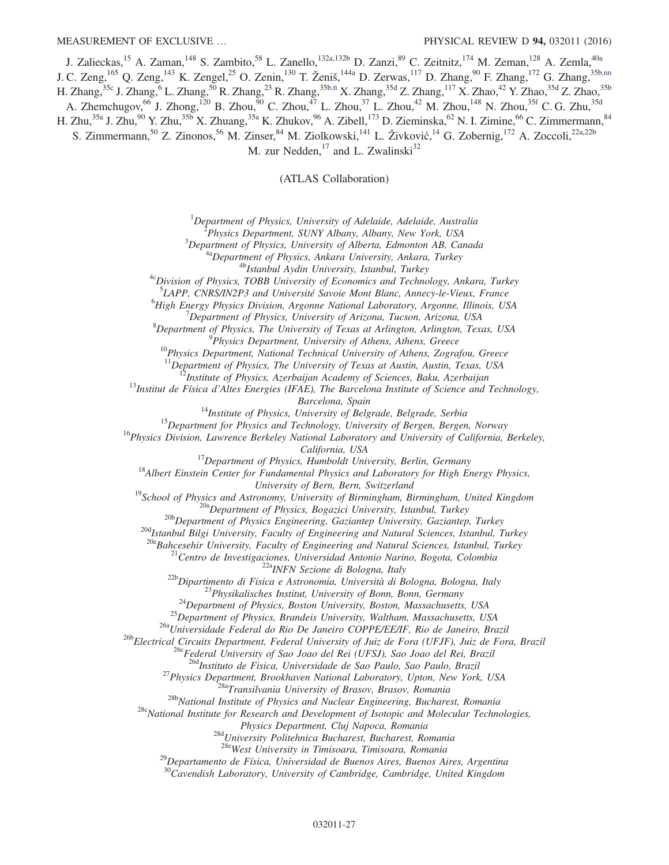J. Zalieckas,<sup>15</sup> A. Zaman,<sup>148</sup> S. Zambito,<sup>58</sup> L. Zanello,<sup>132a,132b</sup> D. Zanzi,<sup>89</sup> C. Zeitnitz,<sup>174</sup> M. Zeman,<sup>128</sup> A. Zemla,<sup>40a</sup> J. C. Zeng,<sup>165</sup> Q. Zeng,<sup>143</sup> K. Zengel,<sup>25</sup> O. Zenin,<sup>130</sup> T. Ženiš,<sup>144a</sup> D. Zerwas,<sup>117</sup> D. Zhang,<sup>90</sup> F. Zhang,<sup>172</sup> G. Zhang,<sup>35[b,nn](#page-31-11)</sup> H. Zhang,<sup>35c</sup> J. Zhang,<sup>6</sup> L. Zhang,<sup>50</sup> R. Zhang,<sup>23</sup> R. Zhang,<sup>35[b,tt](#page-31-17)</sup> X. Zhang,<sup>35d</sup> Z. Zhang,<sup>117</sup> X. Zhao,<sup>42</sup> Y. Zhao,<sup>35d</sup> Z. Zhao,<sup>35b</sup> A. Zhemchugov,<sup>66</sup> J. Zhong,<sup>120</sup> B. Zhou,<sup>90</sup> C. Zhou,<sup>47</sup> L. Zhou,<sup>37</sup> L. Zhou,<sup>42</sup> M. Zhou,<sup>148</sup> N. Zhou,<sup>35f</sup> C. G. Zhu,<sup>35d</sup> H. Zhu,<sup>35a</sup> J. Zhu,<sup>90</sup> Y. Zhu,<sup>35b</sup> X. Zhuang,<sup>35a</sup> K. Zhukov,<sup>96</sup> A. Zibell,<sup>173</sup> D. Zieminska,<sup>62</sup> N. I. Zimine,<sup>66</sup> C. Zimmermann,<sup>84</sup> S. Zimmermann,<sup>50</sup> Z. Zinonos,<sup>56</sup> M. Zinser,<sup>84</sup> M. Ziolkowski,<sup>141</sup> L. Živković,<sup>14</sup> G. Zobernig,<sup>172</sup> A. Zoccoli,<sup>22a,22b</sup> M. zur Nedden, $^{17}$  and L. Zwalinski<sup>32</sup>

(ATLAS Collaboration)

 ${}^{1}$ Department of Physics, University of Adelaide, Adelaide, Australia

<sup>2</sup>Physics Department, SUNY Albany, Albany, New York, USA

 $3$ Department of Physics, University of Alberta, Edmonton AB, Canada

<sup>4a</sup>Department of Physics, Ankara University, Ankara, Turkey

<sup>4b</sup>Istanbul Aydin University, Istanbul, Turkey

<sup>4c</sup>Division of Physics, TOBB University of Economics and Technology, Ankara, Turkey

<sup>5</sup>LAPP, CNRS/IN2P3 and Université Savoie Mont Blanc, Annecy-le-Vieux, France

<sup>6</sup>High Energy Physics Division, Argonne National Laboratory, Argonne, Illinois, USA

 $^7$ Department of Physics, University of Arizona, Tucson, Arizona, USA

<sup>8</sup>Department of Physics, The University of Texas at Arlington, Arlington, Texas, USA

<sup>9</sup>Physics Department, University of Athens, Athens, Greece

 $10P$ hysics Department, National Technical University of Athens, Zografou, Greece

 $11$ Department of Physics, The University of Texas at Austin, Austin, Texas, USA

 $12$ Institute of Physics, Azerbaijan Academy of Sciences, Baku, Azerbaijan

 $^{13}$ Institut de Física d'Altes Energies (IFAE), The Barcelona Institute of Science and Technology,

Barcelona, Spain

 $14$ Institute of Physics, University of Belgrade, Belgrade, Serbia

 $15$ Department for Physics and Technology, University of Bergen, Bergen, Norway

<sup>16</sup>Physics Division, Lawrence Berkeley National Laboratory and University of California, Berkeley,

California, USA

 $17$ Department of Physics, Humboldt University, Berlin, Germany

 $18$ Albert Einstein Center for Fundamental Physics and Laboratory for High Energy Physics,

University of Bern, Bern, Switzerland

<sup>19</sup>School of Physics and Astronomy, University of Birmingham, Birmingham, United Kingdom  $^{20a}$ Department of Physics, Bogazici University, Istanbul, Turkey

<sup>20b</sup>Department of Physics Engineering, Gaziantep University, Gaziantep, Turkey

<sup>20d</sup>Istanbul Bilgi University, Faculty of Engineering and Natural Sciences, Istanbul, Turkey

<sup>20e</sup>Bahcesehir University, Faculty of Engineering and Natural Sciences, Istanbul, Turkey

<sup>21</sup>Centro de Investigaciones, Universidad Antonio Narino, Bogota, Colombia

<sup>22a</sup>INFN Sezione di Bologna, Italy

<sup>22b</sup>Dipartimento di Fisica e Astronomia, Università di Bologna, Bologna, Italy

<sup>23</sup>Physikalisches Institut, University of Bonn, Bonn, Germany

 $^{24}$ Department of Physics, Boston University, Boston, Massachusetts, USA

<sup>25</sup>Department of Physics, Brandeis University, Waltham, Massachusetts, USA

<sup>26a</sup>Universidade Federal do Rio De Janeiro COPPE/EE/IF, Rio de Janeiro, Brazil

26bElectrical Circuits Department, Federal University of Juiz de Fora (UFJF), Juiz de Fora, Brazil

<sup>26c</sup>Federal University of Sao Joao del Rei (UFSJ), Sao Joao del Rei, Brazil

<sup>26d</sup>Instituto de Fisica, Universidade de Sao Paulo, Sao Paulo, Brazil

<sup>27</sup>Physics Department, Brookhaven National Laboratory, Upton, New York, USA

<sup>28a</sup>Transilvania University of Brasov, Brasov, Romania

<sup>28b</sup>National Institute of Physics and Nuclear Engineering, Bucharest, Romania

 $28c$ National Institute for Research and Development of Isotopic and Molecular Technologies,

Physics Department, Cluj Napoca, Romania

<sup>28d</sup>University Politehnica Bucharest, Bucharest, Romania

<sup>28e</sup>West University in Timisoara, Timisoara, Romania

 $^{29}$ Departamento de Física, Universidad de Buenos Aires, Buenos Aires, Argentina

 $30$ Cavendish Laboratory, University of Cambridge, Cambridge, United Kingdom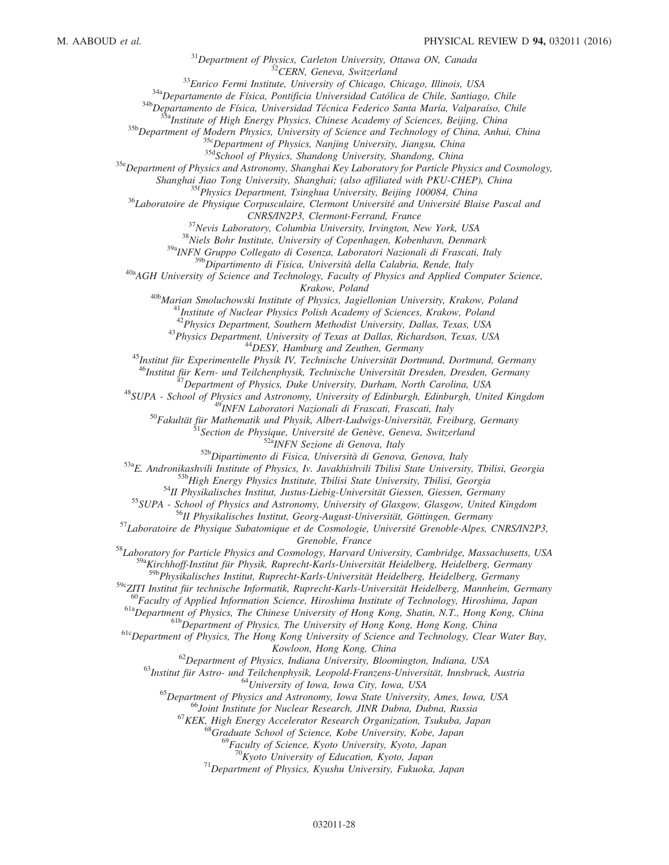$31$ Department of Physics, Carleton University, Ottawa ON, Canada

<sup>32</sup>CERN, Geneva, Switzerland

<sup>33</sup>Enrico Fermi Institute, University of Chicago, Chicago, Illinois, USA

 $34a$ Departamento de Física, Pontificia Universidad Católica de Chile, Santiago, Chile

<sup>34b</sup>Departamento de Física, Universidad Técnica Federico Santa María, Valparaíso, Chile

 $35a$ Institute of High Energy Physics, Chinese Academy of Sciences, Beijing, China

<sup>35b</sup>Department of Modern Physics, University of Science and Technology of China, Anhui, China

<sup>35c</sup>Department of Physics, Nanjing University, Jiangsu, China

35d School of Physics, Shandong University, Shandong, China

<sup>35e</sup>Department of Physics and Astronomy, Shanghai Key Laboratory for Particle Physics and Cosmology,

Shanghai Jiao Tong University, Shanghai; (also affiliated with PKU-CHEP), China

<sup>35f</sup>Physics Department, Tsinghua University, Beijing 100084, China

<sup>36</sup>Laboratoire de Physique Corpusculaire, Clermont Université and Université Blaise Pascal and

CNRS/IN2P3, Clermont-Ferrand, France

<sup>37</sup>Nevis Laboratory, Columbia University, Irvington, New York, USA

<sup>38</sup>Niels Bohr Institute, University of Copenhagen, Kobenhavn, Denmark

39aINFN Gruppo Collegato di Cosenza, Laboratori Nazionali di Frascati, Italy

<sup>39b</sup>Dipartimento di Fisica, Università della Calabria, Rende, Italy

 $40a$ <sup>40a</sup>AGH University of Science and Technology, Faculty of Physics and Applied Computer Science, Krakow, Poland

<sup>40b</sup>Marian Smoluchowski Institute of Physics, Jagiellonian University, Krakow, Poland

Institute of Nuclear Physics Polish Academy of Sciences, Krakow, Poland

Assume by *indicent Lusses Count Reducity* by **Section**<br><sup>42</sup>Physics Department, Southern Methodist University, Dallas, Texas, USA

<sup>43</sup>Physics Department, University of Texas at Dallas, Richardson, Texas, USA <sup>44</sup>DESY, Hamburg and Zeuthen, Germany

<sup>45</sup>Institut für Experimentelle Physik IV, Technische Universität Dortmund, Dortmund, Germany

<sup>46</sup>Institut für Kern- und Teilchenphysik, Technische Universität Dresden, Dresden, Germany

 $^{17}$ Department of Physics, Duke University, Durham, North Carolina, USA

<sup>48</sup>SUPA - School of Physics and Astronomy, University of Edinburgh, Edinburgh, United Kingdom

<sup>49</sup>INFN Laboratori Nazionali di Frascati, Frascati, Italy

<sup>50</sup>Fakultät für Mathematik und Physik, Albert-Ludwigs-Universität, Freiburg, Germany

<sup>51</sup>Section de Physique, Université de Genève, Geneva, Switzerland

52<sup>a</sup>INFN Sezione di Genova, Italy

52b Dipartimento di Fisica, Università di Genova, Genova, Italy

53aE. Andronikashvili Institute of Physics, Iv. Javakhishvili Tbilisi State University, Tbilisi, Georgia

<sup>53b</sup>High Energy Physics Institute, Tbilisi State University, Tbilisi, Georgia

<sup>54</sup>II Physikalisches Institut, Justus-Liebig-Universität Giessen, Giessen, Germany

55 SUPA - School of Physics and Astronomy, University of Glasgow, Glasgow, United Kingdom

<sup>56</sup>II Physikalisches Institut, Georg-August-Universität, Göttingen, Germany

<sup>57</sup>Laboratoire de Physique Subatomique et de Cosmologie, Université Grenoble-Alpes, CNRS/IN2P3, Grenoble, France

58Laboratory for Particle Physics and Cosmology, Harvard University, Cambridge, Massachusetts, USA <sup>59a</sup>Kirchhoff-Institut für Physik, Ruprecht-Karls-Universität Heidelberg, Heidelberg, Germany

<sup>59b</sup>Physikalisches Institut, Ruprecht-Karls-Universität Heidelberg, Heidelberg, Germany

<sup>59c</sup>ZITI Institut für technische Informatik, Ruprecht-Karls-Universität Heidelberg, Mannheim, Germany

 $^{60}$ Faculty of Applied Information Science, Hiroshima Institute of Technology, Hiroshima, Japan

<sup>61a</sup>Department of Physics, The Chinese University of Hong Kong, Shatin, N.T., Hong Kong, China

<sup>61b</sup>Department of Physics, The University of Hong Kong, Hong Kong, China

<sup>61c</sup>Department of Physics, The Hong Kong University of Science and Technology, Clear Water Bay, Kowloon, Hong Kong, China

 $^{62}$ Department of Physics, Indiana University, Bloomington, Indiana, USA

<sup>63</sup>Institut für Astro- und Teilchenphysik, Leopold-Franzens-Universität, Innsbruck, Austria <sup>64</sup>University of Iowa, Iowa City, Iowa, USA

<sup>65</sup>Department of Physics and Astronomy, Iowa State University, Ames, Iowa, USA

<sup>66</sup>Joint Institute for Nuclear Research, JINR Dubna, Dubna, Russia

<sup>67</sup>KEK, High Energy Accelerator Research Organization, Tsukuba, Japan

<sup>68</sup>Graduate School of Science, Kobe University, Kobe, Japan

<sup>3</sup>Faculty of Science, Kyoto University, Kyoto, Japan

 $70K$ yoto University of Education, Kyoto, Japan

 $17$ <sup>1</sup>Department of Physics, Kyushu University, Fukuoka, Japan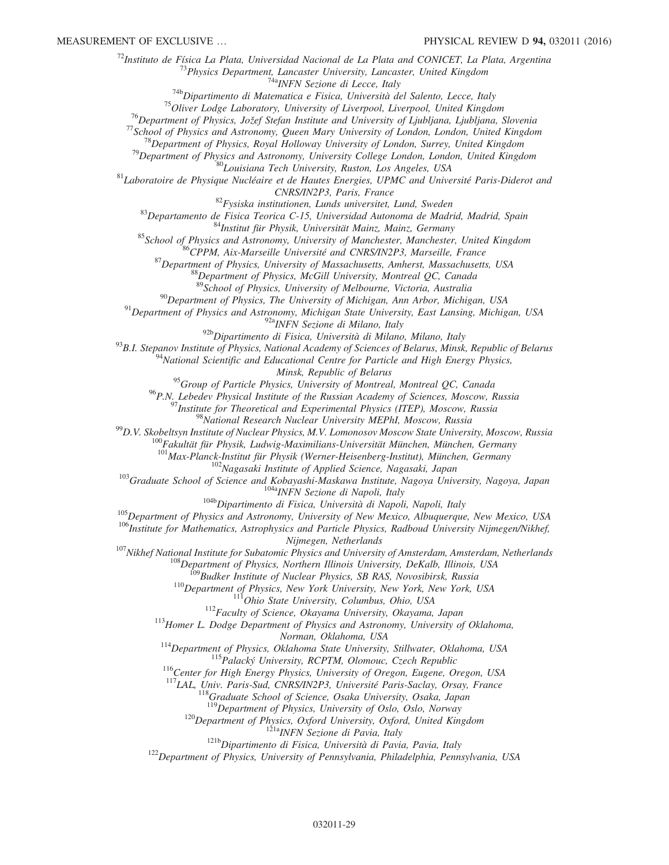$^{72}$ Instituto de Física La Plata, Universidad Nacional de La Plata and CONICET, La Plata, Argentina

 $^{73}$ Physics Department, Lancaster University, Lancaster, United Kingdom

<sup>74a</sup>INFN Sezione di Lecce, Italy

 $74b$ Dipartimento di Matematica e Fisica, Università del Salento, Lecce, Italy

 $75$ Oliver Lodge Laboratory, University of Liverpool, Liverpool, United Kingdom

 $^{76}$ Department of Physics, Jožef Stefan Institute and University of Ljubljana, Ljubljana, Slovenia

 $^{77}$ School of Physics and Astronomy, Queen Mary University of London, London, United Kingdom

 $^{78}$ Department of Physics, Royal Holloway University of London, Surrey, United Kingdom

 $79$ Department of Physics and Astronomy, University College London, London, United Kingdom

80<br>Bolisiana Tech University, Ruston, Los Angeles, USA

 $81$ Laboratoire de Physique Nucléaire et de Hautes Energies, UPMC and Université Paris-Diderot and

CNRS/IN2P3, Paris, France

 $82$ Fysiska institutionen, Lunds universitet, Lund, Sweden

83Departamento de Fisica Teorica C-15, Universidad Autonoma de Madrid, Madrid, Spain

84Institut für Physik, Universität Mainz, Mainz, Germany

<sup>85</sup>School of Physics and Astronomy, University of Manchester, Manchester, United Kingdom

<sup>86</sup>CPPM, Aix-Marseille Université and CNRS/IN2P3, Marseille, France

 $87$ Department of Physics, University of Massachusetts, Amherst, Massachusetts, USA

 $88$ Department of Physics, McGill University, Montreal QC, Canada

89 School of Physics, University of Melbourne, Victoria, Australia

 $^{90}$ Department of Physics, The University of Michigan, Ann Arbor, Michigan, USA

 $91$ Department of Physics and Astronomy, Michigan State University, East Lansing, Michigan, USA

92a<sub>INFN</sub> Sezione di Milano, Italy

92bDipartimento di Fisica, Università di Milano, Milano, Italy

93B.I. Stepanov Institute of Physics, National Academy of Sciences of Belarus, Minsk, Republic of Belarus

 $^{94}$ National Scientific and Educational Centre for Particle and High Energy Physics,

Minsk, Republic of Belarus

 $95$ Group of Particle Physics, University of Montreal, Montreal QC, Canada

<sup>96</sup>P.N. Lebedev Physical Institute of the Russian Academy of Sciences, Moscow, Russia

 $^{97}$ Institute for Theoretical and Experimental Physics (ITEP), Moscow, Russia

98 National Research Nuclear University MEPhI, Moscow, Russia

 $^{99}$ D.V. Skobeltsyn Institute of Nuclear Physics, M.V. Lomonosov Moscow State University, Moscow, Russia

 $^{100}$ Fakultät für Physik, Ludwig-Maximilians-Universität München, München, Germany

<sup>101</sup>Max-Planck-Institut für Physik (Werner-Heisenberg-Institut), München, Germany

<sup>102</sup>Nagasaki Institute of Applied Science, Nagasaki, Japan

<sup>103</sup>Graduate School of Science and Kobayashi-Maskawa Institute, Nagoya University, Nagoya, Japan <sup>104a</sup>INFN Sezione di Napoli, Italy

<sup>104b</sup>Dipartimento di Fisica, Università di Napoli, Napoli, Italy

<sup>105</sup>Department of Physics and Astronomy, University of New Mexico, Albuquerque, New Mexico, USA

<sup>106</sup>Institute for Mathematics, Astrophysics and Particle Physics, Radboud University Nijmegen/Nikhef,

Nijmegen, Netherlands

<sup>107</sup>Nikhef National Institute for Subatomic Physics and University of Amsterdam, Amsterdam, Netherlands

<sup>108</sup>Department of Physics, Northern Illinois University, DeKalb, Illinois, USA

<sup>109</sup>Budker Institute of Nuclear Physics, SB RAS, Novosibirsk, Russia

 $110$ Department of Physics, New York University, New York, New York, USA

 $111$ Ohio State University, Columbus, Ohio, USA

<sup>112</sup>Faculty of Science, Okayama University, Okayama, Japan

<sup>113</sup>Homer L. Dodge Department of Physics and Astronomy, University of Oklahoma, Norman, Oklahoma, USA

<sup>114</sup>Department of Physics, Oklahoma State University, Stillwater, Oklahoma, USA <sup>115</sup>Palacký University, RCPTM, Olomouc, Czech Republic

<sup>116</sup>Center for High Energy Physics, University of Oregon, Eugene, Oregon, USA

<sup>117</sup>LAL, Univ. Paris-Sud, CNRS/IN2P3, Université Paris-Saclay, Orsay, France

 $118$ Graduate School of Science, Osaka University, Osaka, Japan

<sup>119</sup>Department of Physics, University of Oslo, Oslo, Norway

 $120$ Department of Physics, Oxford University, Oxford, United Kingdom

<sup>121a</sup>INFN Sezione di Pavia, Italy

<sup>121b</sup>Dipartimento di Fisica, Università di Pavia, Pavia, Italy

 $122$ Department of Physics, University of Pennsylvania, Philadelphia, Pennsylvania, USA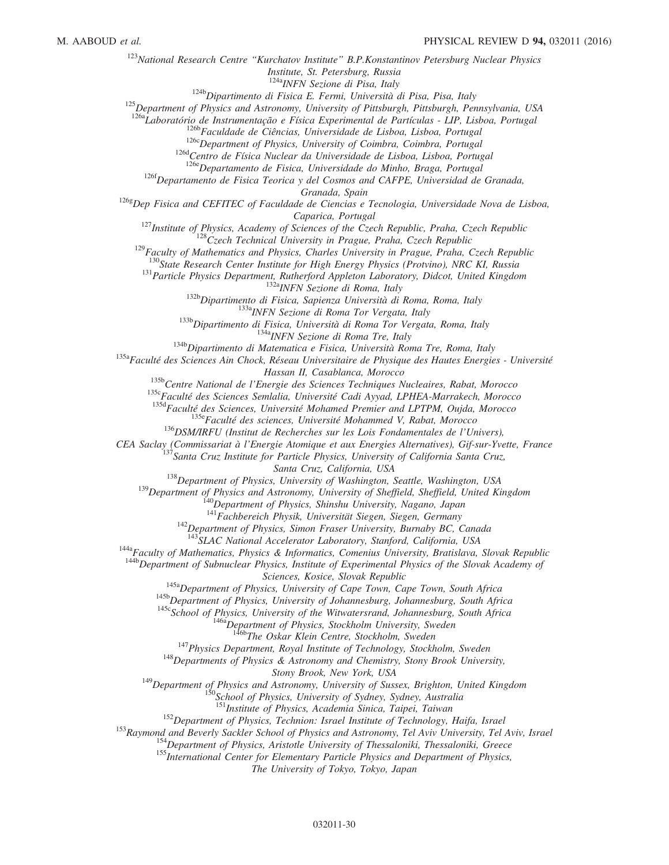<sup>123</sup>National Research Centre "Kurchatov Institute" B.P.Konstantinov Petersburg Nuclear Physics

Institute, St. Petersburg, Russia

<sup>124a</sup>INFN Sezione di Pisa, Italy

 $124b$ Dipartimento di Fisica E. Fermi, Università di Pisa, Pisa, Italy

<sup>125</sup>Department of Physics and Astronomy, University of Pittsburgh, Pittsburgh, Pennsylvania, USA

<sup>126a</sup>Laboratório de Instrumentação e Física Experimental de Partículas - LIP, Lisboa, Portugal

<sup>126b</sup>Faculdade de Ciências, Universidade de Lisboa, Lisboa, Portugal

 $126c$ Department of Physics, University of Coimbra, Coimbra, Portugal

<sup>126d</sup>Centro de Física Nuclear da Universidade de Lisboa, Lisboa, Portugal

<sup>126e</sup>Departamento de Fisica, Universidade do Minho, Braga, Portugal

 $126f$ Departamento de Fisica Teorica y del Cosmos and CAFPE, Universidad de Granada,

Granada, Spain

 $1268$ Dep Fisica and CEFITEC of Faculdade de Ciencias e Tecnologia, Universidade Nova de Lisboa,

Caparica, Portugal

 $127$ Institute of Physics, Academy of Sciences of the Czech Republic, Praha, Czech Republic

 $128C$ zech Technical University in Prague, Praha, Czech Republic

 $129$ Faculty of Mathematics and Physics, Charles University in Prague, Praha, Czech Republic

 $130$ State Research Center Institute for High Energy Physics (Protvino), NRC KI, Russia

<sup>131</sup> Particle Physics Department, Rutherford Appleton Laboratory, Didcot, United Kingdom

<sup>132a</sup>INFN Sezione di Roma, Italy

<sup>132b</sup>Dipartimento di Fisica, Sapienza Università di Roma, Roma, Italy

133aINFN Sezione di Roma Tor Vergata, Italy

<sup>133b</sup>Dipartimento di Fisica, Università di Roma Tor Vergata, Roma, Italy

<sup>134a</sup>INFN Sezione di Roma Tre, Italy

<sup>134b</sup>Dipartimento di Matematica e Fisica, Università Roma Tre, Roma, Italy

<sup>135a</sup>Faculté des Sciences Ain Chock, Réseau Universitaire de Physique des Hautes Energies - Université Hassan II, Casablanca, Morocco

<sup>135b</sup>Centre National de l'Energie des Sciences Techniques Nucleaires, Rabat, Morocco

<sup>135c</sup>Faculté des Sciences Semlalia, Université Cadi Ayyad, LPHEA-Marrakech, Morocco

<sup>135d</sup>Faculté des Sciences, Université Mohamed Premier and LPTPM, Oujda, Morocco

<sup>135e</sup>Faculté des sciences, Université Mohammed V, Rabat, Morocco

 $136$ DSM/IRFU (Institut de Recherches sur les Lois Fondamentales de l'Univers),

<span id="page-30-5"></span><span id="page-30-4"></span><span id="page-30-3"></span><span id="page-30-2"></span><span id="page-30-1"></span><span id="page-30-0"></span>CEA Saclay (Commissariat à l'Energie Atomique et aux Energies Alternatives), Gif-sur-Yvette, France

 $I$ Santa Cruz Institute for Particle Physics, University of California Santa Cruz,

Santa Cruz, California, USA

<sup>138</sup>Department of Physics, University of Washington, Seattle, Washington, USA

<sup>139</sup>Department of Physics and Astronomy, University of Sheffield, Sheffield, United Kingdom

 $140$ Department of Physics, Shinshu University, Nagano, Japan

<sup>141</sup>Fachbereich Physik, Universität Siegen, Siegen, Germany

 $142$ Department of Physics, Simon Fraser University, Burnaby BC, Canada

<sup>143</sup>SLAC National Accelerator Laboratory, Stanford, California, USA

<span id="page-30-13"></span><span id="page-30-12"></span><span id="page-30-11"></span><span id="page-30-10"></span><span id="page-30-9"></span><span id="page-30-8"></span><span id="page-30-7"></span><span id="page-30-6"></span><sup>144a</sup>Faculty of Mathematics, Physics & Informatics, Comenius University, Bratislava, Slovak Republic

<span id="page-30-17"></span><span id="page-30-16"></span><span id="page-30-15"></span><span id="page-30-14"></span><sup>144b</sup>Department of Subnuclear Physics, Institute of Experimental Physics of the Slovak Academy of

Sciences, Kosice, Slovak Republic

<sup>145a</sup>Department of Physics, University of Cape Town, Cape Town, South Africa

145b Department of Physics, University of Johannesburg, Johannesburg, South Africa

145cSchool of Physics, University of the Witwatersrand, Johannesburg, South Africa

<sup>146a</sup>Department of Physics, Stockholm University, Sweden

<sup>5b</sup>The Oskar Klein Centre, Stockholm, Sweden

 $147$ Physics Department, Royal Institute of Technology, Stockholm, Sweden

<sup>148</sup>Departments of Physics & Astronomy and Chemistry, Stony Brook University,

Stony Brook, New York, USA

<span id="page-30-20"></span><span id="page-30-19"></span><span id="page-30-18"></span><sup>149</sup>Department of Physics and Astronomy, University of Sussex, Brighton, United Kingdom

<sup>150</sup>School of Physics, University of Sydney, Sydney, Australia

<sup>151</sup>Institute of Physics, Academia Sinica, Taipei, Taiwan

 $152$ Department of Physics, Technion: Israel Institute of Technology, Haifa, Israel

<span id="page-30-27"></span><span id="page-30-26"></span><span id="page-30-25"></span><span id="page-30-24"></span><span id="page-30-23"></span><span id="page-30-22"></span><span id="page-30-21"></span><sup>153</sup>Raymond and Beverly Sackler School of Physics and Astronomy, Tel Aviv University, Tel Aviv, Israel

<sup>154</sup>Department of Physics, Aristotle University of Thessaloniki, Thessaloniki, Greece

<sup>155</sup>International Center for Elementary Particle Physics and Department of Physics,

The University of Tokyo, Tokyo, Japan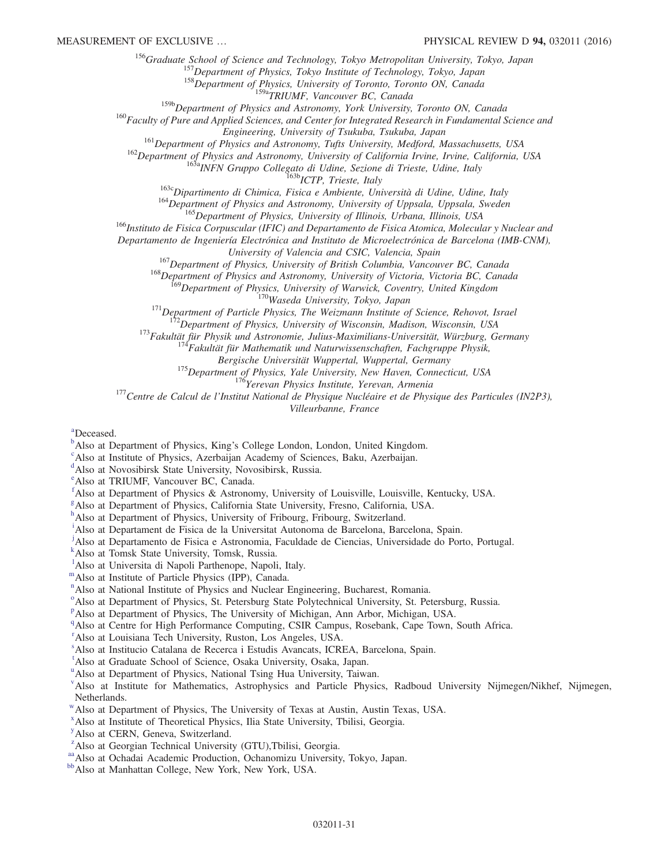<span id="page-31-0"></span><sup>156</sup>Graduate School of Science and Technology, Tokyo Metropolitan University, Tokyo, Japan

<sup>157</sup>Department of Physics, Tokyo Institute of Technology, Tokyo, Japan

<sup>158</sup>Department of Physics, University of Toronto, Toronto ON, Canada

<sup>159a</sup>TRIUMF, Vancouver BC, Canada

<sup>159b</sup>Department of Physics and Astronomy, York University, Toronto ON, Canada

<span id="page-31-8"></span><span id="page-31-7"></span><span id="page-31-6"></span><span id="page-31-5"></span><span id="page-31-4"></span><span id="page-31-3"></span><span id="page-31-2"></span><span id="page-31-1"></span><sup>160</sup>Faculty of Pure and Applied Sciences, and Center for Integrated Research in Fundamental Science and

Engineering, University of Tsukuba, Tsukuba, Japan

<sup>161</sup>Department of Physics and Astronomy, Tufts University, Medford, Massachusetts, USA

<span id="page-31-10"></span><span id="page-31-9"></span><sup>162</sup>Department of Physics and Astronomy, University of California Irvine, Irvine, California, USA

<sup>163a</sup>INFN Gruppo Collegato di Udine, Sezione di Trieste, Udine, Italy

<sup>163b</sup>ICTP, Trieste, Italy

<sup>163c</sup>Dipartimento di Chimica, Fisica e Ambiente, Università di Udine, Udine, Italy

<sup>164</sup>Department of Physics and Astronomy, University of Uppsala, Uppsala, Sweden

<sup>165</sup>Department of Physics, University of Illinois, Urbana, Illinois, USA

<span id="page-31-14"></span><span id="page-31-13"></span><span id="page-31-12"></span><span id="page-31-11"></span><sup>166</sup>Instituto de Fisica Corpuscular (IFIC) and Departamento de Fisica Atomica, Molecular y Nuclear and

<span id="page-31-17"></span><span id="page-31-16"></span><span id="page-31-15"></span>Departamento de Ingeniería Electrónica and Instituto de Microelectrónica de Barcelona (IMB-CNM),

University of Valencia and CSIC, Valencia, Spain

<sup>167</sup>Department of Physics, University of British Columbia, Vancouver BC, Canada

<sup>168</sup>Department of Physics and Astronomy, University of Victoria, Victoria BC, Canada

<sup>169</sup>Department of Physics, University of Warwick, Coventry, United Kingdom

170Waseda University, Tokyo, Japan

 $171$ Department of Particle Physics, The Weizmann Institute of Science, Rehovot, Israel

 $^{2}$ Department of Physics, University of Wisconsin, Madison, Wisconsin, USA

<sup>173</sup>Fakultät für Physik und Astronomie, Julius-Maximilians-Universität, Würzburg, Germany

 $14$ Fakultät für Mathematik und Naturwissenschaften, Fachgruppe Physik,

Bergische Universität Wuppertal, Wuppertal, Germany

<sup>175</sup>Department of Physics, Yale University, New Haven, Connecticut, USA

<sup>176</sup>Yerevan Physics Institute, Yerevan, Armenia

<sup>177</sup>Centre de Calcul de l'Institut National de Physique Nucléaire et de Physique des Particules (IN2P3),

Villeurbanne, France

[a](#page-18-8)Deceased.

<sup>[b](#page-18-9)</sup>Also at Department of Physics, King's College London, London, United Kingdom.

<sup>[c](#page-18-10)</sup>Also at Institute of Physics, Azerbaijan Academy of Sciences, Baku, Azerbaijan.

[d](#page-18-11)Also at Novosibirsk State University, Novosibirsk, Russia.

<sup>[e](#page-18-12)</sup>Also at TRIUMF, Vancouver BC, Canada.

[f](#page-18-13)Also at Department of Physics & Astronomy, University of Louisville, Louisville, Kentucky, USA.

<sup>[g](#page-18-14)</sup>Also at Department of Physics, California State University, Fresno, California, USA.

[h](#page-18-15)Also at Department of Physics, University of Fribourg, Fribourg, Switzerland.

[i](#page-19-0)Also at Departament de Fisica de la Universitat Autonoma de Barcelona, Barcelona, Spain.

<sup>[j](#page-19-1)</sup>Also at Departamento de Fisica e Astronomia, Faculdade de Ciencias, Universidade do Porto, Portugal.

[k](#page-19-2)Also at Tomsk State University, Tomsk, Russia.

<sup>1</sup>A[l](#page-19-3)so at Universita di Napoli Parthenope, Napoli, Italy.

[m](#page-19-4)Also at Institute of Particle Physics (IPP), Canada.

<sup>[n](#page-20-0)</sup>Also at National Institute of Physics and Nuclear Engineering, Bucharest, Romania.

<sup>[o](#page-20-1)</sup>Also at Department of Physics, St. Petersburg State Polytechnical University, St. Petersburg, Russia.

<su[p](#page-20-2)>p</sup>Also at Department of Physics, The University of Michigan, Ann Arbor, Michigan, USA.

<sup>[q](#page-20-3)</sup>Also at Centre for High Performance Computing, CSIR Campus, Rosebank, Cape Town, South Africa.

<sup>[r](#page-20-4)</sup>Also at Louisiana Tech University, Ruston, Los Angeles, USA.

[s](#page-20-5)Also at Institucio Catalana de Recerca i Estudis Avancats, ICREA, Barcelona, Spain.

[t](#page-21-0)Also at Graduate School of Science, Osaka University, Osaka, Japan.

<s[u](#page-21-1)p>u</sup>Also at Department of Physics, National Tsing Hua University, Taiwan.

[v](#page-21-2)Also at Institute for Mathematics, Astrophysics and Particle Physics, Radboud University Nijmegen/Nikhef, Nijmegen, Netherlands.

[w](#page-21-3)Also at Department of Physics, The University of Texas at Austin, Austin Texas, USA.

<sup>[x](#page-21-4)</sup> Also at Institute of Theoretical Physics, Ilia State University, Tbilisi, Georgia.

<sup>[y](#page-21-4)</sup>Also at CERN, Geneva, Switzerland.

<sup>[z](#page-21-5)</sup>Also at Georgian Technical University (GTU), Tbilisi, Georgia.

[aa](#page-21-6) Also at Ochadai Academic Production, Ochanomizu University, Tokyo, Japan.

[bb](#page-21-6)<sub>Also</sub> at Manhattan College, New York, New York, USA.